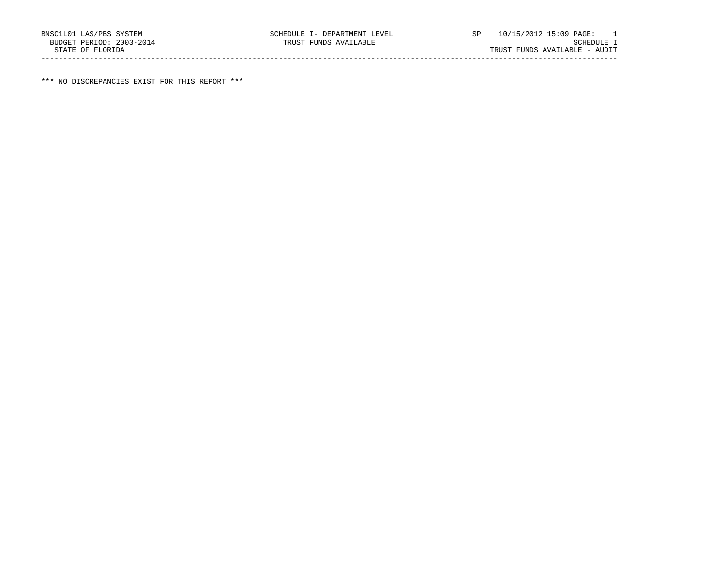\*\*\* NO DISCREPANCIES EXIST FOR THIS REPORT \*\*\*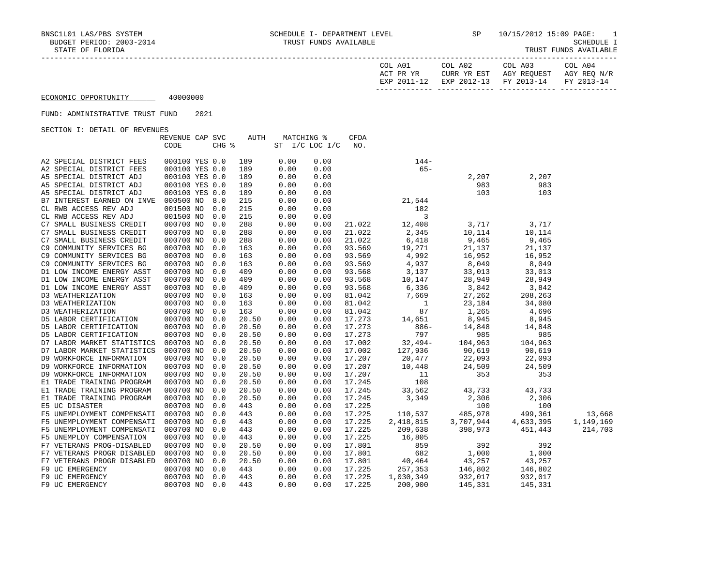| COL A01<br>ACT PR YR | COL A02<br>CURR YR EST            | COL A03<br>AGY REOUEST | COL A04<br>AGY REO N/R |
|----------------------|-----------------------------------|------------------------|------------------------|
| EXP 2011-12          | EXP 2012-13 FY 2013-14 FY 2013-14 |                        |                        |

# FUND: ADMINISTRATIVE TRUST FUND 2021

| OBCIION I: DEIAID OF REVENUED |                 |       |             |                |      |        |                 |                                    |           |           |
|-------------------------------|-----------------|-------|-------------|----------------|------|--------|-----------------|------------------------------------|-----------|-----------|
|                               | REVENUE CAP SVC |       | <b>AUTH</b> | MATCHING %     |      | CFDA   |                 |                                    |           |           |
|                               | CODE            | CHG % |             | ST I/C LOC I/C |      | NO.    |                 |                                    |           |           |
|                               |                 |       |             |                |      |        |                 |                                    |           |           |
| A2 SPECIAL DISTRICT FEES      | 000100 YES 0.0  |       | 189         | 0.00           | 0.00 |        | $144-$          |                                    |           |           |
| A2 SPECIAL DISTRICT FEES      | 000100 YES 0.0  |       | 189         | 0.00           | 0.00 |        | $65 -$          |                                    |           |           |
| A5 SPECIAL DISTRICT ADJ       | 000100 YES 0.0  |       | 189         | 0.00           | 0.00 |        |                 | 2,207                              | 2,207     |           |
| A5 SPECIAL DISTRICT ADJ       | 000100 YES 0.0  |       | 189         | 0.00           | 0.00 |        |                 | 983                                | 983       |           |
| A5 SPECIAL DISTRICT ADJ       | 000100 YES 0.0  |       | 189         | 0.00           | 0.00 |        |                 | 103                                | 103       |           |
| B7 INTEREST EARNED ON INVE    | 000500 NO       | 8.0   | 215         | 0.00           | 0.00 |        | 21,544          |                                    |           |           |
| CL RWB ACCESS REV ADJ         | 001500 NO       | 0.0   | 215         | 0.00           | 0.00 |        | 182             |                                    |           |           |
| CL RWB ACCESS REV ADJ         | 001500 NO       | 0.0   | 215         | 0.00           | 0.00 |        | 3               |                                    |           |           |
| C7 SMALL BUSINESS CREDIT      | 000700 NO       | 0.0   | 288         | 0.00           | 0.00 | 21.022 | 12,408          | 3,717                              | 3,717     |           |
| C7 SMALL BUSINESS CREDIT      | 000700 NO       | 0.0   | 288         | 0.00           | 0.00 | 21.022 | 2,345           | 10,114                             | 10,114    |           |
| C7 SMALL BUSINESS CREDIT      | 000700 NO       | 0.0   | 288         | 0.00           | 0.00 | 21.022 | 6,418           | $^{+0, +1}$ , 9, 465               | 9,465     |           |
| C9 COMMUNITY SERVICES BG      | 000700 NO       | 0.0   | 163         | 0.00           | 0.00 | 93.569 | 19,271          | 21,137                             | 21,137    |           |
| C9 COMMUNITY SERVICES BG      | 000700 NO       | 0.0   | 163         | 0.00           | 0.00 | 93.569 | 4,992           | 16,952                             | 16,952    |           |
| C9 COMMUNITY SERVICES BG      | 000700 NO       | 0.0   | 163         | 0.00           | 0.00 | 93.569 | 4,937           | ∠دע, 16<br>8,049                   | 8,049     |           |
| D1 LOW INCOME ENERGY ASST     | 000700 NO       | 0.0   | 409         | 0.00           | 0.00 | 93.568 | 3,137           | 33,013                             | 33,013    |           |
| D1 LOW INCOME ENERGY ASST     | 000700 NO       | 0.0   | 409         | 0.00           | 0.00 | 93.568 | 10,147<br>6,336 |                                    | 28,949    |           |
| D1 LOW INCOME ENERGY ASST     | 000700 NO       | 0.0   | 409         | 0.00           | 0.00 | 93.568 |                 | $28,949$<br>3,842                  | 3,842     |           |
| D3 WEATHERIZATION             | 000700 NO       | 0.0   | 163         | 0.00           | 0.00 | 81.042 | 7,669           | 27,262                             | 208,263   |           |
| D3 WEATHERIZATION             | 000700 NO       | 0.0   | 163         | 0.00           | 0.00 | 81.042 | $\overline{1}$  | 23,184                             | 34,080    |           |
| D3 WEATHERIZATION             | 000700 NO       | 0.0   | 163         | 0.00           | 0.00 | 81.042 | 87              | 1,265                              | 4,696     |           |
| D5 LABOR CERTIFICATION        | 000700 NO       | 0.0   | 20.50       | 0.00           | 0.00 | 17.273 | 14,651          | 8,945                              | 8,945     |           |
| D5 LABOR CERTIFICATION        | 000700 NO       | 0.0   | 20.50       | 0.00           | 0.00 | 17.273 | $886 -$         | 14,848<br>985<br>104,963<br>90,619 | 14,848    |           |
| D5 LABOR CERTIFICATION        | 000700 NO       | 0.0   | 20.50       | 0.00           | 0.00 | 17.273 | 797             |                                    | 985       |           |
| D7 LABOR MARKET STATISTICS    | 000700 NO       | 0.0   | 20.50       | 0.00           | 0.00 | 17.002 | $32,494-$       |                                    | 104,963   |           |
| D7 LABOR MARKET STATISTICS    | 000700 NO       | 0.0   | 20.50       | 0.00           | 0.00 | 17.002 | 127,936         |                                    | 90,619    |           |
| D9 WORKFORCE INFORMATION      | 000700 NO       | 0.0   | 20.50       | 0.00           | 0.00 | 17.207 | 20,477          | 22,093                             | 22,093    |           |
| D9 WORKFORCE INFORMATION      | 000700 NO       | 0.0   | 20.50       | 0.00           | 0.00 | 17.207 | 10,448          | 24,509                             | 24,509    |           |
| D9 WORKFORCE INFORMATION      | 000700 NO       | 0.0   | 20.50       | 0.00           | 0.00 | 17.207 | 11              | 353                                | 353       |           |
| E1 TRADE TRAINING PROGRAM     | 000700 NO       | 0.0   | 20.50       | 0.00           | 0.00 | 17.245 | 108             |                                    |           |           |
| E1 TRADE TRAINING PROGRAM     | 000700 NO       | 0.0   | 20.50       | 0.00           | 0.00 | 17.245 | 33,562          | 43,733                             | 43,733    |           |
| E1 TRADE TRAINING PROGRAM     | 000700 NO       | 0.0   | 20.50       | 0.00           | 0.00 | 17.245 | 3,349           | 2,306                              | 2,306     |           |
| E5 UC DISASTER                | 000700 NO       | 0.0   | 443         | 0.00           | 0.00 | 17.225 |                 | 100                                | 100       |           |
| F5 UNEMPLOYMENT COMPENSATI    | 000700 NO       | 0.0   | 443         | 0.00           | 0.00 | 17.225 | 110,537         | 485,978                            | 499,361   | 13,668    |
| F5 UNEMPLOYMENT COMPENSATI    | 000700 NO       | 0.0   | 443         | 0.00           | 0.00 | 17.225 | 2,418,815       | 3,707,944                          | 4,633,395 | 1,149,169 |
| F5 UNEMPLOYMENT COMPENSATI    | 000700 NO       | 0.0   | 443         | 0.00           | 0.00 | 17.225 | 209,638         | 398,973                            | 451,443   | 214,703   |
| F5 UNEMPLOY COMPENSATION      | 000700 NO       | 0.0   | 443         | 0.00           | 0.00 | 17.225 | 16,805          |                                    |           |           |
| F7 VETERANS PROG-DISABLED     | 000700 NO       | 0.0   | 20.50       | 0.00           | 0.00 | 17.801 | 859             | 392                                | 392       |           |
| F7 VETERANS PROGR DISABLED    | 000700 NO       | 0.0   | 20.50       | 0.00           | 0.00 | 17.801 | 682             | 1,000                              | 1,000     |           |
|                               |                 |       |             |                |      |        |                 |                                    |           |           |
| F7 VETERANS PROGR DISABLED    | 000700 NO       | 0.0   | 20.50       | 0.00           | 0.00 | 17.801 | 40,464          | 43,257                             | 43,257    |           |
| F9 UC EMERGENCY               | 000700 NO       | 0.0   | 443         | 0.00           | 0.00 | 17.225 | 257,353         | 146,802                            | 146,802   |           |
| F9 UC EMERGENCY               | 000700 NO       | 0.0   | 443         | 0.00           | 0.00 | 17.225 | 1,030,349       | 932,017                            | 932,017   |           |
| F9 UC EMERGENCY               | 000700 NO       | 0.0   | 443         | 0.00           | 0.00 | 17.225 | 200,900         | 145,331                            | 145,331   |           |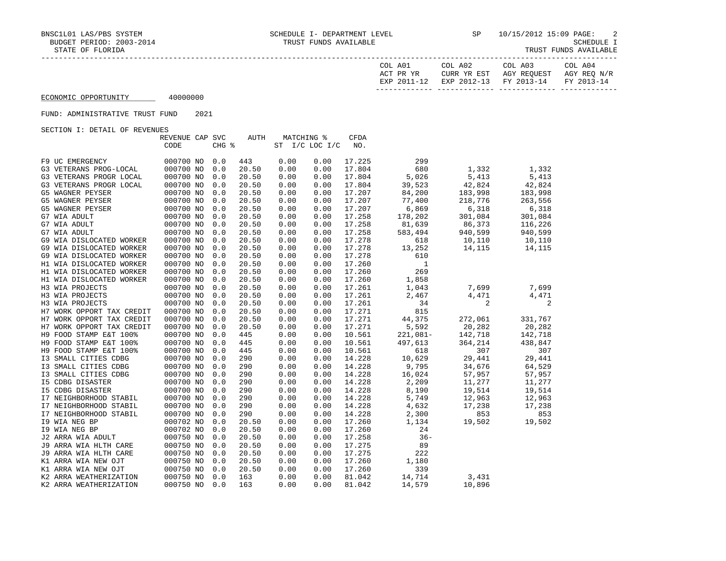| COL A01<br>ACT PR YR | COL A02<br>CURR YR EST | COL A03<br>AGY REOUEST            | COL A04<br>AGY REO N/R |
|----------------------|------------------------|-----------------------------------|------------------------|
| EXP 2011-12          |                        | EXP 2012-13 FY 2013-14 FY 2013-14 |                        |
|                      |                        |                                   |                        |

# FUND: ADMINISTRATIVE TRUST FUND 2021

| ORCITOM I: DRIAIN OF KRABNORO |                 |       |             |      |                |             |              |         |         |
|-------------------------------|-----------------|-------|-------------|------|----------------|-------------|--------------|---------|---------|
|                               | REVENUE CAP SVC |       | <b>AUTH</b> |      | MATCHING %     | <b>CFDA</b> |              |         |         |
|                               | CODE            | CHG % |             |      | ST I/C LOC I/C | NO.         |              |         |         |
|                               |                 |       |             |      |                |             |              |         |         |
| F9 UC EMERGENCY               | 000700 NO       | 0.0   | 443         | 0.00 | 0.00           | 17.225      | 299          |         |         |
| G3 VETERANS PROG-LOCAL        | 000700 NO       | 0.0   | 20.50       | 0.00 | 0.00           | 17.804      | 680          | 1,332   | 1,332   |
| G3 VETERANS PROGR LOCAL       | 000700 NO       | 0.0   | 20.50       | 0.00 | 0.00           | 17.804      | 5,026        | 5,413   | 5,413   |
| G3 VETERANS PROGR LOCAL       | 000700 NO       | 0.0   | 20.50       | 0.00 | 0.00           | 17.804      | 39,523       | 42,824  | 42,824  |
| G5 WAGNER PEYSER              | 000700 NO       | 0.0   | 20.50       | 0.00 | 0.00           | 17.207      | 84,200       | 183,998 | 183,998 |
| G5 WAGNER PEYSER              | 000700 NO       | 0.0   | 20.50       | 0.00 | 0.00           | 17.207      | 77,400       | 218,776 | 263,556 |
| G5 WAGNER PEYSER              | 000700 NO       | 0.0   | 20.50       | 0.00 | 0.00           | 17.207      | 6,869        | 6,318   | 6,318   |
| G7 WIA ADULT                  | 000700 NO       | 0.0   | 20.50       | 0.00 | 0.00           | 17.258      | 178,202      | 301,084 | 301,084 |
| G7 WIA ADULT                  | 000700 NO       | 0.0   | 20.50       | 0.00 | 0.00           | 17.258      | 81,639       | 86,373  | 116,226 |
| G7 WIA ADULT                  | 000700 NO       | 0.0   | 20.50       | 0.00 | 0.00           | 17.258      | 583,494      | 940,599 | 940,599 |
| G9 WIA DISLOCATED WORKER      | 000700 NO       | 0.0   | 20.50       | 0.00 | 0.00           | 17.278      | 618          | 10,110  | 10,110  |
| G9 WIA DISLOCATED WORKER      | 000700 NO       | 0.0   | 20.50       | 0.00 | 0.00           | 17.278      | 13,252       | 14,115  | 14,115  |
| G9 WIA DISLOCATED WORKER      | 000700 NO       | 0.0   | 20.50       | 0.00 | 0.00           | 17.278      | 610          |         |         |
| H1 WIA DISLOCATED WORKER      | 000700 NO       | 0.0   | 20.50       | 0.00 | 0.00           | 17.260      | $\mathbf{1}$ |         |         |
| H1 WIA DISLOCATED WORKER      | 000700 NO       | 0.0   | 20.50       | 0.00 | 0.00           | 17.260      | 269          |         |         |
| H1 WIA DISLOCATED WORKER      | 000700 NO       | 0.0   | 20.50       | 0.00 | 0.00           | 17.260      | 1,858        |         |         |
| H3 WIA PROJECTS               | 000700 NO       | 0.0   | 20.50       | 0.00 | 0.00           | 17.261      | 1,043        | 7,699   | 7,699   |
| H3 WIA PROJECTS               | 000700 NO       | 0.0   | 20.50       | 0.00 | 0.00           | 17.261      | 2,467        | 4,471   | 4,471   |
| H3 WIA PROJECTS               | 000700 NO       | 0.0   | 20.50       | 0.00 | 0.00           | 17.261      | 34           | 2       | 2       |
| H7 WORK OPPORT TAX CREDIT     | 000700 NO       | 0.0   | 20.50       | 0.00 | 0.00           | 17.271      | 815          |         |         |
| H7 WORK OPPORT TAX CREDIT     | 000700 NO       | 0.0   | 20.50       | 0.00 | 0.00           | 17.271      | 44,375       | 272,061 | 331,767 |
| H7 WORK OPPORT TAX CREDIT     | 000700 NO       | 0.0   | 20.50       | 0.00 | 0.00           | 17.271      | 5,592        | 20,282  | 20,282  |
| H9 FOOD STAMP E&T 100%        | 000700 NO       | 0.0   | 445         | 0.00 | 0.00           | 10.561      | $221,081-$   | 142,718 | 142,718 |
| H9 FOOD STAMP E&T 100%        | 000700 NO       | 0.0   | 445         | 0.00 | 0.00           | 10.561      | 497,613      | 364,214 | 438,847 |
| H9 FOOD STAMP E&T 100%        | 000700 NO       | 0.0   | 445         | 0.00 | 0.00           | 10.561      | 618          | 307     | 307     |
| I3 SMALL CITIES CDBG          | 000700 NO       | 0.0   | 290         | 0.00 | 0.00           | 14.228      | 10,629       | 29,441  | 29,441  |
| I3 SMALL CITIES CDBG          | 000700 NO       | 0.0   | 290         | 0.00 | 0.00           | 14.228      | 9,795        | 34,676  | 64,529  |
| I3 SMALL CITIES CDBG          | 000700 NO       | 0.0   | 290         | 0.00 | 0.00           | 14.228      | 16,024       | 57,957  | 57,957  |
| <b>I5 CDBG DISASTER</b>       | 000700 NO       | 0.0   | 290         | 0.00 | 0.00           | 14.228      | 2,209        | 11,277  | 11,277  |
| <b>I5 CDBG DISASTER</b>       | 000700 NO       | 0.0   | 290         | 0.00 | 0.00           | 14.228      | 8,190        | 19,514  | 19,514  |
| I7 NEIGHBORHOOD STABIL        | 000700 NO       | 0.0   | 290         | 0.00 | 0.00           | 14.228      | 5,749        | 12,963  | 12,963  |
| I7 NEIGHBORHOOD STABIL        | 000700 NO       | 0.0   | 290         | 0.00 | 0.00           | 14.228      | 4,632        | 17,238  | 17,238  |
| I7 NEIGHBORHOOD STABIL        | 000700 NO       | 0.0   | 290         | 0.00 | 0.00           | 14.228      | 2,300        | 853     | 853     |
| 19 WIA NEG BP                 | 000702 NO       | 0.0   | 20.50       | 0.00 | 0.00           | 17.260      | 1,134        | 19,502  | 19,502  |
| 19 WIA NEG BP                 | 000702 NO       | 0.0   | 20.50       | 0.00 | 0.00           | 17.260      | 24           |         |         |
| J2 ARRA WIA ADULT             | 000750 NO       | 0.0   | 20.50       | 0.00 | 0.00           | 17.258      | $36 -$       |         |         |
| J9 ARRA WIA HLTH CARE         | 000750 NO       | 0.0   | 20.50       | 0.00 | 0.00           | 17.275      | 89           |         |         |
| J9 ARRA WIA HLTH CARE         | 000750 NO       | 0.0   | 20.50       | 0.00 | 0.00           | 17.275      | 222          |         |         |
| K1 ARRA WIA NEW OJT           | 000750 NO       | 0.0   | 20.50       | 0.00 | 0.00           | 17.260      | 1,180        |         |         |
| K1 ARRA WIA NEW OJT           | 000750 NO       | 0.0   | 20.50       | 0.00 | 0.00           | 17.260      | 339          |         |         |
| K2 ARRA WEATHERIZATION        | 000750 NO       | 0.0   | 163         | 0.00 | 0.00           | 81.042      | 14,714       | 3,431   |         |
| K2 ARRA WEATHERIZATION        | 000750 NO       | 0.0   | 163         | 0.00 | 0.00           | 81.042      | 14,579       | 10,896  |         |
|                               |                 |       |             |      |                |             |              |         |         |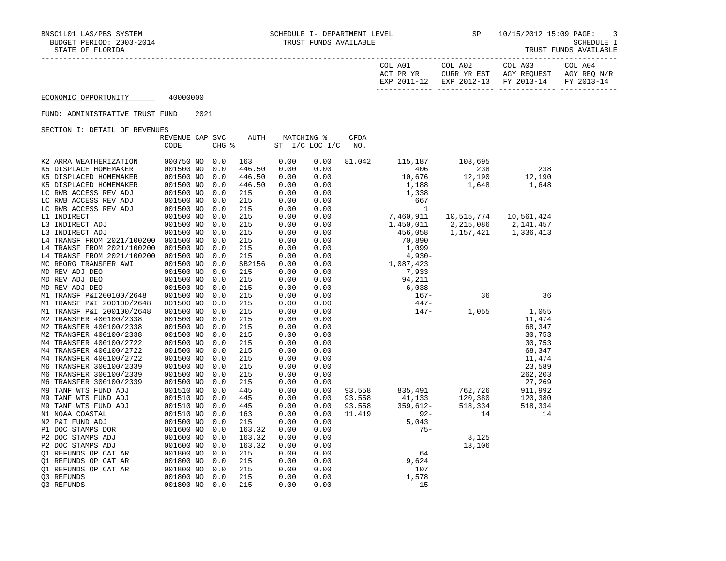| COL<br>A01<br>ACT PR YR<br>FYD | COL A02<br>YR EST<br>HTRR.<br>$2012 - 13$<br><b>EXP</b> | COL A03<br>AGY REQUEST<br>$2013 - 14$<br><b>FV</b> | COL A04<br>AGY REQ<br>N/R<br>$2013 - 14$<br><b>TRAZ</b> |
|--------------------------------|---------------------------------------------------------|----------------------------------------------------|---------------------------------------------------------|
|                                |                                                         |                                                    |                                                         |

#### FUND: ADMINISTRATIVE TRUST FUND 2021

| ORCITOM I: DRIAIN OF KRYBNOBO | REVENUE CAP SVC |       | <b>AUTH</b> | MATCHING % |                | CFDA   |            |            |            |
|-------------------------------|-----------------|-------|-------------|------------|----------------|--------|------------|------------|------------|
|                               | CODE            | CHG % |             |            | ST I/C LOC I/C | NO.    |            |            |            |
|                               |                 |       |             |            |                |        |            |            |            |
| K2 ARRA WEATHERIZATION        | 000750 NO       | 0.0   | 163         | 0.00       | 0.00           | 81.042 | 115,187    | 103,695    |            |
| K5 DISPLACE HOMEMAKER         | 001500 NO       | 0.0   | 446.50      | 0.00       | 0.00           |        | 406        | 238        | 238        |
| K5 DISPLACED HOMEMAKER        | 001500 NO       | 0.0   | 446.50      | 0.00       | 0.00           |        | 10,676     | 12,190     | 12,190     |
| K5 DISPLACED HOMEMAKER        | 001500 NO       | 0.0   | 446.50      | 0.00       | 0.00           |        | 1,188      | 1,648      | 1,648      |
| LC RWB ACCESS REV ADJ         | 001500 NO       | 0.0   | 215         | 0.00       | 0.00           |        | 1,338      |            |            |
| LC RWB ACCESS REV ADJ         | 001500 NO       | 0.0   | 215         | 0.00       | 0.00           |        | 667        |            |            |
| LC RWB ACCESS REV ADJ         | 001500 NO       | 0.0   | 215         | 0.00       | 0.00           |        | 1          |            |            |
| L1 INDIRECT                   | 001500 NO       | 0.0   | 215         | 0.00       | 0.00           |        | 7,460,911  | 10,515,774 | 10,561,424 |
| L3 INDIRECT ADJ               | 001500 NO       | 0.0   | 215         | 0.00       | 0.00           |        | 1,450,011  | 2,215,086  | 2,141,457  |
| L3 INDIRECT ADJ               | 001500 NO       | 0.0   | 215         | 0.00       | 0.00           |        | 456,058    | 1,157,421  | 1,336,413  |
| L4 TRANSF FROM 2021/100200    | 001500 NO       | 0.0   | 215         | 0.00       | 0.00           |        | 70,890     |            |            |
| L4 TRANSF FROM 2021/100200    | 001500 NO       | 0.0   | 215         | 0.00       | 0.00           |        | 1,099      |            |            |
| L4 TRANSF FROM 2021/100200    | 001500 NO       | 0.0   | 215         | 0.00       | 0.00           |        | $4,930-$   |            |            |
| MC REORG TRANSFER AWI         | 001500 NO       | 0.0   | SB2156      | 0.00       | 0.00           |        | 1,087,423  |            |            |
| MD REV ADJ DEO                | 001500 NO       | 0.0   | 215         | 0.00       | 0.00           |        | 7,933      |            |            |
| MD REV ADJ DEO                | 001500 NO       | 0.0   | 215         | 0.00       | 0.00           |        | 94,211     |            |            |
| MD REV ADJ DEO                | 001500 NO       | 0.0   | 215         | 0.00       | 0.00           |        | 6,038      |            |            |
| M1 TRANSF P&I200100/2648      | 001500 NO       | 0.0   | 215         | 0.00       | 0.00           |        | $167-$     | 36         | 36         |
| M1 TRANSF P&I 200100/2648     | 001500 NO       | 0.0   | 215         | 0.00       | 0.00           |        | $447 -$    |            |            |
| M1 TRANSF P&I 200100/2648     | 001500 NO       | 0.0   | 215         | 0.00       | 0.00           |        | $147-$     | 1,055      | 1,055      |
| M2 TRANSFER 400100/2338       | 001500 NO       | 0.0   | 215         | 0.00       | 0.00           |        |            |            | 11,474     |
| M2 TRANSFER 400100/2338       | 001500 NO       | 0.0   | 215         | 0.00       | 0.00           |        |            |            | 68,347     |
| M2 TRANSFER 400100/2338       | 001500 NO       | 0.0   | 215         | 0.00       | 0.00           |        |            |            | 30,753     |
| M4 TRANSFER 400100/2722       | 001500 NO       | 0.0   | 215         | 0.00       | 0.00           |        |            |            | 30,753     |
| M4 TRANSFER 400100/2722       | 001500 NO       | 0.0   | 215         | 0.00       | 0.00           |        |            |            | 68,347     |
| M4 TRANSFER 400100/2722       | 001500 NO       | 0.0   | 215         | 0.00       | 0.00           |        |            |            | 11,474     |
| M6 TRANSFER 300100/2339       | 001500 NO       | 0.0   | 215         | 0.00       | 0.00           |        |            |            | 23,589     |
| M6 TRANSFER 300100/2339       | 001500 NO       | 0.0   | 215         | 0.00       | 0.00           |        |            |            | 262,203    |
| M6 TRANSFER 300100/2339       | 001500 NO       | 0.0   | 215         | 0.00       | 0.00           |        |            |            | 27,269     |
| M9 TANF WTS FUND ADJ          | 001510 NO       | 0.0   | 445         | 0.00       | 0.00           | 93.558 | 835,491    | 762,726    | 911,992    |
| M9 TANF WTS FUND ADJ          | 001510 NO       | 0.0   | 445         | 0.00       | 0.00           | 93.558 | 41,133     | 120,380    | 120,380    |
| M9 TANF WTS FUND ADJ          | 001510 NO       | 0.0   | 445         | 0.00       | 0.00           | 93.558 | $359,612-$ | 518,334    | 518,334    |
| N1 NOAA COASTAL               | 001510 NO       | 0.0   | 163         | 0.00       | 0.00           | 11.419 | $92 -$     | 14         | 14         |
| N2 P&I FUND ADJ               | 001500 NO       | 0.0   | 215         | 0.00       | 0.00           |        | 5,043      |            |            |
| P1 DOC STAMPS DOR             | 001600 NO       | 0.0   | 163.32      | 0.00       | 0.00           |        | $75 -$     |            |            |
| P2 DOC STAMPS ADJ             | 001600 NO       | 0.0   | 163.32      | 0.00       | 0.00           |        |            | 8,125      |            |
| P2 DOC STAMPS ADJ             | 001600 NO       | 0.0   | 163.32      | 0.00       | 0.00           |        |            | 13,106     |            |
| Q1 REFUNDS OP CAT AR          | 001800 NO       | 0.0   | 215         | 0.00       | 0.00           |        | 64         |            |            |
| Q1 REFUNDS OP CAT AR          | 001800 NO       | 0.0   | 215         | 0.00       | 0.00           |        | 9,624      |            |            |
| 01 REFUNDS OP CAT AR          | 001800 NO       | 0.0   | 215         | 0.00       | 0.00           |        | 107        |            |            |
| 03 REFUNDS                    | 001800 NO       | 0.0   | 215         | 0.00       | 0.00           |        | 1,578      |            |            |
| 03 REFUNDS                    | 001800 NO       | 0.0   | 215         | 0.00       | 0.00           |        | 15         |            |            |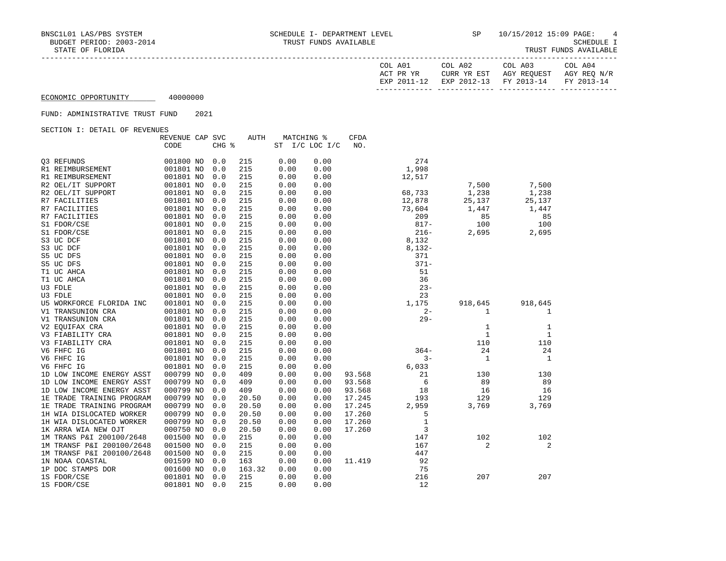| COL A01<br>ACT PR YR | COL A02<br>CURR YR EST | COL A03<br>AGY REOUEST            | COL A04<br>AGY REO N/R |
|----------------------|------------------------|-----------------------------------|------------------------|
| EXP 2011-12          |                        | EXP 2012-13 FY 2013-14 FY 2013-14 |                        |
|                      |                        |                                   |                        |

# FUND: ADMINISTRATIVE TRUST FUND 2021

| CODE<br>CHG %<br>ST<br>$I/C$ LOC $I/C$<br>NO.<br>0.00<br>274<br>03 REFUNDS<br>001800 NO<br>0.0<br>215<br>0.00<br>1,998<br>0.0<br>215<br>0.00<br>0.00<br>R1 REIMBURSEMENT<br>001801 NO<br>215<br>0.00<br>R1 REIMBURSEMENT<br>001801 NO<br>0.0<br>0.00<br>12,517<br>001801 NO<br>215<br>0.00<br>0.00<br>7,500<br>7,500<br>R2 OEL/IT SUPPORT<br>0.0<br>0.00<br>1,238<br>1,238<br>R2 OEL/IT SUPPORT<br>001801 NO<br>0.0<br>215<br>0.00<br>68,733<br>001801 NO<br>215<br>0.00<br>12,878<br>25,137<br>R7 FACILITIES<br>0.0<br>0.00<br>25,137<br>001801 NO<br>215<br>0.00<br>0.00<br>73,604<br>1,447<br>R7 FACILITIES<br>0.0<br>1,447<br>215<br>0.00<br>209<br>85<br>85<br>R7 FACILITIES<br>001801 NO<br>0.0<br>0.00<br>100<br>S1 FDOR/CSE<br>001801 NO<br>215<br>0.00<br>$817 -$<br>100<br>0.0<br>0.00<br>0.00<br>$216 -$<br>S1 FDOR/CSE<br>001801 NO<br>0.0<br>215<br>0.00<br>2,695<br>2,695<br>001801 NO<br>215<br>0.00<br>0.00<br>8,132<br>S3 UC DCF<br>0.0<br>215<br>0.00<br>$8,132-$<br>S3 UC DCF<br>001801 NO<br>0.0<br>0.00<br>001801 NO<br>215<br>0.00<br>371<br>S5 UC DFS<br>0.0<br>0.00<br>$371 -$<br>S5 UC DFS<br>001801 NO<br>215<br>0.00<br>0.00<br>0.0<br>51<br>215<br>0.00<br>T1 UC AHCA<br>001801 NO<br>0.0<br>0.00<br>0.00<br>36<br>T1 UC AHCA<br>001801 NO<br>0.0<br>215<br>0.00<br>U3 FDLE<br>001801 NO<br>215<br>0.00<br>$23 -$<br>0.0<br>0.00<br>23<br>U3 FDLE<br>001801 NO<br>215<br>0.00<br>0.0<br>0.00<br>001801 NO<br>215<br>0.00<br>1,175<br>0.0<br>0.00<br>918,645<br>918,645<br>U5 WORKFORCE FLORIDA INC<br>001801 NO<br>215<br>0.00<br>$2 -$<br>V1 TRANSUNION CRA<br>0.0<br>0.00<br>1<br>1<br>$29 -$<br>V1 TRANSUNION CRA<br>001801 NO<br>215<br>0.00<br>0.00<br>0.0<br>001801 NO<br>215<br>0.00<br>0.00<br>V2 EQUIFAX CRA<br>0.0<br>1<br>$\mathbf{1}$<br>V3 FIABILITY CRA<br>001801 NO<br>215<br>0.00<br>0.00<br>1<br>1<br>0.0<br>215<br>0.00<br>110<br>110<br>V3 FIABILITY CRA<br>001801 NO<br>0.0<br>0.00<br>24<br>24<br>V6 FHFC IG<br>001801 NO<br>215<br>0.00<br>0.00<br>$364-$<br>0.0<br>V6 FHFC IG<br>$3 -$<br>$\mathbf{1}$<br>1<br>001801 NO<br>0.0<br>215<br>0.00<br>0.00 |
|-----------------------------------------------------------------------------------------------------------------------------------------------------------------------------------------------------------------------------------------------------------------------------------------------------------------------------------------------------------------------------------------------------------------------------------------------------------------------------------------------------------------------------------------------------------------------------------------------------------------------------------------------------------------------------------------------------------------------------------------------------------------------------------------------------------------------------------------------------------------------------------------------------------------------------------------------------------------------------------------------------------------------------------------------------------------------------------------------------------------------------------------------------------------------------------------------------------------------------------------------------------------------------------------------------------------------------------------------------------------------------------------------------------------------------------------------------------------------------------------------------------------------------------------------------------------------------------------------------------------------------------------------------------------------------------------------------------------------------------------------------------------------------------------------------------------------------------------------------------------------------------------------------------------------------------------------------------------------------------------------------------------------------------------------------------------------------------------------------------|
|                                                                                                                                                                                                                                                                                                                                                                                                                                                                                                                                                                                                                                                                                                                                                                                                                                                                                                                                                                                                                                                                                                                                                                                                                                                                                                                                                                                                                                                                                                                                                                                                                                                                                                                                                                                                                                                                                                                                                                                                                                                                                                           |
|                                                                                                                                                                                                                                                                                                                                                                                                                                                                                                                                                                                                                                                                                                                                                                                                                                                                                                                                                                                                                                                                                                                                                                                                                                                                                                                                                                                                                                                                                                                                                                                                                                                                                                                                                                                                                                                                                                                                                                                                                                                                                                           |
|                                                                                                                                                                                                                                                                                                                                                                                                                                                                                                                                                                                                                                                                                                                                                                                                                                                                                                                                                                                                                                                                                                                                                                                                                                                                                                                                                                                                                                                                                                                                                                                                                                                                                                                                                                                                                                                                                                                                                                                                                                                                                                           |
|                                                                                                                                                                                                                                                                                                                                                                                                                                                                                                                                                                                                                                                                                                                                                                                                                                                                                                                                                                                                                                                                                                                                                                                                                                                                                                                                                                                                                                                                                                                                                                                                                                                                                                                                                                                                                                                                                                                                                                                                                                                                                                           |
|                                                                                                                                                                                                                                                                                                                                                                                                                                                                                                                                                                                                                                                                                                                                                                                                                                                                                                                                                                                                                                                                                                                                                                                                                                                                                                                                                                                                                                                                                                                                                                                                                                                                                                                                                                                                                                                                                                                                                                                                                                                                                                           |
|                                                                                                                                                                                                                                                                                                                                                                                                                                                                                                                                                                                                                                                                                                                                                                                                                                                                                                                                                                                                                                                                                                                                                                                                                                                                                                                                                                                                                                                                                                                                                                                                                                                                                                                                                                                                                                                                                                                                                                                                                                                                                                           |
|                                                                                                                                                                                                                                                                                                                                                                                                                                                                                                                                                                                                                                                                                                                                                                                                                                                                                                                                                                                                                                                                                                                                                                                                                                                                                                                                                                                                                                                                                                                                                                                                                                                                                                                                                                                                                                                                                                                                                                                                                                                                                                           |
|                                                                                                                                                                                                                                                                                                                                                                                                                                                                                                                                                                                                                                                                                                                                                                                                                                                                                                                                                                                                                                                                                                                                                                                                                                                                                                                                                                                                                                                                                                                                                                                                                                                                                                                                                                                                                                                                                                                                                                                                                                                                                                           |
|                                                                                                                                                                                                                                                                                                                                                                                                                                                                                                                                                                                                                                                                                                                                                                                                                                                                                                                                                                                                                                                                                                                                                                                                                                                                                                                                                                                                                                                                                                                                                                                                                                                                                                                                                                                                                                                                                                                                                                                                                                                                                                           |
|                                                                                                                                                                                                                                                                                                                                                                                                                                                                                                                                                                                                                                                                                                                                                                                                                                                                                                                                                                                                                                                                                                                                                                                                                                                                                                                                                                                                                                                                                                                                                                                                                                                                                                                                                                                                                                                                                                                                                                                                                                                                                                           |
|                                                                                                                                                                                                                                                                                                                                                                                                                                                                                                                                                                                                                                                                                                                                                                                                                                                                                                                                                                                                                                                                                                                                                                                                                                                                                                                                                                                                                                                                                                                                                                                                                                                                                                                                                                                                                                                                                                                                                                                                                                                                                                           |
|                                                                                                                                                                                                                                                                                                                                                                                                                                                                                                                                                                                                                                                                                                                                                                                                                                                                                                                                                                                                                                                                                                                                                                                                                                                                                                                                                                                                                                                                                                                                                                                                                                                                                                                                                                                                                                                                                                                                                                                                                                                                                                           |
|                                                                                                                                                                                                                                                                                                                                                                                                                                                                                                                                                                                                                                                                                                                                                                                                                                                                                                                                                                                                                                                                                                                                                                                                                                                                                                                                                                                                                                                                                                                                                                                                                                                                                                                                                                                                                                                                                                                                                                                                                                                                                                           |
|                                                                                                                                                                                                                                                                                                                                                                                                                                                                                                                                                                                                                                                                                                                                                                                                                                                                                                                                                                                                                                                                                                                                                                                                                                                                                                                                                                                                                                                                                                                                                                                                                                                                                                                                                                                                                                                                                                                                                                                                                                                                                                           |
|                                                                                                                                                                                                                                                                                                                                                                                                                                                                                                                                                                                                                                                                                                                                                                                                                                                                                                                                                                                                                                                                                                                                                                                                                                                                                                                                                                                                                                                                                                                                                                                                                                                                                                                                                                                                                                                                                                                                                                                                                                                                                                           |
|                                                                                                                                                                                                                                                                                                                                                                                                                                                                                                                                                                                                                                                                                                                                                                                                                                                                                                                                                                                                                                                                                                                                                                                                                                                                                                                                                                                                                                                                                                                                                                                                                                                                                                                                                                                                                                                                                                                                                                                                                                                                                                           |
|                                                                                                                                                                                                                                                                                                                                                                                                                                                                                                                                                                                                                                                                                                                                                                                                                                                                                                                                                                                                                                                                                                                                                                                                                                                                                                                                                                                                                                                                                                                                                                                                                                                                                                                                                                                                                                                                                                                                                                                                                                                                                                           |
|                                                                                                                                                                                                                                                                                                                                                                                                                                                                                                                                                                                                                                                                                                                                                                                                                                                                                                                                                                                                                                                                                                                                                                                                                                                                                                                                                                                                                                                                                                                                                                                                                                                                                                                                                                                                                                                                                                                                                                                                                                                                                                           |
|                                                                                                                                                                                                                                                                                                                                                                                                                                                                                                                                                                                                                                                                                                                                                                                                                                                                                                                                                                                                                                                                                                                                                                                                                                                                                                                                                                                                                                                                                                                                                                                                                                                                                                                                                                                                                                                                                                                                                                                                                                                                                                           |
|                                                                                                                                                                                                                                                                                                                                                                                                                                                                                                                                                                                                                                                                                                                                                                                                                                                                                                                                                                                                                                                                                                                                                                                                                                                                                                                                                                                                                                                                                                                                                                                                                                                                                                                                                                                                                                                                                                                                                                                                                                                                                                           |
|                                                                                                                                                                                                                                                                                                                                                                                                                                                                                                                                                                                                                                                                                                                                                                                                                                                                                                                                                                                                                                                                                                                                                                                                                                                                                                                                                                                                                                                                                                                                                                                                                                                                                                                                                                                                                                                                                                                                                                                                                                                                                                           |
|                                                                                                                                                                                                                                                                                                                                                                                                                                                                                                                                                                                                                                                                                                                                                                                                                                                                                                                                                                                                                                                                                                                                                                                                                                                                                                                                                                                                                                                                                                                                                                                                                                                                                                                                                                                                                                                                                                                                                                                                                                                                                                           |
|                                                                                                                                                                                                                                                                                                                                                                                                                                                                                                                                                                                                                                                                                                                                                                                                                                                                                                                                                                                                                                                                                                                                                                                                                                                                                                                                                                                                                                                                                                                                                                                                                                                                                                                                                                                                                                                                                                                                                                                                                                                                                                           |
|                                                                                                                                                                                                                                                                                                                                                                                                                                                                                                                                                                                                                                                                                                                                                                                                                                                                                                                                                                                                                                                                                                                                                                                                                                                                                                                                                                                                                                                                                                                                                                                                                                                                                                                                                                                                                                                                                                                                                                                                                                                                                                           |
|                                                                                                                                                                                                                                                                                                                                                                                                                                                                                                                                                                                                                                                                                                                                                                                                                                                                                                                                                                                                                                                                                                                                                                                                                                                                                                                                                                                                                                                                                                                                                                                                                                                                                                                                                                                                                                                                                                                                                                                                                                                                                                           |
|                                                                                                                                                                                                                                                                                                                                                                                                                                                                                                                                                                                                                                                                                                                                                                                                                                                                                                                                                                                                                                                                                                                                                                                                                                                                                                                                                                                                                                                                                                                                                                                                                                                                                                                                                                                                                                                                                                                                                                                                                                                                                                           |
|                                                                                                                                                                                                                                                                                                                                                                                                                                                                                                                                                                                                                                                                                                                                                                                                                                                                                                                                                                                                                                                                                                                                                                                                                                                                                                                                                                                                                                                                                                                                                                                                                                                                                                                                                                                                                                                                                                                                                                                                                                                                                                           |
|                                                                                                                                                                                                                                                                                                                                                                                                                                                                                                                                                                                                                                                                                                                                                                                                                                                                                                                                                                                                                                                                                                                                                                                                                                                                                                                                                                                                                                                                                                                                                                                                                                                                                                                                                                                                                                                                                                                                                                                                                                                                                                           |
| V6 FHFC IG<br>001801 NO<br>215<br>0.00<br>6,033<br>0.0<br>0.00                                                                                                                                                                                                                                                                                                                                                                                                                                                                                                                                                                                                                                                                                                                                                                                                                                                                                                                                                                                                                                                                                                                                                                                                                                                                                                                                                                                                                                                                                                                                                                                                                                                                                                                                                                                                                                                                                                                                                                                                                                            |
| 000799 NO<br>409<br>93.568<br>21<br>1D LOW INCOME ENERGY ASST<br>0.0<br>0.00<br>0.00<br>130<br>130                                                                                                                                                                                                                                                                                                                                                                                                                                                                                                                                                                                                                                                                                                                                                                                                                                                                                                                                                                                                                                                                                                                                                                                                                                                                                                                                                                                                                                                                                                                                                                                                                                                                                                                                                                                                                                                                                                                                                                                                        |
| 6<br>89<br>1D LOW INCOME ENERGY ASST<br>000799 NO<br>0.00<br>0.00<br>93.568<br>89<br>0.0<br>409                                                                                                                                                                                                                                                                                                                                                                                                                                                                                                                                                                                                                                                                                                                                                                                                                                                                                                                                                                                                                                                                                                                                                                                                                                                                                                                                                                                                                                                                                                                                                                                                                                                                                                                                                                                                                                                                                                                                                                                                           |
| 409<br>93.568<br>18<br>16<br>1D LOW INCOME ENERGY ASST<br>000799 NO<br>0.0<br>0.00<br>0.00<br>16                                                                                                                                                                                                                                                                                                                                                                                                                                                                                                                                                                                                                                                                                                                                                                                                                                                                                                                                                                                                                                                                                                                                                                                                                                                                                                                                                                                                                                                                                                                                                                                                                                                                                                                                                                                                                                                                                                                                                                                                          |
| 1E TRADE TRAINING PROGRAM<br>000799 NO<br>0.00<br>17.245<br>193<br>129<br>129<br>0.0<br>20.50<br>0.00                                                                                                                                                                                                                                                                                                                                                                                                                                                                                                                                                                                                                                                                                                                                                                                                                                                                                                                                                                                                                                                                                                                                                                                                                                                                                                                                                                                                                                                                                                                                                                                                                                                                                                                                                                                                                                                                                                                                                                                                     |
| 3,769<br>1E TRADE TRAINING PROGRAM<br>000799 NO<br>20.50<br>0.00<br>17.245<br>2,959<br>3,769<br>0.0<br>0.00                                                                                                                                                                                                                                                                                                                                                                                                                                                                                                                                                                                                                                                                                                                                                                                                                                                                                                                                                                                                                                                                                                                                                                                                                                                                                                                                                                                                                                                                                                                                                                                                                                                                                                                                                                                                                                                                                                                                                                                               |
| 000799 NO<br>0.00<br>17.260<br>5<br>1H WIA DISLOCATED WORKER<br>0.0<br>20.50<br>0.00                                                                                                                                                                                                                                                                                                                                                                                                                                                                                                                                                                                                                                                                                                                                                                                                                                                                                                                                                                                                                                                                                                                                                                                                                                                                                                                                                                                                                                                                                                                                                                                                                                                                                                                                                                                                                                                                                                                                                                                                                      |
| $\mathbf{1}$<br>17.260<br>1H WIA DISLOCATED WORKER<br>000799 NO<br>0.0<br>20.50<br>0.00<br>0.00                                                                                                                                                                                                                                                                                                                                                                                                                                                                                                                                                                                                                                                                                                                                                                                                                                                                                                                                                                                                                                                                                                                                                                                                                                                                                                                                                                                                                                                                                                                                                                                                                                                                                                                                                                                                                                                                                                                                                                                                           |
| 3<br>000750 NO<br>0.00<br>1K ARRA WIA NEW OJT<br>0.0<br>20.50<br>0.00<br>17.260                                                                                                                                                                                                                                                                                                                                                                                                                                                                                                                                                                                                                                                                                                                                                                                                                                                                                                                                                                                                                                                                                                                                                                                                                                                                                                                                                                                                                                                                                                                                                                                                                                                                                                                                                                                                                                                                                                                                                                                                                           |
| 147<br>1M TRANS P&I 200100/2648<br>001500 NO<br>215<br>0.00<br>102<br>102<br>0.0<br>0.00                                                                                                                                                                                                                                                                                                                                                                                                                                                                                                                                                                                                                                                                                                                                                                                                                                                                                                                                                                                                                                                                                                                                                                                                                                                                                                                                                                                                                                                                                                                                                                                                                                                                                                                                                                                                                                                                                                                                                                                                                  |
| 2<br>1M TRANSF P&I 200100/2648<br>001500 NO<br>0.0<br>215<br>0.00<br>0.00<br>167<br>2                                                                                                                                                                                                                                                                                                                                                                                                                                                                                                                                                                                                                                                                                                                                                                                                                                                                                                                                                                                                                                                                                                                                                                                                                                                                                                                                                                                                                                                                                                                                                                                                                                                                                                                                                                                                                                                                                                                                                                                                                     |
| 1M TRANSF P&I 200100/2648<br>001500 NO<br>215<br>447<br>0.0<br>0.00<br>0.00                                                                                                                                                                                                                                                                                                                                                                                                                                                                                                                                                                                                                                                                                                                                                                                                                                                                                                                                                                                                                                                                                                                                                                                                                                                                                                                                                                                                                                                                                                                                                                                                                                                                                                                                                                                                                                                                                                                                                                                                                               |
| 163<br>92<br>1N NOAA COASTAL<br>001599 NO<br>0.00<br>0.00<br>11.419<br>0.0                                                                                                                                                                                                                                                                                                                                                                                                                                                                                                                                                                                                                                                                                                                                                                                                                                                                                                                                                                                                                                                                                                                                                                                                                                                                                                                                                                                                                                                                                                                                                                                                                                                                                                                                                                                                                                                                                                                                                                                                                                |
| 75<br>1P DOC STAMPS DOR<br>0.00<br>001600 NO<br>0.0<br>163.32<br>0.00                                                                                                                                                                                                                                                                                                                                                                                                                                                                                                                                                                                                                                                                                                                                                                                                                                                                                                                                                                                                                                                                                                                                                                                                                                                                                                                                                                                                                                                                                                                                                                                                                                                                                                                                                                                                                                                                                                                                                                                                                                     |
| 216<br>207<br>1S FDOR/CSE<br>001801 NO<br>0.0<br>215<br>0.00<br>0.00<br>207                                                                                                                                                                                                                                                                                                                                                                                                                                                                                                                                                                                                                                                                                                                                                                                                                                                                                                                                                                                                                                                                                                                                                                                                                                                                                                                                                                                                                                                                                                                                                                                                                                                                                                                                                                                                                                                                                                                                                                                                                               |
| 001801 NO<br>0.0<br>215<br>0.00<br>0.00<br>12<br>1S FDOR/CSE                                                                                                                                                                                                                                                                                                                                                                                                                                                                                                                                                                                                                                                                                                                                                                                                                                                                                                                                                                                                                                                                                                                                                                                                                                                                                                                                                                                                                                                                                                                                                                                                                                                                                                                                                                                                                                                                                                                                                                                                                                              |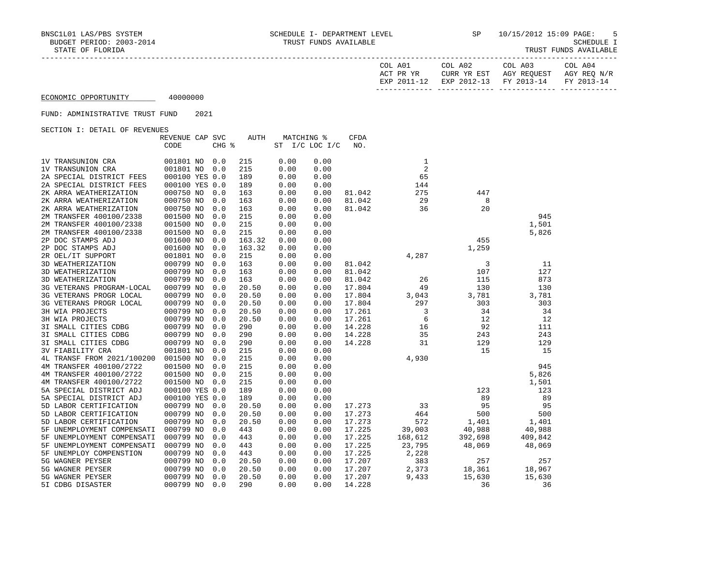| COL A01<br>ACT PR YR | COL A02<br>CURR YR EST            | COL A03<br>AGY REOUEST | COL A04<br>AGY REO N/R |
|----------------------|-----------------------------------|------------------------|------------------------|
| EXP 2011-12          | EXP 2012-13 FY 2013-14 FY 2013-14 |                        |                        |

# FUND: ADMINISTRATIVE TRUST FUND 2021

| ORCITON I: DRIAIN OF KRYBNORD |                 |       |             |      |                |             |         |         |         |
|-------------------------------|-----------------|-------|-------------|------|----------------|-------------|---------|---------|---------|
|                               | REVENUE CAP SVC |       | <b>AUTH</b> |      | MATCHING %     | <b>CFDA</b> |         |         |         |
|                               | CODE            | CHG % |             |      | ST I/C LOC I/C | NO.         |         |         |         |
|                               |                 |       |             |      |                |             |         |         |         |
| 1V TRANSUNION CRA             | 001801 NO       | 0.0   | 215         | 0.00 | 0.00           |             | 1       |         |         |
| 1V TRANSUNION CRA             | 001801 NO       | 0.0   | 215         | 0.00 | 0.00           |             | 2       |         |         |
| 2A SPECIAL DISTRICT FEES      | 000100 YES 0.0  |       | 189         | 0.00 | 0.00           |             | 65      |         |         |
| 2A SPECIAL DISTRICT FEES      | 000100 YES 0.0  |       | 189         | 0.00 | 0.00           |             | 144     |         |         |
| 2K ARRA WEATHERIZATION        | 000750 NO       | 0.0   | 163         | 0.00 | 0.00           | 81.042      | 275     | 447     |         |
| 2K ARRA WEATHERIZATION        | 000750 NO       | 0.0   | 163         | 0.00 | 0.00           | 81.042      | 29      | 8       |         |
| 2K ARRA WEATHERIZATION        | 000750 NO       | 0.0   | 163         | 0.00 | 0.00           | 81.042      | 36      | 20      |         |
| 2M TRANSFER 400100/2338       | 001500 NO       | 0.0   | 215         | 0.00 | 0.00           |             |         |         | 945     |
| 2M TRANSFER 400100/2338       | 001500 NO       | 0.0   | 215         | 0.00 | 0.00           |             |         |         | 1,501   |
| 2M TRANSFER 400100/2338       | 001500 NO       | 0.0   | 215         | 0.00 | 0.00           |             |         |         | 5,826   |
| 2P DOC STAMPS ADJ             | 001600 NO       | 0.0   | 163.32      | 0.00 | 0.00           |             |         | 455     |         |
| 2P DOC STAMPS ADJ             | 001600 NO       | 0.0   | 163.32      | 0.00 | 0.00           |             |         | 1,259   |         |
| 2R OEL/IT SUPPORT             | 001801 NO       | 0.0   | 215         | 0.00 | 0.00           |             | 4,287   |         |         |
| 3D WEATHERIZATION             | 000799 NO       | 0.0   | 163         | 0.00 | 0.00           | 81.042      |         | 3       | 11      |
|                               | 000799 NO       |       | 163         |      |                | 81.042      |         | 107     | 127     |
| 3D WEATHERIZATION             |                 | 0.0   |             | 0.00 | 0.00           |             |         |         |         |
| 3D WEATHERIZATION             | 000799 NO       | 0.0   | 163         | 0.00 | 0.00           | 81.042      | 26      | 115     | 873     |
| 3G VETERANS PROGRAM-LOCAL     | 000799 NO       | 0.0   | 20.50       | 0.00 | 0.00           | 17.804      | 49      | 130     | 130     |
| 3G VETERANS PROGR LOCAL       | 000799 NO       | 0.0   | 20.50       | 0.00 | 0.00           | 17.804      | 3,043   | 3,781   | 3,781   |
| 3G VETERANS PROGR LOCAL       | 000799 NO       | 0.0   | 20.50       | 0.00 | 0.00           | 17.804      | 297     | 303     | 303     |
| 3H WIA PROJECTS               | 000799 NO       | 0.0   | 20.50       | 0.00 | 0.00           | 17.261      | 3       | 34      | 34      |
| 3H WIA PROJECTS               | 000799 NO       | 0.0   | 20.50       | 0.00 | 0.00           | 17.261      | 6       | 12      | 12      |
| 3I SMALL CITIES CDBG          | 000799 NO       | 0.0   | 290         | 0.00 | 0.00           | 14.228      | 16      | 92      | 111     |
| 3I SMALL CITIES CDBG          | 000799 NO       | 0.0   | 290         | 0.00 | 0.00           | 14.228      | 35      | 243     | 243     |
| 3I SMALL CITIES CDBG          | 000799 NO       | 0.0   | 290         | 0.00 | 0.00           | 14.228      | 31      | 129     | 129     |
| <b>3V FIABILITY CRA</b>       | 001801 NO       | 0.0   | 215         | 0.00 | 0.00           |             |         | 15      | 15      |
| 4L TRANSF FROM 2021/100200    | 001500 NO       | 0.0   | 215         | 0.00 | 0.00           |             | 4,930   |         |         |
| 4M TRANSFER 400100/2722       | 001500 NO       | 0.0   | 215         | 0.00 | 0.00           |             |         |         | 945     |
| 4M TRANSFER 400100/2722       | 001500 NO       | 0.0   | 215         | 0.00 | 0.00           |             |         |         | 5,826   |
| 4M TRANSFER 400100/2722       | 001500 NO       | 0.0   | 215         | 0.00 | 0.00           |             |         |         | 1,501   |
| 5A SPECIAL DISTRICT ADJ       | 000100 YES 0.0  |       | 189         | 0.00 | 0.00           |             |         | 123     | 123     |
| 5A SPECIAL DISTRICT ADJ       | 000100 YES 0.0  |       | 189         | 0.00 | 0.00           |             |         | 89      | 89      |
| 5D LABOR CERTIFICATION        | 000799 NO       | 0.0   | 20.50       | 0.00 | 0.00           | 17.273      | 33      | 95      | 95      |
| 5D LABOR CERTIFICATION        | 000799 NO       | 0.0   | 20.50       | 0.00 | 0.00           | 17.273      | 464     | 500     | 500     |
| 5D LABOR CERTIFICATION        | 000799 NO       | 0.0   | 20.50       | 0.00 | 0.00           | 17.273      | 572     | 1,401   | 1,401   |
| 5F UNEMPLOYMENT COMPENSATI    | 000799 NO       | 0.0   | 443         | 0.00 | 0.00           | 17.225      | 39,003  | 40,988  | 40,988  |
|                               | 000799 NO       |       | 443         | 0.00 | 0.00           | 17.225      | 168,612 | 392,698 | 409,842 |
| 5F UNEMPLOYMENT COMPENSATI    |                 | 0.0   |             |      |                |             |         |         |         |
| 5F UNEMPLOYMENT COMPENSATI    | 000799 NO       | 0.0   | 443         | 0.00 | 0.00           | 17.225      | 23,795  | 48,069  | 48,069  |
| 5F UNEMPLOY COMPENSTION       | 000799 NO       | 0.0   | 443         | 0.00 | 0.00           | 17.225      | 2,228   |         |         |
| 5G WAGNER PEYSER              | 000799 NO       | 0.0   | 20.50       | 0.00 | 0.00           | 17.207      | 383     | 257     | 257     |
| 5G WAGNER PEYSER              | 000799 NO       | 0.0   | 20.50       | 0.00 | 0.00           | 17.207      | 2,373   | 18,361  | 18,967  |
| 5G WAGNER PEYSER              | 000799 NO       | 0.0   | 20.50       | 0.00 | 0.00           | 17.207      | 9,433   | 15,630  | 15,630  |
| 5I CDBG DISASTER              | 000799 NO       | 0.0   | 290         | 0.00 | 0.00           | 14.228      |         | 36      | 36      |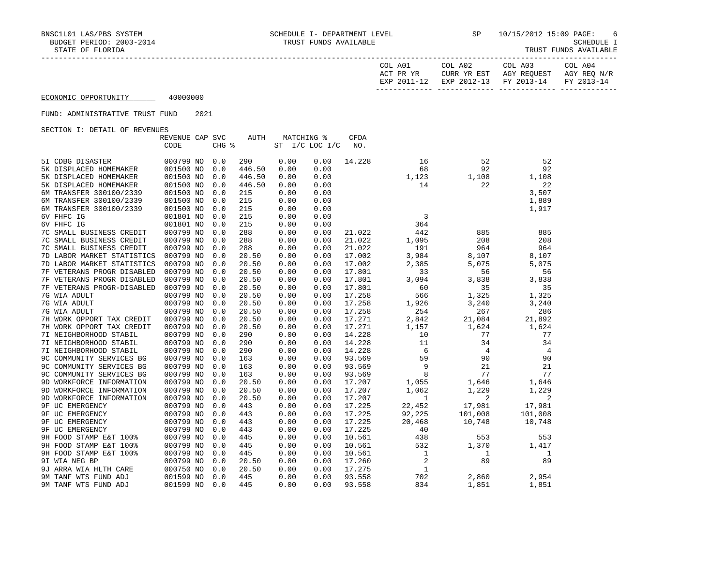| COL A01<br>ACT PR YR<br>17 – 2011 – סצק | COL A02<br>CURR YR EST<br>EXP 2012-13 | COL A03<br>AGY REOUEST<br>FY 2013-14 | COL A04<br>AGY REO N/R<br>FY 2013-14 |
|-----------------------------------------|---------------------------------------|--------------------------------------|--------------------------------------|
|                                         |                                       |                                      |                                      |

#### FUND: ADMINISTRATIVE TRUST FUND 2021

|                            | REVENUE CAP SVC |       | AUTH   |      | MATCHING %     | CFDA   |                |                |                |
|----------------------------|-----------------|-------|--------|------|----------------|--------|----------------|----------------|----------------|
|                            | CODE            | CHG % |        |      | ST I/C LOC I/C | NO.    |                |                |                |
|                            |                 |       |        |      |                |        |                |                |                |
| 5I CDBG DISASTER           | 000799 NO       | 0.0   | 290    | 0.00 | 0.00           | 14.228 | 16             | 52             | 52             |
| 5K DISPLACED HOMEMAKER     | 001500 NO       | 0.0   | 446.50 | 0.00 | 0.00           |        | 68             | 92             | 92             |
| 5K DISPLACED HOMEMAKER     | 001500 NO       | 0.0   | 446.50 | 0.00 | 0.00           |        | 1,123          | 1,108          | 1,108          |
| 5K DISPLACED HOMEMAKER     | 001500 NO       | 0.0   | 446.50 | 0.00 | 0.00           |        | 14             | 22             | 22             |
| 6M TRANSFER 300100/2339    | 001500 NO       | 0.0   | 215    | 0.00 | 0.00           |        |                |                | 3,507          |
| 6M TRANSFER 300100/2339    | 001500 NO       | 0.0   | 215    | 0.00 | 0.00           |        |                |                | 1,889          |
| 6M TRANSFER 300100/2339    | 001500 NO       | 0.0   | 215    | 0.00 | 0.00           |        |                |                | 1,917          |
| 6V FHFC IG                 | 001801 NO       | 0.0   | 215    | 0.00 | 0.00           |        | 3              |                |                |
| 6V FHFC IG                 | 001801 NO       | 0.0   | 215    | 0.00 | 0.00           |        | 364            |                |                |
| 7C SMALL BUSINESS CREDIT   | 000799 NO       | 0.0   | 288    | 0.00 | 0.00           | 21.022 | 442            | 885            | 885            |
| 7C SMALL BUSINESS CREDIT   | 000799 NO       | 0.0   | 288    | 0.00 | 0.00           | 21.022 | 1,095          | 208            | 208            |
| 7C SMALL BUSINESS CREDIT   | 000799 NO       | 0.0   | 288    | 0.00 | 0.00           | 21.022 | 191            | 964            | 964            |
| 7D LABOR MARKET STATISTICS | 000799 NO       | 0.0   | 20.50  | 0.00 | 0.00           | 17.002 | 3,984          | 8,107          | 8,107          |
| 7D LABOR MARKET STATISTICS | 000799 NO       | 0.0   | 20.50  | 0.00 | 0.00           | 17.002 | 2,385          | 5,075          | 5,075          |
| 7F VETERANS PROGR DISABLED | 000799 NO       | 0.0   | 20.50  | 0.00 | 0.00           | 17.801 | 33             | 56             | 56             |
| 7F VETERANS PROGR DISABLED | 000799 NO       | 0.0   | 20.50  | 0.00 | 0.00           | 17.801 | 3,094          | 3,838          | 3,838          |
| 7F VETERANS PROGR-DISABLED | 000799 NO       | 0.0   | 20.50  | 0.00 | 0.00           | 17.801 | 60             | 35             | 35             |
| 7G WIA ADULT               | 000799 NO       | 0.0   | 20.50  | 0.00 | 0.00           | 17.258 | 566            | 1,325          | 1,325          |
| 7G WIA ADULT               | 000799 NO       | 0.0   | 20.50  | 0.00 | 0.00           | 17.258 | 1,926          | 3,240          | 3,240          |
| 7G WIA ADULT               | 000799 NO       | 0.0   | 20.50  | 0.00 | 0.00           | 17.258 | 254            | 267            | 286            |
| 7H WORK OPPORT TAX CREDIT  | 000799 NO       | 0.0   | 20.50  | 0.00 | 0.00           | 17.271 | 2,842          | 21,084         | 21,892         |
| 7H WORK OPPORT TAX CREDIT  | 000799 NO       | 0.0   | 20.50  | 0.00 | 0.00           | 17.271 | 1,157          | 1,624          | 1,624          |
| 7I NEIGHBORHOOD STABIL     | 000799 NO       | 0.0   | 290    | 0.00 | 0.00           | 14.228 | 10             | 77             | 77             |
| 7I NEIGHBORHOOD STABIL     | 000799 NO       | 0.0   | 290    | 0.00 | 0.00           | 14.228 | 11             | 34             | 34             |
| 7I NEIGHBORHOOD STABIL     | 000799 NO       | 0.0   | 290    | 0.00 | 0.00           | 14.228 | 6              | $\overline{4}$ | $\overline{4}$ |
| 9C COMMUNITY SERVICES BG   | 000799 NO       | 0.0   | 163    | 0.00 | 0.00           | 93.569 | 59             | 90             | 90             |
| 9C COMMUNITY SERVICES BG   | 000799 NO       | 0.0   | 163    | 0.00 | 0.00           | 93.569 | 9              | 21             | 21             |
| 9C COMMUNITY SERVICES BG   | 000799 NO       | 0.0   | 163    | 0.00 | 0.00           | 93.569 | 8              | 77             | 77             |
| 9D WORKFORCE INFORMATION   | 000799 NO       | 0.0   | 20.50  | 0.00 | 0.00           | 17.207 | 1,055          | 1,646          | 1,646          |
| 9D WORKFORCE INFORMATION   | 000799 NO       | 0.0   | 20.50  | 0.00 | 0.00           | 17.207 | 1,062          | 1,229          | 1,229          |
| 9D WORKFORCE INFORMATION   | 000799 NO       | 0.0   | 20.50  | 0.00 | 0.00           | 17.207 | $\mathbf{1}$   | 2              | 2              |
| 9F UC EMERGENCY            | 000799 NO       | 0.0   | 443    | 0.00 | 0.00           | 17.225 | 22,452         | 17,981         | 17,981         |
| 9F UC EMERGENCY            | 000799 NO       | 0.0   | 443    | 0.00 | 0.00           | 17.225 | 92,225         | 101,008        | 101,008        |
| 9F UC EMERGENCY            | 000799 NO       | 0.0   | 443    | 0.00 | 0.00           | 17.225 | 20,468         | 10,748         | 10,748         |
| 9F UC EMERGENCY            | 000799 NO       | 0.0   | 443    | 0.00 | 0.00           | 17.225 | 40             |                |                |
| 9H FOOD STAMP E&T 100%     | 000799 NO       | 0.0   | 445    | 0.00 | 0.00           | 10.561 | 438            | 553            | 553            |
| 9H FOOD STAMP E&T 100%     | 000799 NO       | 0.0   | 445    | 0.00 | 0.00           | 10.561 | 532            | 1,370          | 1,417          |
| 9H FOOD STAMP E&T 100%     | 000799 NO       | 0.0   | 445    | 0.00 | 0.00           | 10.561 | 1              | 1              | 1              |
| 9I WIA NEG BP              | 000799 NO       | 0.0   | 20.50  | 0.00 | 0.00           | 17.260 | $\overline{2}$ | 89             | 89             |
| 9J ARRA WIA HLTH CARE      | 000750 NO       | 0.0   | 20.50  | 0.00 | 0.00           | 17.275 | $\mathbf{1}$   |                |                |
| 9M TANF WTS FUND ADJ       | 001599 NO       | 0.0   | 445    | 0.00 | 0.00           | 93.558 | 702            | 2,860          | 2,954          |
| 9M TANF WTS FUND ADJ       | 001599 NO       | 0.0   | 445    | 0.00 | 0.00           | 93.558 | 834            | 1,851          | 1,851          |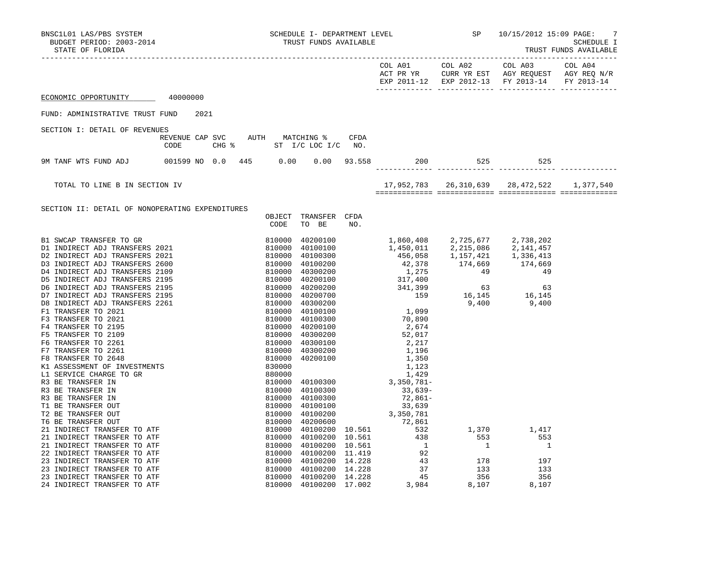| BNSC1L01 LAS/PBS SYSTEM<br>BUDGET PERIOD: 2003-2014<br>STATE OF FLORIDA |                                                                          |                                    |     |  |                                               | -7<br>SCHEDULE I<br>TRUST FUNDS AVAILABLE |
|-------------------------------------------------------------------------|--------------------------------------------------------------------------|------------------------------------|-----|--|-----------------------------------------------|-------------------------------------------|
|                                                                         |                                                                          |                                    |     |  | EXP 2011-12 EXP 2012-13 FY 2013-14 FY 2013-14 |                                           |
| ECONOMIC OPPORTUNITY 40000000                                           |                                                                          |                                    |     |  |                                               |                                           |
| FUND: ADMINISTRATIVE TRUST FUND                                         | 2021                                                                     |                                    |     |  |                                               |                                           |
| SECTION I: DETAIL OF REVENUES                                           |                                                                          |                                    |     |  |                                               |                                           |
|                                                                         | REVENUE CAP SVC AUTH MATCHING % CFDA<br>CHG % ST I/C LOC I/C NO.<br>CODE |                                    |     |  |                                               |                                           |
|                                                                         |                                                                          |                                    |     |  |                                               |                                           |
| TOTAL TO LINE B IN SECTION IV                                           |                                                                          |                                    |     |  |                                               |                                           |
| SECTION II: DETAIL OF NONOPERATING EXPENDITURES                         |                                                                          | OBJECT TRANSFER CFDA<br>CODE TO BE | NO. |  |                                               |                                           |
|                                                                         |                                                                          |                                    |     |  |                                               |                                           |
|                                                                         |                                                                          |                                    |     |  |                                               |                                           |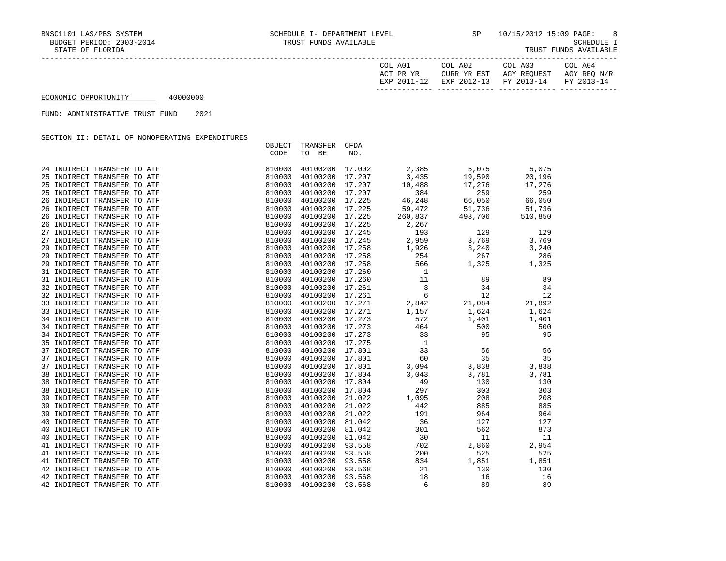| COL A01<br>ACT PR YR | COL A02<br>CURR YR EST            | COL A03<br>AGY REOUEST | COL A04<br>AGY REO N/R |
|----------------------|-----------------------------------|------------------------|------------------------|
| EXP 2011-12          | EXP 2012-13 FY 2013-14 FY 2013-14 |                        |                        |

FUND: ADMINISTRATIVE TRUST FUND 2021

SECTION II: DETAIL OF NONOPERATING EXPENDITURES

|                             | OBJECT | TRANSFER        | CFDA             |                                                                                                                                     |                     |             |
|-----------------------------|--------|-----------------|------------------|-------------------------------------------------------------------------------------------------------------------------------------|---------------------|-------------|
|                             | CODE   | TO BE           | NO.              |                                                                                                                                     |                     |             |
|                             |        |                 |                  |                                                                                                                                     |                     |             |
| 24 INDIRECT TRANSFER TO ATF | 810000 | 40100200        |                  |                                                                                                                                     |                     | 5,075       |
| 25 INDIRECT TRANSFER TO ATF | 810000 | 40100200        |                  | $17.002$ $2,385$ $5,075$<br>$17.207$ $3,435$ $19,590$                                                                               |                     | 20,196      |
| 25 INDIRECT TRANSFER TO ATF | 810000 | 40100200        | 17.207           | 10,488                                                                                                                              | 17,276              | 17,276      |
| 25 INDIRECT TRANSFER TO ATF | 810000 | 40100200        |                  |                                                                                                                                     |                     | 259         |
| 26 INDIRECT TRANSFER TO ATF | 810000 | 40100200        |                  |                                                                                                                                     |                     | 66,050      |
| 26 INDIRECT TRANSFER TO ATF | 810000 | 40100200        |                  | $17.207$<br>$17.207$<br>$17.225$<br>$17.225$<br>$17.225$<br>$17.225$<br>$17.225$<br>$17.225$<br>$260,837$<br>$493,706$<br>$5$       |                     | 51,736      |
| 26 INDIRECT TRANSFER TO ATF | 810000 | 40100200        |                  |                                                                                                                                     |                     | 510,850     |
| 26 INDIRECT TRANSFER TO ATF | 810000 | 40100200        | 17.225           | 2,267                                                                                                                               |                     |             |
| 27 INDIRECT TRANSFER TO ATF | 810000 | 40100200        | 17.225<br>17.245 | $\frac{2}{193}$                                                                                                                     | 129                 | 129         |
| 27 INDIRECT TRANSFER TO ATF | 810000 | 40100200 17.245 |                  | 2,959                                                                                                                               | 3,769               | 3,769       |
| 29 INDIRECT TRANSFER TO ATF | 810000 | 40100200        |                  |                                                                                                                                     |                     | 3,240       |
| 29 INDIRECT TRANSFER TO ATF | 810000 | 40100200        |                  |                                                                                                                                     | 3,240<br>267        | 286         |
| 29 INDIRECT TRANSFER TO ATF | 810000 | 40100200        |                  |                                                                                                                                     | 1,325               | 1,325       |
| 31 INDIRECT TRANSFER TO ATF | 810000 | 40100200        |                  |                                                                                                                                     |                     |             |
| 31 INDIRECT TRANSFER TO ATF | 810000 | 40100200        |                  |                                                                                                                                     |                     | 89          |
| 32 INDIRECT TRANSFER TO ATF | 810000 | 40100200        |                  |                                                                                                                                     |                     | 34          |
| 32 INDIRECT TRANSFER TO ATF | 810000 | 40100200        |                  |                                                                                                                                     |                     | 12          |
| 33 INDIRECT TRANSFER TO ATF | 810000 | 40100200        |                  |                                                                                                                                     |                     | 21,892      |
| 33 INDIRECT TRANSFER TO ATF | 810000 | 40100200        |                  |                                                                                                                                     |                     | 1,624       |
| 34 INDIRECT TRANSFER TO ATF | 810000 |                 |                  | 40100200 17.273 572                                                                                                                 | 1,401               | 1,401       |
| 34 INDIRECT TRANSFER TO ATF | 810000 | 40100200        |                  |                                                                                                                                     | 500                 | 500         |
| 34 INDIRECT TRANSFER TO ATF | 810000 | 40100200        |                  |                                                                                                                                     | 95                  | 95          |
| 35 INDIRECT TRANSFER TO ATF | 810000 |                 |                  | $17.273$<br>$17.273$<br>$17.273$<br>$17.275$<br>$1$<br>$17.801$<br>$17.801$<br>$17.801$<br>$17.801$<br>$3,094$<br>40100200 17.275 1 |                     |             |
| 37 INDIRECT TRANSFER TO ATF | 810000 | 40100200        |                  |                                                                                                                                     | 56                  | 56          |
| 37 INDIRECT TRANSFER TO ATF | 810000 | 40100200        |                  |                                                                                                                                     | 35                  | 35          |
| 37 INDIRECT TRANSFER TO ATF | 810000 | 40100200        |                  |                                                                                                                                     |                     | 3,838 3,838 |
| 38 INDIRECT TRANSFER TO ATF | 810000 | 40100200        | 17.804           | 3,043                                                                                                                               | 3,781               | 3,781       |
| 38 INDIRECT TRANSFER TO ATF | 810000 | 40100200        |                  | 49                                                                                                                                  |                     | 130         |
| 38 INDIRECT TRANSFER TO ATF | 810000 | 40100200        | 17.804<br>17.804 | 297                                                                                                                                 | $\frac{130}{303}$   | 303         |
| 39 INDIRECT TRANSFER TO ATF | 810000 | 40100200        | 21.022           | 1,095                                                                                                                               | 208                 | 208         |
| 39 INDIRECT TRANSFER TO ATF | 810000 | 40100200        | 21.022           | 442                                                                                                                                 |                     | 885         |
| 39 INDIRECT TRANSFER TO ATF | 810000 | 40100200        | 21.022           | 191                                                                                                                                 | 885<br>964          | 964         |
| 40 INDIRECT TRANSFER TO ATF | 810000 | 40100200        | 81.042           | 36                                                                                                                                  | 127                 | 127         |
| 40 INDIRECT TRANSFER TO ATF | 810000 | 40100200        | 81.042           | 301                                                                                                                                 | 562                 | 873         |
| 40 INDIRECT TRANSFER TO ATF | 810000 | 40100200        | 81.042           | 30                                                                                                                                  | 11                  | 11          |
| 41 INDIRECT TRANSFER TO ATF | 810000 | 40100200        | 93.558           | 702                                                                                                                                 | 2,860               | 2,954       |
| 41 INDIRECT TRANSFER TO ATF | 810000 | 40100200        | 93.558           | 200                                                                                                                                 | 525                 | 525         |
| 41 INDIRECT TRANSFER TO ATF | 810000 | 40100200        | 93.558           | 834                                                                                                                                 |                     | 1,851       |
| 42 INDIRECT TRANSFER TO ATF | 810000 | 40100200        | 93.568           | $\begin{array}{c} 834 \\ 21 \end{array}$                                                                                            | 1,851<br>130<br>130 | 130         |
| 42 INDIRECT TRANSFER TO ATF | 810000 | 40100200        | 93.568           | 18                                                                                                                                  | 16                  | 16          |
| 42 INDIRECT TRANSFER TO ATF | 810000 | 40100200        | 93.568           | 6                                                                                                                                   | 89                  | 89          |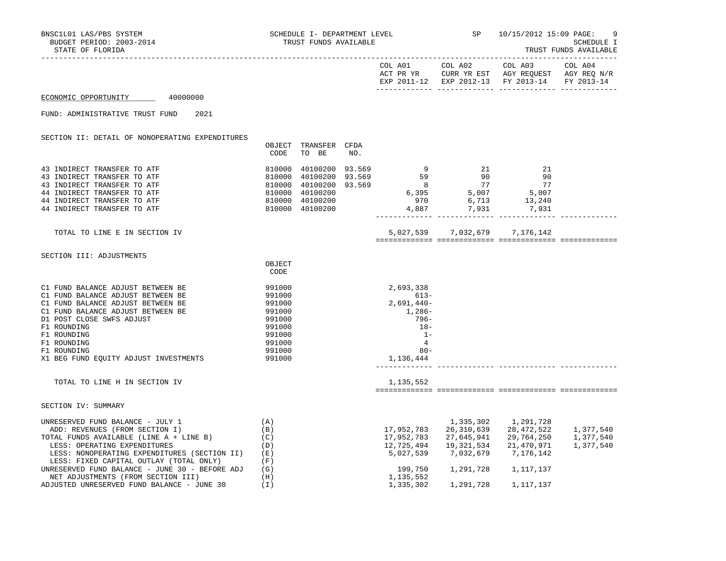TRUST FUNDS AVAILABLE

|                                                                                                                                                                                                                                                                                                                                         |                                                                                                  |                                                                                                           |     |                                                                                                                                                                                                                                                                                                               |                                                                                                                                     | EXP 2011-12 EXP 2012-13 FY 2013-14 FY 2013-14   |                                     |
|-----------------------------------------------------------------------------------------------------------------------------------------------------------------------------------------------------------------------------------------------------------------------------------------------------------------------------------------|--------------------------------------------------------------------------------------------------|-----------------------------------------------------------------------------------------------------------|-----|---------------------------------------------------------------------------------------------------------------------------------------------------------------------------------------------------------------------------------------------------------------------------------------------------------------|-------------------------------------------------------------------------------------------------------------------------------------|-------------------------------------------------|-------------------------------------|
| ECONOMIC OPPORTUNITY 40000000                                                                                                                                                                                                                                                                                                           |                                                                                                  |                                                                                                           |     |                                                                                                                                                                                                                                                                                                               |                                                                                                                                     |                                                 |                                     |
| 2021<br>FUND: ADMINISTRATIVE TRUST FUND                                                                                                                                                                                                                                                                                                 |                                                                                                  |                                                                                                           |     |                                                                                                                                                                                                                                                                                                               |                                                                                                                                     |                                                 |                                     |
| SECTION II: DETAIL OF NONOPERATING EXPENDITURES                                                                                                                                                                                                                                                                                         | CODE                                                                                             | OBJECT TRANSFER CFDA<br>TO BE                                                                             | NO. |                                                                                                                                                                                                                                                                                                               |                                                                                                                                     |                                                 |                                     |
| 43 INDIRECT TRANSFER TO ATF<br>43 INDIRECT TRANSFER TO ATF<br>43 INDIRECT TRANSFER TO ATF<br>44 INDIRECT TRANSFER TO ATF<br>44 INDIRECT TRANSFER TO ATF<br>44 INDIRECT TRANSFER TO ATF                                                                                                                                                  |                                                                                                  | 810000 40100200 93.569<br>810000 40100200 93.569<br>810000 40100200<br>810000 40100200<br>810000 40100200 |     | $\begin{array}{cccccccc} 810000 & 40100200 & 93.569 & & & 9 & & 21 & & 21 \\ 810000 & 40100200 & 93.569 & & & 59 & & 90 & & 90 \\ 810000 & 40100200 & 93.569 & & & 8 & & 77 & & 77 \\ 810000 & 40100200 & & & & & 6,395 & & 5,007 & & 5,007 \\ 810000 & 40100200 & & & & & 970 & & 6,713 & & 13,240$<br>4,887 | 7,931 7,931                                                                                                                         |                                                 |                                     |
| TOTAL TO LINE E IN SECTION IV                                                                                                                                                                                                                                                                                                           |                                                                                                  |                                                                                                           |     |                                                                                                                                                                                                                                                                                                               | 5,027,539 7,032,679 7,176,142                                                                                                       |                                                 |                                     |
| SECTION III: ADJUSTMENTS                                                                                                                                                                                                                                                                                                                | OBJECT<br>CODE                                                                                   |                                                                                                           |     |                                                                                                                                                                                                                                                                                                               |                                                                                                                                     |                                                 |                                     |
| C1 FUND BALANCE ADJUST BETWEEN BE<br>C1 FUND BALANCE ADJUST BETWEEN BE<br>C1 FUND BALANCE ADJUST BETWEEN BE<br>C1 FUND BALANCE ADJUST BETWEEN BE<br>D1 POST CLOSE SWFS ADJUST<br>F1 ROUNDING<br>F1 ROUNDING<br>F1 ROUNDING<br>F1 ROUNDING<br>X1 BEG FUND EQUITY ADJUST INVESTMENTS                                                      | 991000<br>991000<br>991000<br>991000<br>991000<br>991000<br>991000<br>991000<br>991000<br>991000 |                                                                                                           |     | 2,693,338<br>613-<br>2,691,440-<br>1,286-<br>796-<br>$18-$<br>$1 -$<br>$\overline{4}$<br>$80 -$<br>1,136,444                                                                                                                                                                                                  |                                                                                                                                     |                                                 |                                     |
| TOTAL TO LINE H IN SECTION IV                                                                                                                                                                                                                                                                                                           |                                                                                                  |                                                                                                           |     | 1,135,552                                                                                                                                                                                                                                                                                                     |                                                                                                                                     |                                                 |                                     |
| SECTION IV: SUMMARY                                                                                                                                                                                                                                                                                                                     |                                                                                                  |                                                                                                           |     |                                                                                                                                                                                                                                                                                                               |                                                                                                                                     |                                                 |                                     |
| UNRESERVED FUND BALANCE - JULY 1<br>ADD: REVENUES (FROM SECTION I)<br>(C)<br>TOTAL FUNDS AVAILABLE (LINE A + LINE B)<br>LESS: OPERATING EXPENDITURES<br>LESS: NONOPERATING EXPENDITURES (SECTION II)<br>LESS: FIXED CAPITAL OUTLAY (TOTAL ONLY)<br>UNRESERVED FUND BALANCE - JUNE 30 - BEFORE ADJ<br>NET ADJUSTMENTS (FROM SECTION III) | (A)<br>(B)<br>(D)<br>(E)<br>(F)<br>(G)<br>(H)                                                    |                                                                                                           |     | 17,952,783<br>199,750<br>1.135.552                                                                                                                                                                                                                                                                            | 26,310,639<br>17,952,783 27,645,941<br>12,725,494   19,321,534   21,470,971<br>5,027,539 7,032,679 7,176,142<br>1,291,728 1,117,137 | 1,335,302 1,291,728<br>28,472,522<br>29,764,250 | 1,377,540<br>1,377,540<br>1,377,540 |

NET ADJUSTMENTS (FROM SECTION III) (H)<br>ADJUSTED UNRESERVED FUND BALANCE – JUNE 30 (I) (H) 1,335,302 1,291,728

ADJUSTED UNRESERVED FUND BALANCE - JUNE 30 (I) 1,335,302 1,291,728 1,117,137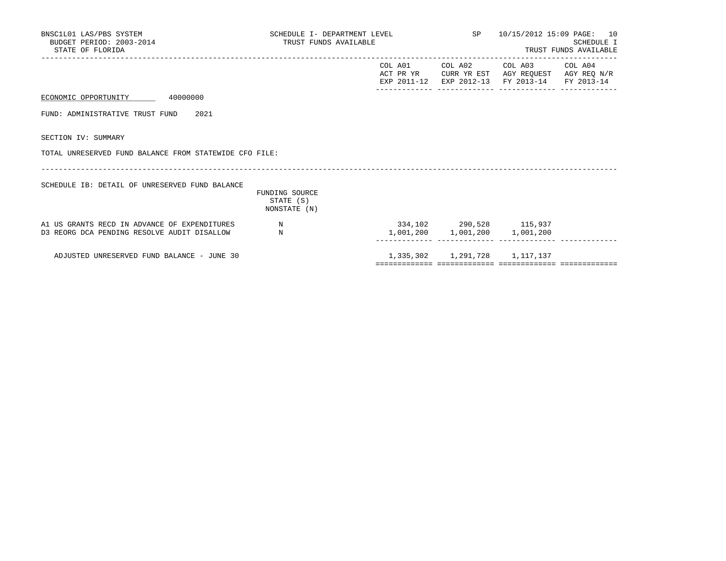| BNSC1L01 LAS/PBS SYSTEM<br>BUDGET PERIOD: 2003-2014<br>STATE OF FLORIDA                     | SCHEDULE I- DEPARTMENT LEVEL<br>TRUST FUNDS AVAILABLE |                         |                 | SP 10/15/2012 15:09 PAGE: 10<br><b>SCHEDULE I</b><br>TRUST FUNDS AVAILABLE                                        |  |
|---------------------------------------------------------------------------------------------|-------------------------------------------------------|-------------------------|-----------------|-------------------------------------------------------------------------------------------------------------------|--|
|                                                                                             |                                                       |                         | COL A01 COL A02 | COL A03 COL A04<br>ACT PR YR CURR YR EST AGY REOUEST AGY REO N/R<br>EXP 2011-12 EXP 2012-13 FY 2013-14 FY 2013-14 |  |
| ECONOMIC OPPORTUNITY 40000000                                                               |                                                       |                         |                 |                                                                                                                   |  |
| FUND: ADMINISTRATIVE TRUST FUND 2021                                                        |                                                       |                         |                 |                                                                                                                   |  |
| SECTION IV: SUMMARY                                                                         |                                                       |                         |                 |                                                                                                                   |  |
| TOTAL UNRESERVED FUND BALANCE FROM STATEWIDE CFO FILE:                                      |                                                       |                         |                 |                                                                                                                   |  |
| SCHEDULE IB: DETAIL OF UNRESERVED FUND BALANCE                                              | FUNDING SOURCE<br>STATE (S)<br>NONSTATE (N)           |                         |                 |                                                                                                                   |  |
| A1 US GRANTS RECD IN ADVANCE OF EXPENDITURES<br>D3 REORG DCA PENDING RESOLVE AUDIT DISALLOW | $\mathbb N$<br>N                                      | 334,102 290,528 115,937 |                 | 1,001,200 1,001,200 1,001,200                                                                                     |  |
| ADJUSTED UNRESERVED FUND BALANCE - JUNE 30                                                  |                                                       |                         |                 | 1, 335, 302 1, 291, 728 1, 117, 137                                                                               |  |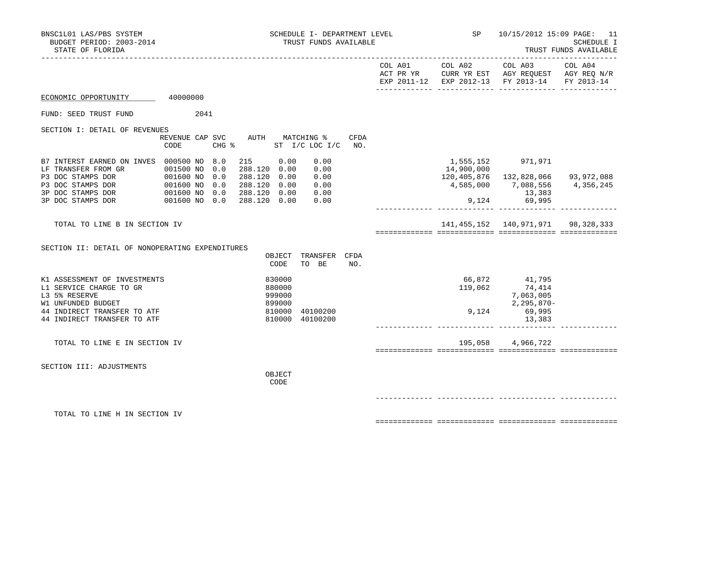| BNSC1L01 LAS/PBS SYSTEM<br>BUDGET PERIOD: 2003-2014<br>STATE OF FLORIDA                                                                                                                                                        |                                         | SCHEDULE I- DEPARTMENT LEVEL $SP$ 10/15/2012 15:09 PAGE: 11<br>TRUST FUNDS AVAILABLE                                                     |              |                                                                                                                                                                               | SCHEDULE I<br>TRUST FUNDS AVAILABLE |
|--------------------------------------------------------------------------------------------------------------------------------------------------------------------------------------------------------------------------------|-----------------------------------------|------------------------------------------------------------------------------------------------------------------------------------------|--------------|-------------------------------------------------------------------------------------------------------------------------------------------------------------------------------|-------------------------------------|
|                                                                                                                                                                                                                                |                                         |                                                                                                                                          |              | $COL A01 \qquad \qquad COL A02 \qquad \qquad COL A03 \qquad \qquad COL A04$<br>ACT PR YR CURR YR EST AGY REQUEST AGY REQ N/R<br>EXP 2011-12 EXP 2012-13 FY 2013-14 FY 2013-14 |                                     |
| ECONOMIC OPPORTUNITY 40000000                                                                                                                                                                                                  |                                         |                                                                                                                                          |              |                                                                                                                                                                               |                                     |
| FUND: SEED TRUST FUND                                                                                                                                                                                                          | 2041                                    |                                                                                                                                          |              |                                                                                                                                                                               |                                     |
| SECTION I: DETAIL OF REVENUES                                                                                                                                                                                                  | REVENUE CAP SVC AUTH MATCHING %<br>CODE | CFDA<br>CHG % ST I/C LOC I/C<br>NO.                                                                                                      |              |                                                                                                                                                                               |                                     |
| B7 INTERST EARNED ON INVES 000500 NO 8.0<br>LF TRANSFER FROM GR  001500 NO 0.0<br>P3 DOC STAMPS DOR  001600 NO 0.0<br>P3 DOC STAMPS DOR  001600 NO 0.0<br>3P DOC STAMPS DOR  001600 NO 0.0<br>3P DOC STAMPS DOR  001600 NO 0.0 |                                         | 215 0.00<br>0.00<br>288.120 0.00<br>0.00<br>288.120 0.00<br>0.00<br>288.120 0.00<br>0.00<br>288.120 0.00<br>0.00<br>288.120 0.00<br>0.00 | 14,900,000   | 1,555,152 971,971<br>120,405,876  132,828,066  93,972,088<br>4,585,000 7,088,556 4,356,245<br>13,383<br>$9,124$ 69,995                                                        |                                     |
| TOTAL TO LINE B IN SECTION IV                                                                                                                                                                                                  |                                         |                                                                                                                                          |              | 141, 455, 152 140, 971, 971 98, 328, 333                                                                                                                                      |                                     |
| SECTION II: DETAIL OF NONOPERATING EXPENDITURES                                                                                                                                                                                |                                         | OBJECT TRANSFER CFDA<br>TO BE<br>CODE<br>NO.                                                                                             |              |                                                                                                                                                                               |                                     |
| K1 ASSESSMENT OF INVESTMENTS<br>L1 SERVICE CHARGE TO GR<br>L3 5% RESERVE<br>W1 UNFUNDED BUDGET<br>44 INDIRECT TRANSFER TO ATF<br>44 INDIRECT TRANSFER TO ATF                                                                   |                                         | 830000<br>880000<br>999000<br>899000<br>810000 40100200<br>810000 40100200                                                               | 9,124 69,995 | 66,872 41,795<br>119,062 74,414<br>7,063,005<br>2,295,870-<br>13,383                                                                                                          |                                     |
| TOTAL TO LINE E IN SECTION IV                                                                                                                                                                                                  |                                         |                                                                                                                                          |              | 195,058 4,966,722                                                                                                                                                             |                                     |
| SECTION III: ADJUSTMENTS                                                                                                                                                                                                       |                                         | OBJECT<br>CODE                                                                                                                           |              |                                                                                                                                                                               |                                     |
| TOTAL TO LINE H IN SECTION IV                                                                                                                                                                                                  |                                         |                                                                                                                                          |              |                                                                                                                                                                               |                                     |

============= ============= ============= =============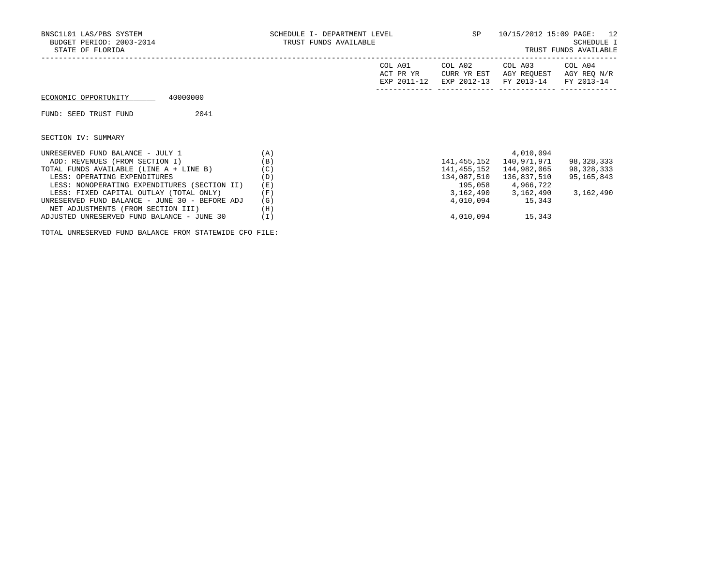| BNSC1L01 LAS/PBS SYSTEM<br>BUDGET PERIOD: 2003-2014<br>STATE OF FLORIDA | SCHEDULE I- DEPARTMENT LEVEL<br>TRUST FUNDS AVAILABLE |                                     | SP                                    | 10/15/2012 15:09 PAGE: 12            | SCHEDULE I<br>TRUST FUNDS AVAILABLE  |
|-------------------------------------------------------------------------|-------------------------------------------------------|-------------------------------------|---------------------------------------|--------------------------------------|--------------------------------------|
|                                                                         |                                                       | COL A01<br>ACT PR YR<br>EXP 2011-12 | COL A02<br>CURR YR EST<br>EXP 2012-13 | COL A03<br>AGY REOUEST<br>FY 2013-14 | COL A04<br>AGY REO N/R<br>FY 2013-14 |
| 40000000<br>ECONOMIC OPPORTUNITY                                        |                                                       |                                     |                                       |                                      |                                      |
| 2041<br>FUND: SEED TRUST FUND                                           |                                                       |                                     |                                       |                                      |                                      |
| SECTION IV: SUMMARY                                                     |                                                       |                                     |                                       |                                      |                                      |
| UNRESERVED FUND BALANCE - JULY 1                                        | (A)                                                   |                                     |                                       | 4,010,094                            |                                      |
| ADD: REVENUES (FROM SECTION I)                                          | (B)                                                   |                                     | 141,455,152                           | 140,971,971                          | 98,328,333                           |
| TOTAL FUNDS AVAILABLE (LINE A + LINE B)                                 | (C)                                                   |                                     | 141,455,152                           | 144,982,065                          | 98,328,333                           |
| LESS: OPERATING EXPENDITURES                                            | (D)                                                   |                                     | 134,087,510                           | 136,837,510                          | 95,165,843                           |
| LESS: NONOPERATING EXPENDITURES (SECTION II)                            | (E)                                                   |                                     |                                       | 195,058 4,966,722                    |                                      |
| LESS: FIXED CAPITAL OUTLAY (TOTAL ONLY)                                 | (F)                                                   |                                     |                                       | 3, 162, 490 3, 162, 490              | 3,162,490                            |
| UNRESERVED FUND BALANCE - JUNE 30 - BEFORE ADJ                          | (G)                                                   |                                     |                                       | 4,010,094 15,343                     |                                      |
| NET ADJUSTMENTS (FROM SECTION III)                                      | (H)                                                   |                                     |                                       |                                      |                                      |
| ADJUSTED UNRESERVED FUND BALANCE - JUNE 30                              | (I)                                                   |                                     |                                       | 4,010,094 15,343                     |                                      |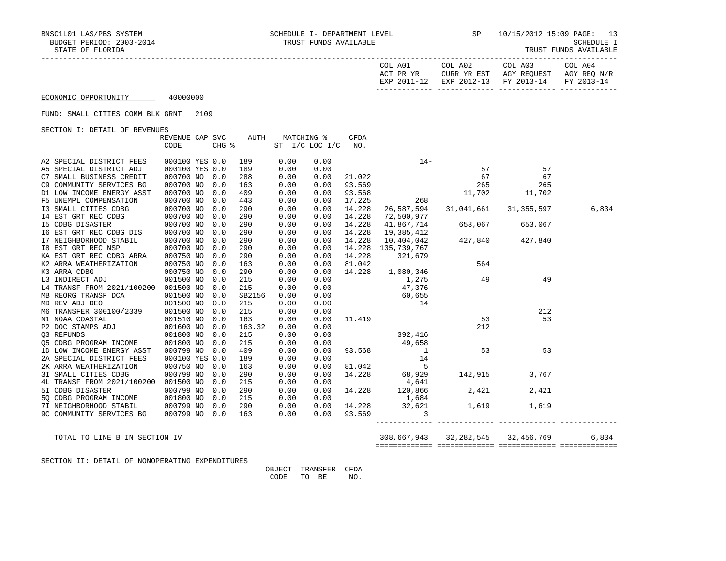|  | TRUST FUNDS AVAILABLE |
|--|-----------------------|
|  |                       |

| COL A01<br>ACT PR YR | COL A02<br>CURR YR EST | COL A03<br>AGY REOUEST | COL A04<br>AGY REO N/R |
|----------------------|------------------------|------------------------|------------------------|
| EXP 2011-12          | EXP 2012-13 FY 2013-14 |                        | FY 2013-14             |

FUND: SMALL CITIES COMM BLK GRNT 2109

SECTION I: DETAIL OF REVENUES

|                                      | REVENUE CAP SVC |       | AUTH   |      | MATCHING %     | <b>CFDA</b> |                                                        |                       |         |       |
|--------------------------------------|-----------------|-------|--------|------|----------------|-------------|--------------------------------------------------------|-----------------------|---------|-------|
|                                      | CODE            | CHG % |        |      | ST I/C LOC I/C | NO.         |                                                        |                       |         |       |
|                                      |                 |       |        |      |                |             |                                                        |                       |         |       |
| A2 SPECIAL DISTRICT FEES             | 000100 YES 0.0  |       | 189    | 0.00 | 0.00           |             | $14-$                                                  |                       |         |       |
| A5 SPECIAL DISTRICT ADJ              | 000100 YES 0.0  |       | 189    | 0.00 | 0.00           |             |                                                        | 57                    | 57      |       |
| C7 SMALL BUSINESS CREDIT             | 000700 NO       | 0.0   | 288    | 0.00 | 0.00           | 21.022      |                                                        | 67                    | 67      |       |
| C9 COMMUNITY SERVICES BG             | 000700 NO       | 0.0   | 163    | 0.00 | 0.00           | 93.569      |                                                        | 265                   | 265     |       |
| D1 LOW INCOME ENERGY ASST            | 000700 NO       | 0.0   | 409    | 0.00 | 0.00           | 93.568      |                                                        | 11,702                | 11,702  |       |
| F5 UNEMPL COMPENSATION               | 000700 NO       | 0.0   | 443    | 0.00 | 0.00           | 17.225      | 268                                                    |                       |         |       |
| I3 SMALL CITIES CDBG                 | 000700 NO       | 0.0   | 290    | 0.00 | 0.00           | 14.228      | 26,587,594                                             | 31,041,661 31,355,597 |         | 6,834 |
| 14 EST GRT REC CDBG                  | 000700 NO       | 0.0   | 290    | 0.00 | 0.00           | 14.228      | 72,500,977                                             |                       |         |       |
| <b>I5 CDBG DISASTER</b>              | 000700 NO       | 0.0   | 290    | 0.00 | 0.00           | 14.228      | 41,867,714                                             | 653,067               | 653,067 |       |
| 16 EST GRT REC CDBG DIS              | 000700 NO       | 0.0   | 290    | 0.00 | 0.00           | 14.228      | $19,385,412$<br>$10,404,042$<br>$427,840$<br>$427,840$ |                       |         |       |
| I7 NEIGHBORHOOD STABIL               | 000700 NO       | 0.0   | 290    | 0.00 | 0.00           | 14.228      |                                                        |                       |         |       |
| 18 EST GRT REC NSP                   | 000700 NO       | 0.0   | 290    | 0.00 | 0.00           | 14.228      | 135,739,767                                            |                       |         |       |
| KA EST GRT REC CDBG ARRA             | 000750 NO       | 0.0   | 290    | 0.00 | 0.00           | 14.228      | 321,679                                                |                       |         |       |
| K2 ARRA WEATHERIZATION               | 000750 NO       | 0.0   | 163    | 0.00 | 0.00           | 81.042      |                                                        | 564                   |         |       |
| K3 ARRA CDBG                         | 000750 NO       | 0.0   | 290    | 0.00 | 0.00           |             | 14.228 1,080,346                                       |                       |         |       |
| L3 INDIRECT ADJ                      | 001500 NO       | 0.0   | 215    | 0.00 | 0.00           |             | 1,275                                                  | 49                    | 49      |       |
| L4 TRANSF FROM 2021/100200 001500 NO |                 | 0.0   | 215    | 0.00 | 0.00           |             | 47,376                                                 |                       |         |       |
| MB REORG TRANSF DCA                  | 001500 NO       | 0.0   | SB2156 | 0.00 | 0.00           |             | 60,655                                                 |                       |         |       |
| MD REV ADJ DEO                       | 001500 NO       | 0.0   | 215    | 0.00 | 0.00           |             | 14                                                     |                       |         |       |
| M6 TRANSFER 300100/2339              | 001500 NO       | 0.0   | 215    | 0.00 | 0.00           |             |                                                        |                       | 212     |       |
| N1 NOAA COASTAL                      | 001510 NO       | 0.0   | 163    | 0.00 | 0.00           | 11.419      |                                                        | 53                    | 53      |       |
| P2 DOC STAMPS ADJ                    | 001600 NO       | 0.0   | 163.32 | 0.00 | 0.00           |             | 392,416                                                | 212                   |         |       |
| 03 REFUNDS                           | 001800 NO       | 0.0   | 215    | 0.00 | 0.00           |             |                                                        |                       |         |       |
| Q5 CDBG PROGRAM INCOME               | 001800 NO       | 0.0   | 215    | 0.00 | 0.00           |             | 49,658                                                 |                       |         |       |
| 1D LOW INCOME ENERGY ASST            | 000799 NO       | 0.0   | 409    | 0.00 | 0.00           |             | 93.568 1                                               | 53                    | 53      |       |
| 2A SPECIAL DISTRICT FEES             | 000100 YES 0.0  |       | 189    | 0.00 | 0.00           |             | 14                                                     |                       |         |       |
| 2K ARRA WEATHERIZATION               | 000750 NO       | 0.0   | 163    | 0.00 | 0.00           |             | 81.042 5                                               |                       |         |       |
| 3I SMALL CITIES CDBG                 | 000799 NO       | 0.0   | 290    | 0.00 | 0.00           | 14.228      | 68,929                                                 | 142,915               | 3,767   |       |
| 4L TRANSF FROM 2021/100200           | 001500 NO       | 0.0   | 215    | 0.00 | 0.00           |             | 4,641                                                  |                       |         |       |
| 51 CDBG DISASTER                     | 000799 NO       | 0.0   | 290    | 0.00 | 0.00           | 14.228      | 120,866                                                | 2,421                 | 2,421   |       |
| 50 CDBG PROGRAM INCOME               | 001800 NO       | 0.0   | 215    | 0.00 | 0.00           |             | 1,684                                                  |                       |         |       |
| 7I NEIGHBORHOOD STABIL               | 000799 NO       | 0.0   | 290    | 0.00 | 0.00           | 14.228      | 32,621                                                 | 1,619                 | 1,619   |       |
| 9C COMMUNITY SERVICES BG             | 000799 NO 0.0   |       | 163    | 0.00 | 0.00           | 93.569      | 3                                                      |                       |         |       |
|                                      |                 |       |        |      |                |             |                                                        |                       |         |       |

 TOTAL TO LINE B IN SECTION IV 308,667,943 32,282,545 32,456,769 6,834 ============= ============= ============= =============

SECTION II: DETAIL OF NONOPERATING EXPENDITURES

 OBJECT TRANSFER CFDA CODE TO BE NO.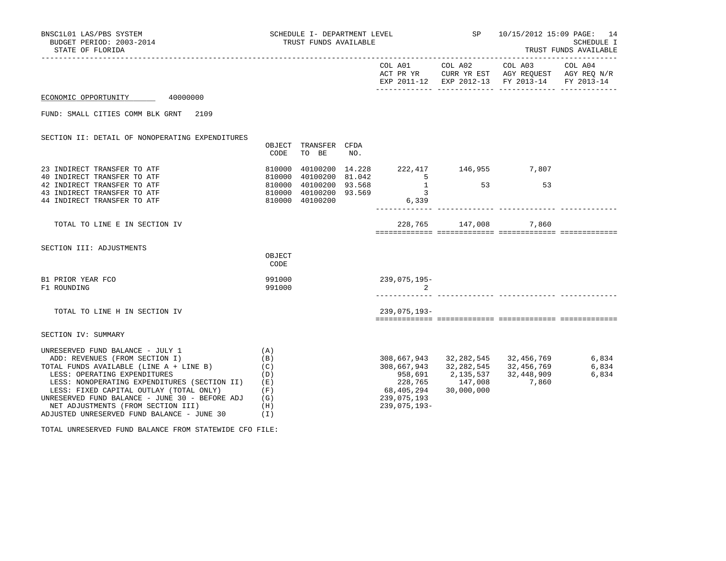| BNSC1L01 LAS/PBS SYSTEM<br>BUDGET PERIOD: 2003-2014<br>STATE OF FLORIDA                                                                                                                                                                                                                                                                                                                                                                    |                                 | TRUST FUNDS AVAILABLE         |     |                                                                                                                            |            | SCHEDULE I- DEPARTMENT LEVEL $SP$ 10/15/2012 15:09 PAGE: 14                                                                                                                                                                                               | SCHEDULE I<br>TRUST FUNDS AVAILABLE |
|--------------------------------------------------------------------------------------------------------------------------------------------------------------------------------------------------------------------------------------------------------------------------------------------------------------------------------------------------------------------------------------------------------------------------------------------|---------------------------------|-------------------------------|-----|----------------------------------------------------------------------------------------------------------------------------|------------|-----------------------------------------------------------------------------------------------------------------------------------------------------------------------------------------------------------------------------------------------------------|-------------------------------------|
|                                                                                                                                                                                                                                                                                                                                                                                                                                            |                                 |                               |     |                                                                                                                            |            | $COL A01 \qquad \qquad COL A02 \qquad \qquad COL A03 \qquad \qquad COL A04$<br>ACT PR YR CURR YR EST AGY REQUEST AGY REQ N/R<br>EXP 2011-12 EXP 2012-13 FY 2013-14 FY 2013-14                                                                             |                                     |
| ECONOMIC OPPORTUNITY 40000000                                                                                                                                                                                                                                                                                                                                                                                                              |                                 |                               |     |                                                                                                                            |            |                                                                                                                                                                                                                                                           |                                     |
| FUND: SMALL CITIES COMM BLK GRNT 2109                                                                                                                                                                                                                                                                                                                                                                                                      |                                 |                               |     |                                                                                                                            |            |                                                                                                                                                                                                                                                           |                                     |
| SECTION II: DETAIL OF NONOPERATING EXPENDITURES                                                                                                                                                                                                                                                                                                                                                                                            | CODE                            | OBJECT TRANSFER CFDA<br>TO BE | NO. |                                                                                                                            |            |                                                                                                                                                                                                                                                           |                                     |
| 23 INDIRECT TRANSFER TO ATF                                                                                                                                                                                                                                                                                                                                                                                                                |                                 |                               |     | 810000 40100200 14.228 222,417 146,955 7,807                                                                               |            |                                                                                                                                                                                                                                                           |                                     |
| 40 INDIRECT TRANSFER TO ATF<br>42 INDIRECT TRANSFER TO ATF<br>43 INDIRECT TRANSFER TO ATF<br>44 INDIRECT TRANSFER TO ATF                                                                                                                                                                                                                                                                                                                   |                                 |                               |     | 810000 40100200 81.042<br>810000 40100200 93.568 1<br>810000 40100200 93.568 1 53 53<br>810000 40100200 93.569 6,339 6,339 |            |                                                                                                                                                                                                                                                           |                                     |
| TOTAL TO LINE E IN SECTION IV                                                                                                                                                                                                                                                                                                                                                                                                              |                                 |                               |     |                                                                                                                            |            | 228,765 147,008 7,860                                                                                                                                                                                                                                     |                                     |
| SECTION III: ADJUSTMENTS                                                                                                                                                                                                                                                                                                                                                                                                                   | OBJECT<br>CODE                  |                               |     |                                                                                                                            |            |                                                                                                                                                                                                                                                           |                                     |
| B1 PRIOR YEAR FCO<br>F1 ROUNDING                                                                                                                                                                                                                                                                                                                                                                                                           | 991000<br>991000                |                               |     | 239,075,195-                                                                                                               |            |                                                                                                                                                                                                                                                           |                                     |
| TOTAL TO LINE H IN SECTION IV                                                                                                                                                                                                                                                                                                                                                                                                              |                                 |                               |     | 239,075,193-                                                                                                               |            |                                                                                                                                                                                                                                                           |                                     |
| SECTION IV: SUMMARY                                                                                                                                                                                                                                                                                                                                                                                                                        |                                 |                               |     |                                                                                                                            |            |                                                                                                                                                                                                                                                           |                                     |
| UNRESERVED FUND BALANCE - JULY $1$ (A)<br>ADD: REVENUES (FROM SECTION I)<br>TOTAL FUNDS AVAILABLE (LINE $A + LINE B$ ) (C)<br>and the control of the control of<br>LESS: OPERATING EXPENDITURES<br>LESS: NONOPERATING EXPENDITURES (SECTION II) (E)<br>LESS: FIXED CAPITAL OUTLAY (TOTAL ONLY)<br>UNRESERVED FUND BALANCE - JUNE 30 - BEFORE ADJ $(G)$<br>NET ADJUSTMENTS (FROM SECTION III)<br>ADJUSTED UNRESERVED FUND BALANCE - JUNE 30 | (B)<br>(D)<br>(F)<br>(H)<br>(I) |                               |     | 68,405,294<br>239,075,193<br>$239,075,193 -$                                                                               | 30,000,000 | $\begin{array}{cccc} 308, 667, 943 & 32, 282, 545 & 32, 456, 769 & 6, 834 \\ 308, 667, 943 & 32, 282, 545 & 32, 456, 769 & 6, 834 \\ 958, 691 & 2, 135, 537 & 32, 448, 909 & 6, 834 \end{array}$<br>958,691 2,135,537 32,448,909<br>228,765 147,008 7,860 |                                     |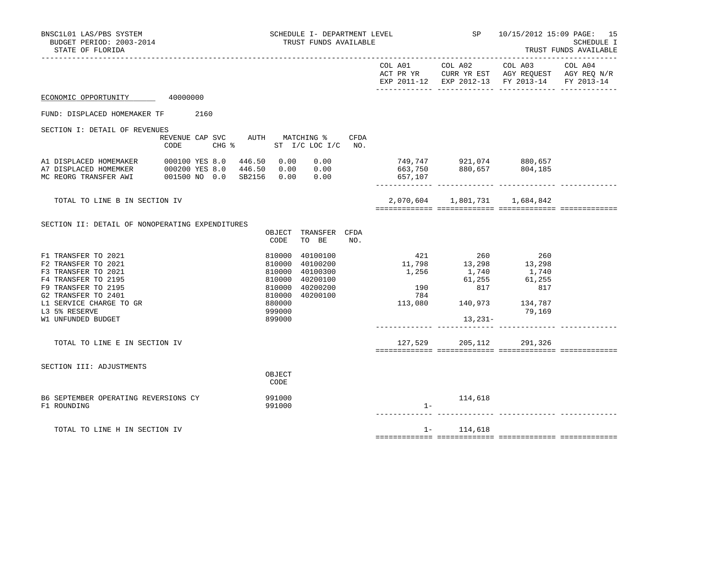| BNSC1L01 LAS/PBS SYSTEM<br>BUDGET PERIOD: 2003-2014<br>STATE OF FLORIDA                                                                                                                                  | SCHEDULE I- DEPARTMENT LEVEL<br>TRUST FUNDS AVAILABLE                                                                                                    |                     |                                                                                                                                                                                   | SP 10/15/2012 15:09 PAGE: 15                                                                              | SCHEDULE I<br>TRUST FUNDS AVAILABLE |
|----------------------------------------------------------------------------------------------------------------------------------------------------------------------------------------------------------|----------------------------------------------------------------------------------------------------------------------------------------------------------|---------------------|-----------------------------------------------------------------------------------------------------------------------------------------------------------------------------------|-----------------------------------------------------------------------------------------------------------|-------------------------------------|
|                                                                                                                                                                                                          |                                                                                                                                                          | ------------------- | COL A01 COL A02                                                                                                                                                                   | COL A03<br>ACT PR YR CURR YR EST AGY REQUEST AGY REQ N/R<br>EXP 2011-12 EXP 2012-13 FY 2013-14 FY 2013-14 | COL A04                             |
| ECONOMIC OPPORTUNITY 40000000                                                                                                                                                                            |                                                                                                                                                          |                     |                                                                                                                                                                                   |                                                                                                           |                                     |
| 2160<br>FUND: DISPLACED HOMEMAKER TF                                                                                                                                                                     |                                                                                                                                                          |                     |                                                                                                                                                                                   |                                                                                                           |                                     |
| SECTION I: DETAIL OF REVENUES<br>REVENUE CAP SVC<br>CODE<br>$CHG$ $\approx$                                                                                                                              | AUTH MATCHING %<br>CFDA<br>ST I/C LOC I/C NO.                                                                                                            |                     |                                                                                                                                                                                   |                                                                                                           |                                     |
| 000100 YES 8.0<br>A1 DISPLACED HOMEMAKER<br>A7 DISPLACED HOMEMKER<br>000200 YES 8.0<br>001500 NO 0.0 SB2156 0.00 0.00<br>MC REORG TRANSFER AWI                                                           | 446.50  0.00  0.00<br>446.50  0.00  0.00                                                                                                                 | 657,107             |                                                                                                                                                                                   |                                                                                                           |                                     |
| TOTAL TO LINE B IN SECTION IV                                                                                                                                                                            |                                                                                                                                                          |                     | 2,070,604 1,801,731 1,684,842                                                                                                                                                     |                                                                                                           |                                     |
| SECTION II: DETAIL OF NONOPERATING EXPENDITURES                                                                                                                                                          | OBJECT TRANSFER CFDA<br>CODE<br>TO BE<br>NO.                                                                                                             |                     |                                                                                                                                                                                   |                                                                                                           |                                     |
| F1 TRANSFER TO 2021<br>F2 TRANSFER TO 2021<br>F3 TRANSFER TO 2021<br>F4 TRANSFER TO 2195<br>F9 TRANSFER TO 2195<br>G2 TRANSFER TO 2401<br>L1 SERVICE CHARGE TO GR<br>L3 5% RESERVE<br>W1 UNFUNDED BUDGET | 40100100<br>810000<br>810000<br>40100200<br>810000<br>40100300<br>810000<br>40200100<br>810000 40200200<br>810000 40200100<br>880000<br>999000<br>899000 | 784                 | 421 260<br>$11,798$<br>$1,256$<br>$1,740$<br>61,255<br>$\begin{array}{c} 190 \end{array} \qquad \begin{array}{c} 01.255 \\ 817 \end{array}$<br>113,080 140,973 134,787<br>13,231- | 260<br>13,298<br>1,740<br>61,255<br>817<br>79,169                                                         |                                     |
| TOTAL TO LINE E IN SECTION IV                                                                                                                                                                            |                                                                                                                                                          |                     | 127,529 205,112 291,326                                                                                                                                                           |                                                                                                           |                                     |
| SECTION III: ADJUSTMENTS                                                                                                                                                                                 | OBJECT<br>CODE                                                                                                                                           |                     |                                                                                                                                                                                   |                                                                                                           |                                     |
| B6 SEPTEMBER OPERATING REVERSIONS CY<br>F1 ROUNDING                                                                                                                                                      | 991000<br>991000                                                                                                                                         | $1 -$               | 114,618                                                                                                                                                                           |                                                                                                           |                                     |
| TOTAL TO LINE H IN SECTION IV                                                                                                                                                                            |                                                                                                                                                          |                     | $1 - 114,618$                                                                                                                                                                     |                                                                                                           |                                     |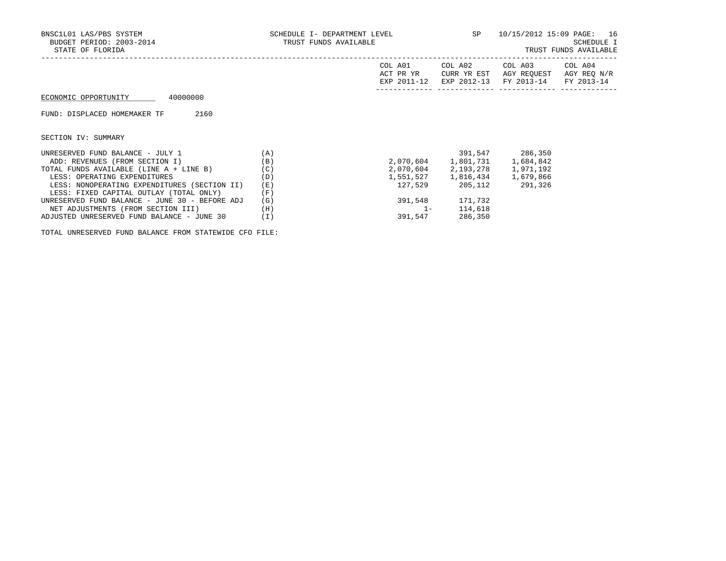| BNSC1L01 LAS/PBS SYSTEM<br>BUDGET PERIOD: 2003-2014<br>STATE OF FLORIDA | SCHEDULE I- DEPARTMENT LEVEL<br>TRUST FUNDS AVAILABLE | SP                                  | 10/15/2012 15:09 PAGE: 16             | SCHEDULE I<br>TRUST FUNDS AVAILABLE                      |            |
|-------------------------------------------------------------------------|-------------------------------------------------------|-------------------------------------|---------------------------------------|----------------------------------------------------------|------------|
|                                                                         |                                                       | COL A01<br>ACT PR YR<br>EXP 2011-12 | COL A02<br>CURR YR EST<br>EXP 2012-13 | COL A03 COL A04<br>AGY REOUEST AGY REO N/R<br>FY 2013-14 | FY 2013-14 |
| ECONOMIC OPPORTUNITY<br>40000000                                        |                                                       |                                     |                                       |                                                          |            |
| 2160<br>FUND: DISPLACED HOMEMAKER TF                                    |                                                       |                                     |                                       |                                                          |            |
| SECTION IV: SUMMARY                                                     |                                                       |                                     |                                       |                                                          |            |
| UNRESERVED FUND BALANCE - JULY 1                                        | (A)                                                   |                                     |                                       | 391,547 286,350                                          |            |
| ADD: REVENUES (FROM SECTION I)                                          | (B)                                                   |                                     | 2,070,604 1,801,731 1,684,842         |                                                          |            |
| TOTAL FUNDS AVAILABLE (LINE A + LINE B)                                 | (C)                                                   |                                     | 2,070,604 2,193,278 1,971,192         |                                                          |            |
| LESS: OPERATING EXPENDITURES                                            | (D)                                                   |                                     | 1,551,527 1,816,434 1,679,866         |                                                          |            |
| LESS: NONOPERATING EXPENDITURES (SECTION II)                            | (E)                                                   |                                     | 127,529 205,112                       | 291,326                                                  |            |
| LESS: FIXED CAPITAL OUTLAY (TOTAL ONLY)                                 | (F)                                                   |                                     |                                       |                                                          |            |
| UNRESERVED FUND BALANCE - JUNE 30 - BEFORE ADJ                          | (G)                                                   | 391,548                             | 171,732                               |                                                          |            |

NET ADJUSTMENTS (FROM SECTION III) (H) (H) 1- 114,618 ADJUSTED UNRESERVED FUND BALANCE - JUNE 30 (I) 391,547 286,350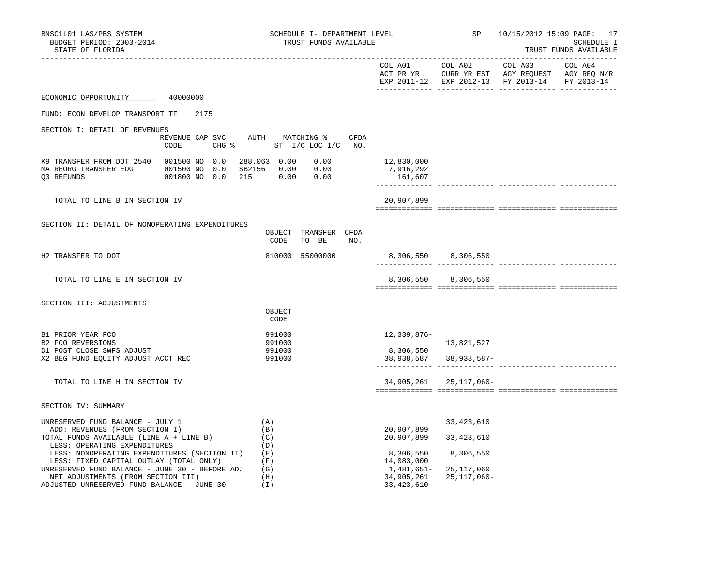| BNSC1L01 LAS/PBS SYSTEM<br>BUDGET PERIOD: 2003-2014<br>STATE OF FLORIDA                                                                                                                                                       | SCHEDULE I- DEPARTMENT LEVEL<br>TRUST FUNDS AVAILABLE            |                                                                     | SP                                     | 10/15/2012 15:09 PAGE: 17<br>SCHEDULE I<br>TRUST FUNDS AVAILABLE |            |  |
|-------------------------------------------------------------------------------------------------------------------------------------------------------------------------------------------------------------------------------|------------------------------------------------------------------|---------------------------------------------------------------------|----------------------------------------|------------------------------------------------------------------|------------|--|
| . <u>.</u> .                                                                                                                                                                                                                  |                                                                  |                                                                     |                                        | EXP 2011-12 EXP 2012-13 FY 2013-14                               | FY 2013-14 |  |
| ECONOMIC OPPORTUNITY<br>40000000                                                                                                                                                                                              |                                                                  |                                                                     |                                        |                                                                  |            |  |
| FUND: ECON DEVELOP TRANSPORT TF<br>2175                                                                                                                                                                                       |                                                                  |                                                                     |                                        |                                                                  |            |  |
| SECTION I: DETAIL OF REVENUES<br>REVENUE CAP SVC<br>CODE<br>CHG %                                                                                                                                                             | AUTH MATCHING %<br>CFDA<br>ST I/C LOC I/C NO.                    |                                                                     |                                        |                                                                  |            |  |
| K9 TRANSFER FROM DOT 2540 001500 NO 0.0<br>MA REORG TRANSFER EOG 001500 NO 0.0<br>001800 NO 0.0<br>Q3 REFUNDS                                                                                                                 | 288.063 0.00<br>0.00<br>SB2156 0.00<br>0.00<br>215   0.00   0.00 | 12,830,000<br>7,916,292<br>161,607                                  |                                        |                                                                  |            |  |
| TOTAL TO LINE B IN SECTION IV                                                                                                                                                                                                 |                                                                  | 20,907,899                                                          |                                        |                                                                  |            |  |
| SECTION II: DETAIL OF NONOPERATING EXPENDITURES                                                                                                                                                                               | OBJECT TRANSFER CFDA<br>CODE<br>TO BE<br>NO.                     |                                                                     |                                        |                                                                  |            |  |
| H2 TRANSFER TO DOT                                                                                                                                                                                                            | 810000 55000000                                                  |                                                                     | 8,306,550 8,306,550                    |                                                                  |            |  |
| TOTAL TO LINE E IN SECTION IV                                                                                                                                                                                                 |                                                                  |                                                                     | 8,306,550 8,306,550                    |                                                                  |            |  |
| SECTION III: ADJUSTMENTS                                                                                                                                                                                                      | OBJECT<br>CODE                                                   |                                                                     |                                        |                                                                  |            |  |
| B1 PRIOR YEAR FCO<br><b>B2 FCO REVERSIONS</b>                                                                                                                                                                                 | 991000<br>991000                                                 | 12,339,876-                                                         | 13,821,527                             |                                                                  |            |  |
| D1 POST CLOSE SWFS ADJUST<br>X2 BEG FUND EQUITY ADJUST ACCT REC                                                                                                                                                               | 991000<br>991000                                                 | 8,306,550                                                           | 38,938,587 38,938,587-                 |                                                                  |            |  |
| TOTAL TO LINE H IN SECTION IV                                                                                                                                                                                                 |                                                                  |                                                                     | 34,905,261 25,117,060-                 |                                                                  |            |  |
| SECTION IV: SUMMARY                                                                                                                                                                                                           |                                                                  |                                                                     |                                        |                                                                  |            |  |
| UNRESERVED FUND BALANCE - JULY 1<br>ADD: REVENUES (FROM SECTION I)<br>TOTAL FUNDS AVAILABLE (LINE A + LINE B)<br>LESS: OPERATING EXPENDITURES                                                                                 | (A)<br>(B)<br>(C)<br>(D)                                         | 20,907,899<br>20,907,899                                            | 33, 423, 610<br>33, 423, 610           |                                                                  |            |  |
| LESS: NONOPERATING EXPENDITURES (SECTION II)<br>LESS: FIXED CAPITAL OUTLAY (TOTAL ONLY)<br>UNRESERVED FUND BALANCE - JUNE 30 - BEFORE ADJ<br>NET ADJUSTMENTS (FROM SECTION III)<br>ADJUSTED UNRESERVED FUND BALANCE - JUNE 30 | (E)<br>(F)<br>(G)<br>(H)<br>(I)                                  | 8,306,550<br>14,083,000<br>1,481,651–<br>34,905,261<br>33, 423, 610 | 8,306,550<br>25,117,060<br>25,117,060- |                                                                  |            |  |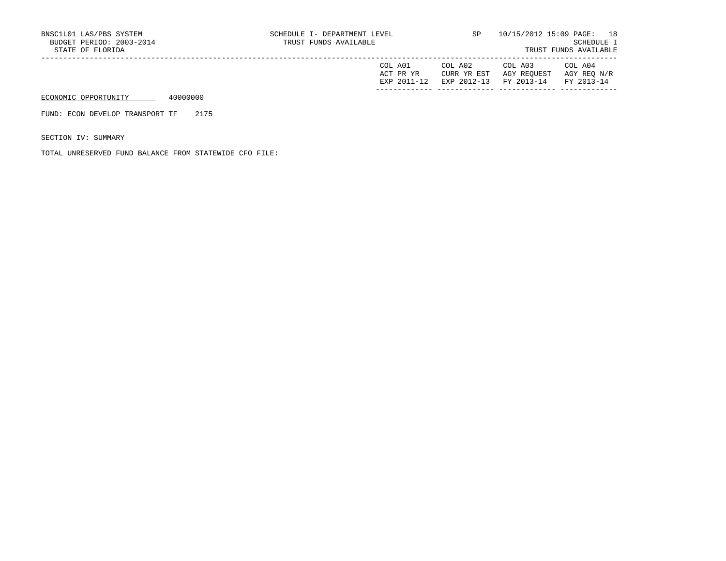| COL A01     | COL A02 | COL A03                           | COL A04     |
|-------------|---------|-----------------------------------|-------------|
| ACT PR YR   |         | CURR YR EST AGY REQUEST           | AGY REO N/R |
| EXP 2011-12 |         | EXP 2012-13 FY 2013-14 FY 2013-14 |             |
|             |         |                                   |             |

FUND: ECON DEVELOP TRANSPORT TF 2175

SECTION IV: SUMMARY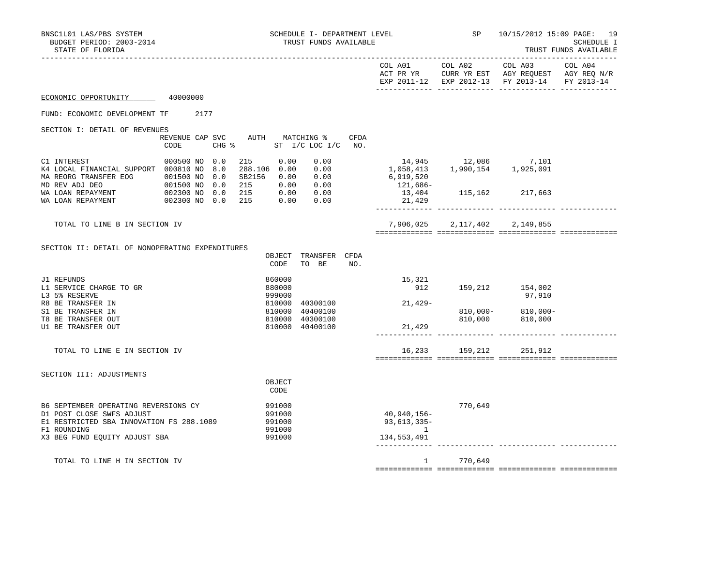| BNSC1L01 LAS/PBS SYSTEM<br>BUDGET PERIOD: 2003-2014<br>STATE OF FLORIDA                                                                                       |                             |                                                        | SCHEDULE I- DEPARTMENT LEVEL<br>TRUST FUNDS AVAILABLE                                                                                                                                 |                                                                   | <b>SP</b>           | 10/15/2012 15:09 PAGE: 19<br>----------------------                                            | SCHEDULE I<br>TRUST FUNDS AVAILABLE |
|---------------------------------------------------------------------------------------------------------------------------------------------------------------|-----------------------------|--------------------------------------------------------|---------------------------------------------------------------------------------------------------------------------------------------------------------------------------------------|-------------------------------------------------------------------|---------------------|------------------------------------------------------------------------------------------------|-------------------------------------|
|                                                                                                                                                               |                             |                                                        |                                                                                                                                                                                       |                                                                   |                     | COL A03<br>EXP 2011-12 EXP 2012-13 FY 2013-14 FY 2013-14                                       |                                     |
| ECONOMIC OPPORTUNITY 40000000                                                                                                                                 |                             |                                                        |                                                                                                                                                                                       |                                                                   |                     |                                                                                                |                                     |
| FUND: ECONOMIC DEVELOPMENT TF 2177                                                                                                                            |                             |                                                        |                                                                                                                                                                                       |                                                                   |                     |                                                                                                |                                     |
| SECTION I: DETAIL OF REVENUES                                                                                                                                 | REVENUE CAP SVC<br>CODE     | AUTH MATCHING %                                        | CFDA<br>CHG % ST I/C LOC I/C NO.                                                                                                                                                      |                                                                   |                     |                                                                                                |                                     |
| C1 INTEREST<br>K4 LOCAL FINANCIAL SUPPORT 000810 NO 8.0<br>MA REORG TRANSFER EOG 001500 NO                                                                    | 000500 NO 0.0<br>215<br>0.0 | 0.00                                                   | 0.00<br>$\begin{array}{cccc} 212 & 0.00 & 0.00 & 0.00 \\ 288.106 & 0.00 & 0.00 \\ 582156 & 0.00 & 0.00 \\ 215 & 0.00 & 0.00 \\ 215 & 0.00 & 0.00 \\ 215 & 0.00 & 0.00 \\ \end{array}$ | 14,945 12,086 7,101<br>1,058,413 1,990,154 1,925,091<br>6,919,520 |                     |                                                                                                |                                     |
| WA LOAN REPAYMENT                                                                                                                                             | 002300 NO 0.0               |                                                        |                                                                                                                                                                                       | 21,429                                                            |                     | 121,686-<br>13,404 115,162 217,663                                                             |                                     |
| TOTAL TO LINE B IN SECTION IV                                                                                                                                 |                             |                                                        |                                                                                                                                                                                       |                                                                   |                     | 7,906,025 2,117,402 2,149,855                                                                  |                                     |
| SECTION II: DETAIL OF NONOPERATING EXPENDITURES                                                                                                               |                             | CODE                                                   | OBJECT TRANSFER CFDA<br>TO BE<br>NO.                                                                                                                                                  |                                                                   |                     |                                                                                                |                                     |
| J1 REFUNDS<br>L1 SERVICE CHARGE TO GR<br>L3 5% RESERVE                                                                                                        |                             | 860000<br>880000<br>999000                             |                                                                                                                                                                                       | 15,321<br>$21,429-$                                               | 912 159,212 154,002 | 97,910                                                                                         |                                     |
| R8 BE TRANSFER IN<br>S1 BE TRANSFER IN<br>T8 BE TRANSFER OUT<br>U1 BE TRANSFER OUT                                                                            |                             | 810000<br>810000<br>810000 40300100<br>810000 40400100 | 40300100<br>40400100                                                                                                                                                                  | 21,429                                                            |                     | 810,000-           810,000-<br>810,000             810,000<br>-------------- -------------- -- |                                     |
| TOTAL TO LINE E IN SECTION IV                                                                                                                                 |                             |                                                        |                                                                                                                                                                                       |                                                                   |                     | 16,233 159,212 251,912                                                                         |                                     |
| SECTION III: ADJUSTMENTS                                                                                                                                      |                             | OBJECT<br>CODE                                         |                                                                                                                                                                                       |                                                                   |                     |                                                                                                |                                     |
| B6 SEPTEMBER OPERATING REVERSIONS CY<br>D1 POST CLOSE SWFS ADJUST<br>E1 RESTRICTED SBA INNOVATION FS 288.1089<br>F1 ROUNDING<br>X3 BEG FUND EQUITY ADJUST SBA |                             | 991000<br>991000<br>991000<br>991000<br>991000         |                                                                                                                                                                                       | 40,940,156-<br>$93,613,335-$<br>$\overline{1}$<br>134,553,491     | 770,649             |                                                                                                |                                     |
| TOTAL TO LINE H IN SECTION IV                                                                                                                                 |                             |                                                        |                                                                                                                                                                                       |                                                                   | 1 770,649           |                                                                                                |                                     |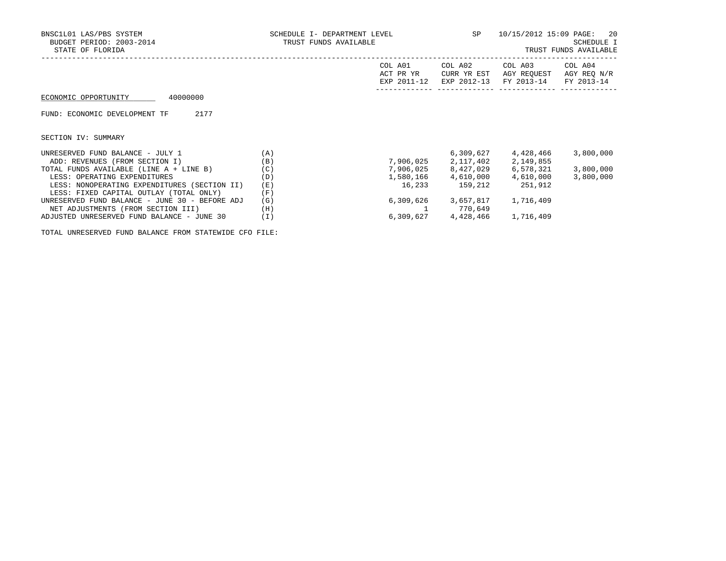| BNSC1L01 LAS/PBS SYSTEM<br>BUDGET PERIOD: 2003-2014<br>STATE OF FLORIDA | SCHEDULE I- DEPARTMENT LEVEL<br>TRUST FUNDS AVAILABLE | SP                                  | 10/15/2012 15:09 PAGE:                | 20<br>SCHEDULE I<br>TRUST FUNDS AVAILABLE |                                      |
|-------------------------------------------------------------------------|-------------------------------------------------------|-------------------------------------|---------------------------------------|-------------------------------------------|--------------------------------------|
|                                                                         |                                                       | COL A01<br>ACT PR YR<br>EXP 2011-12 | COL A02<br>CURR YR EST<br>EXP 2012-13 | COL A03<br>AGY REOUEST<br>FY 2013-14      | COL A04<br>AGY REO N/R<br>FY 2013-14 |
| 40000000<br>ECONOMIC OPPORTUNITY                                        |                                                       |                                     |                                       |                                           |                                      |
| 2177<br>FUND: ECONOMIC DEVELOPMENT TF                                   |                                                       |                                     |                                       |                                           |                                      |
| SECTION IV: SUMMARY                                                     |                                                       |                                     |                                       |                                           |                                      |
| UNRESERVED FUND BALANCE - JULY 1                                        | (A)                                                   |                                     | 6,309,627                             | 4,428,466                                 | 3,800,000                            |
| ADD: REVENUES (FROM SECTION I)                                          | (B)                                                   | 7,906,025                           | 2,117,402                             | 2,149,855                                 |                                      |
| TOTAL FUNDS AVAILABLE (LINE A + LINE B)                                 | (C)                                                   | 7,906,025                           | 8,427,029                             | 6,578,321                                 | 3,800,000                            |
| LESS: OPERATING EXPENDITURES                                            | (D)                                                   | 1,580,166                           | 4,610,000                             | 4,610,000                                 | 3,800,000                            |
| LESS: NONOPERATING EXPENDITURES (SECTION II)                            | (E)                                                   | 16,233                              | 159,212                               | 251,912                                   |                                      |
| LESS: FIXED CAPITAL OUTLAY (TOTAL ONLY)                                 | (F)                                                   |                                     |                                       |                                           |                                      |
| UNRESERVED FUND BALANCE - JUNE 30 - BEFORE ADJ                          | (G)                                                   | 6,309,626                           | 3,657,817                             | 1,716,409                                 |                                      |
| NET ADJUSTMENTS (FROM SECTION III)                                      | (H)                                                   |                                     | 770,649                               |                                           |                                      |

ADJUSTED UNRESERVED FUND BALANCE - JUNE 30 (I) 6,309,627 4,428,466 1,716,409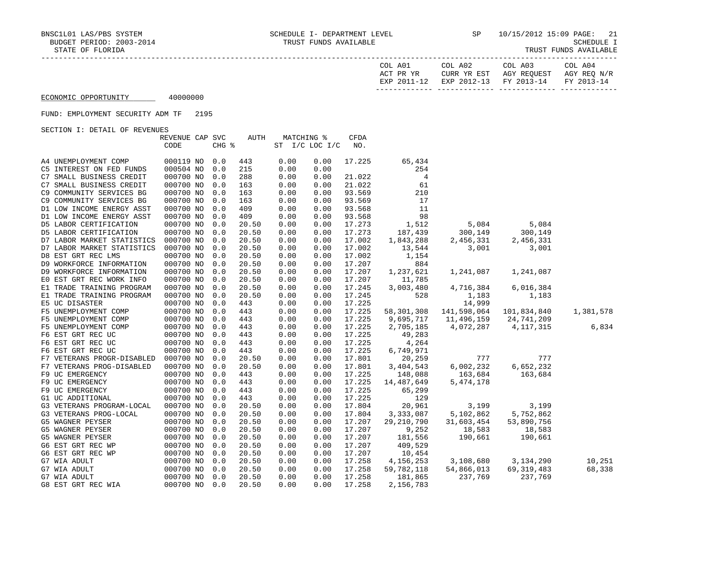| TRUST FUNDS AVAILABLE |
|-----------------------|
|-----------------------|

| COL A01<br>ACT PR YR | COL A02<br>CURR YR EST | COL A03<br>AGY REOUEST | COL A04<br>AGY REO N/R |
|----------------------|------------------------|------------------------|------------------------|
| EXP 2011-12          | EXP 2012-13 FY 2013-14 |                        | FY 2013-14             |

#### FUND: EMPLOYMENT SECURITY ADM TF 2195

| OBCIION I: DEIAID OF REVENUED |                 |       |       |                |      |             |              |             |              |           |
|-------------------------------|-----------------|-------|-------|----------------|------|-------------|--------------|-------------|--------------|-----------|
|                               | REVENUE CAP SVC |       | AUTH  | MATCHING %     |      | <b>CFDA</b> |              |             |              |           |
|                               | CODE            | CHG % |       | ST I/C LOC I/C |      | NO.         |              |             |              |           |
| A4 UNEMPLOYMENT COMP          | 000119 NO       | 0.0   | 443   | 0.00           | 0.00 | 17.225      | 65,434       |             |              |           |
| C5 INTEREST ON FED FUNDS      | 000504 NO       | 0.0   | 215   | 0.00           | 0.00 |             | 254          |             |              |           |
| C7 SMALL BUSINESS CREDIT      | 000700 NO       | 0.0   | 288   | 0.00           | 0.00 | 21.022      | 4            |             |              |           |
| C7 SMALL BUSINESS CREDIT      | 000700 NO       | 0.0   | 163   | 0.00           | 0.00 | 21.022      | 61           |             |              |           |
| C9 COMMUNITY SERVICES BG      | 000700 NO       | 0.0   | 163   | 0.00           | 0.00 | 93.569      | 210          |             |              |           |
| C9 COMMUNITY SERVICES BG      | 000700 NO       | 0.0   | 163   | 0.00           | 0.00 | 93.569      | 17           |             |              |           |
| D1 LOW INCOME ENERGY ASST     | 000700 NO       | 0.0   | 409   | 0.00           | 0.00 | 93.568      | 11           |             |              |           |
| D1 LOW INCOME ENERGY ASST     | 000700 NO       | 0.0   | 409   | 0.00           | 0.00 | 93.568      | 98           |             |              |           |
| D5 LABOR CERTIFICATION        | 000700 NO       | 0.0   | 20.50 | 0.00           | 0.00 | 17.273      | 1,512        | 5,084       | 5,084        |           |
| D5 LABOR CERTIFICATION        | 000700 NO       | 0.0   | 20.50 | 0.00           | 0.00 | 17.273      | 187,439      | 300,149     | 300,149      |           |
| D7 LABOR MARKET STATISTICS    | 000700 NO       | 0.0   | 20.50 | 0.00           | 0.00 | 17.002      | 1,843,288    | 2,456,331   | 2,456,331    |           |
| D7 LABOR MARKET STATISTICS    | 000700 NO       | 0.0   | 20.50 | 0.00           | 0.00 | 17.002      | 13,544       | 3,001       | 3,001        |           |
| D8 EST GRT REC LMS            | 000700 NO       | 0.0   | 20.50 | 0.00           | 0.00 | 17.002      | 1,154        |             |              |           |
| D9 WORKFORCE INFORMATION      | 000700 NO       | 0.0   | 20.50 | 0.00           | 0.00 | 17.207      | 884          |             |              |           |
| D9 WORKFORCE INFORMATION      | 000700 NO       | 0.0   | 20.50 | 0.00           | 0.00 | 17.207      | 1,237,621    | 1,241,087   | 1,241,087    |           |
| EO EST GRT REC WORK INFO      | 000700 NO       | 0.0   | 20.50 | 0.00           | 0.00 | 17.207      | 11,785       |             |              |           |
| E1 TRADE TRAINING PROGRAM     | 000700 NO       | 0.0   | 20.50 | 0.00           | 0.00 | 17.245      | 3,003,480    | 4,716,384   | 6,016,384    |           |
| E1 TRADE TRAINING PROGRAM     | 000700 NO       | 0.0   | 20.50 | 0.00           | 0.00 | 17.245      | 528          | 1,183       | 1,183        |           |
| E5 UC DISASTER                | 000700 NO       | 0.0   | 443   | 0.00           | 0.00 | 17.225      |              | 14,999      |              |           |
| F5 UNEMPLOYMENT COMP          | 000700 NO       | 0.0   | 443   | 0.00           | 0.00 | 17.225      | 58, 301, 308 | 141,598,064 | 101,834,840  | 1,381,578 |
| F5 UNEMPLOYMENT COMP          | 000700 NO       | 0.0   | 443   | 0.00           | 0.00 | 17.225      | 9,695,717    | 11,496,159  | 24,741,209   |           |
| F5 UNEMPLOYMENT COMP          | 000700 NO       | 0.0   | 443   | 0.00           | 0.00 | 17.225      | 2,705,185    | 4,072,287   | 4, 117, 315  | 6,834     |
| F6 EST GRT REC UC             | 000700 NO       | 0.0   | 443   | 0.00           | 0.00 | 17.225      | 49,283       |             |              |           |
| F6 EST GRT REC UC             | 000700 NO       | 0.0   | 443   | 0.00           | 0.00 | 17.225      | 4,264        |             |              |           |
| F6 EST GRT REC UC             | 000700 NO       | 0.0   | 443   | 0.00           | 0.00 | 17.225      | 6,749,971    |             |              |           |
| F7 VETERANS PROGR-DISABLED    | 000700 NO       | 0.0   | 20.50 | 0.00           | 0.00 | 17.801      | 20,259       | 777         | 777          |           |
| F7 VETERANS PROG-DISABLED     | 000700 NO       | 0.0   | 20.50 | 0.00           | 0.00 | 17.801      | 3,404,543    | 6,002,232   | 6,652,232    |           |
| F9 UC EMERGENCY               | 000700 NO       | 0.0   | 443   | 0.00           | 0.00 | 17.225      | 148,088      | 163,684     | 163,684      |           |
| F9 UC EMERGENCY               | 000700 NO       | 0.0   | 443   | 0.00           | 0.00 | 17.225      | 14,487,649   | 5, 474, 178 |              |           |
| F9 UC EMERGENCY               | 000700 NO       | 0.0   | 443   | 0.00           | 0.00 | 17.225      | 65,299       |             |              |           |
| G1 UC ADDITIONAL              | 000700 NO       | 0.0   | 443   | 0.00           | 0.00 | 17.225      | 129          |             |              |           |
| G3 VETERANS PROGRAM-LOCAL     | 000700 NO       | 0.0   | 20.50 | 0.00           | 0.00 | 17.804      | 20,961       | 3,199       | 3,199        |           |
| G3 VETERANS PROG-LOCAL        | 000700 NO       | 0.0   | 20.50 | 0.00           | 0.00 | 17.804      | 3,333,087    | 5,102,862   | 5,752,862    |           |
| G5 WAGNER PEYSER              | 000700 NO       | 0.0   | 20.50 | 0.00           | 0.00 | 17.207      | 29, 210, 790 | 31,603,454  | 53,890,756   |           |
| G5 WAGNER PEYSER              | 000700 NO       | 0.0   | 20.50 | 0.00           | 0.00 | 17.207      | 9,252        | 18,583      | 18,583       |           |
| G5 WAGNER PEYSER              | 000700 NO       | 0.0   | 20.50 | 0.00           | 0.00 | 17.207      | 181,556      | 190,661     | 190,661      |           |
| G6 EST GRT REC WP             | 000700 NO       | 0.0   | 20.50 | 0.00           | 0.00 | 17.207      | 409,529      |             |              |           |
| G6 EST GRT REC WP             | 000700 NO       | 0.0   | 20.50 | 0.00           | 0.00 | 17.207      | 10,454       |             |              |           |
| G7 WIA ADULT                  | 000700 NO       | 0.0   | 20.50 | 0.00           | 0.00 | 17.258      | 4,156,253    | 3,108,680   | 3,134,290    | 10,251    |
| G7 WIA ADULT                  | 000700 NO       | 0.0   | 20.50 | 0.00           | 0.00 | 17.258      | 59,782,118   | 54,866,013  | 69, 319, 483 | 68,338    |
| G7 WIA ADULT                  | 000700 NO       | 0.0   | 20.50 | 0.00           | 0.00 | 17.258      | 181,865      | 237,769     | 237,769      |           |
| G8 EST GRT REC WIA            | 000700 NO       | 0.0   | 20.50 | 0.00           | 0.00 | 17.258      | 2,156,783    |             |              |           |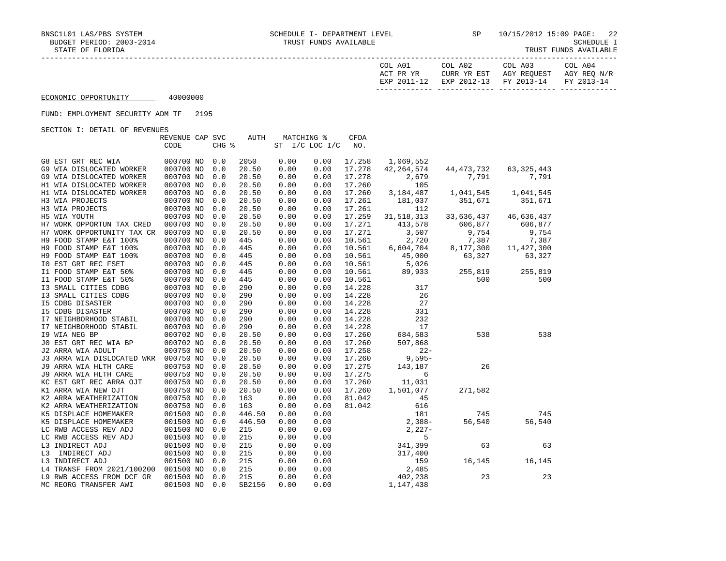| COL A01<br>ACT PR YR<br>12–2011 PYD | COL A02<br>CURR YR EST<br>$2012 - 13$<br>F.XD | COL A03<br>AGY REQUEST<br>FY 2013-14 | COL A04<br>AGY REQ N/R<br>FY 2013-14 |
|-------------------------------------|-----------------------------------------------|--------------------------------------|--------------------------------------|
|                                     |                                               |                                      |                                      |

#### FUND: EMPLOYMENT SECURITY ADM TF 2195

|    |                            | REVENUE CAP SVC |       | AUTH   | MATCHING % |                | CFDA   |              |                             |              |
|----|----------------------------|-----------------|-------|--------|------------|----------------|--------|--------------|-----------------------------|--------------|
|    |                            | CODE            | CHG % |        |            | ST I/C LOC I/C | NO.    |              |                             |              |
|    | G8 EST GRT REC WIA         | 000700 NO       | 0.0   | 2050   | 0.00       | 0.00           | 17.258 | 1,069,552    |                             |              |
|    | G9 WIA DISLOCATED WORKER   | 000700 NO       | 0.0   | 20.50  | 0.00       | 0.00           | 17.278 | 42, 264, 574 | 44, 473, 732                | 63, 325, 443 |
|    | G9 WIA DISLOCATED WORKER   | 000700 NO       | 0.0   | 20.50  | 0.00       | 0.00           | 17.278 | 2,679        | 7,791                       | 7,791        |
|    | H1 WIA DISLOCATED WORKER   | 000700 NO       | 0.0   | 20.50  | 0.00       | 0.00           | 17.260 | 105          |                             |              |
|    | H1 WIA DISLOCATED WORKER   | 000700 NO       | 0.0   | 20.50  | 0.00       | 0.00           | 17.260 | 3,184,487    | 1,041,545                   | 1,041,545    |
|    | H3 WIA PROJECTS            | 000700 NO       | 0.0   | 20.50  | 0.00       | 0.00           | 17.261 | 181,037      | 351,671                     | 351,671      |
|    | H3 WIA PROJECTS            | 000700 NO       | 0.0   | 20.50  | 0.00       | 0.00           | 17.261 | 112          |                             |              |
|    | H5 WIA YOUTH               | 000700 NO       | 0.0   | 20.50  | 0.00       | 0.00           | 17.259 | 31,518,313   | 33,636,437                  | 46,636,437   |
|    | H7 WORK OPPORTUN TAX CRED  | 000700 NO       | 0.0   | 20.50  | 0.00       | 0.00           | 17.271 | 413,578      | 606,877                     | 606,877      |
|    | H7 WORK OPPORTUNITY TAX CR | 000700 NO       | 0.0   | 20.50  | 0.00       | 0.00           | 17.271 | 3,507        | 9,754                       | 9,754        |
|    | H9 FOOD STAMP E&T 100%     | 000700 NO       | 0.0   | 445    | 0.00       | 0.00           | 10.561 | 2,720        | 7,387                       | 7,387        |
|    | H9 FOOD STAMP E&T 100%     | 000700 NO       | 0.0   | 445    | 0.00       | 0.00           | 10.561 | 6,604,704    | $\overline{8}$<br>8,177,300 | 11, 427, 300 |
|    | H9 FOOD STAMP E&T 100%     | 000700 NO       | 0.0   | 445    | 0.00       | 0.00           | 10.561 | 45,000       | 63,327                      | 63,327       |
|    | IO EST GRT REC FSET        | 000700 NO       | 0.0   | 445    | 0.00       | 0.00           | 10.561 | 5,026        |                             |              |
|    | I1 FOOD STAMP E&T 50%      | 000700 NO       | 0.0   | 445    | 0.00       | 0.00           | 10.561 | 89,933       | 255,819                     | 255,819      |
|    | I1 FOOD STAMP E&T 50%      | 000700 NO       | 0.0   | 445    | 0.00       | 0.00           | 10.561 |              | 500                         | 500          |
|    | I3 SMALL CITIES CDBG       | 000700 NO       | 0.0   | 290    | 0.00       | 0.00           | 14.228 | 317          |                             |              |
|    | I3 SMALL CITIES CDBG       | 000700 NO       | 0.0   | 290    | 0.00       | 0.00           | 14.228 | 26           |                             |              |
|    | <b>I5 CDBG DISASTER</b>    | 000700 NO       | 0.0   | 290    | 0.00       | 0.00           | 14.228 | 27           |                             |              |
|    | <b>I5 CDBG DISASTER</b>    | 000700 NO       | 0.0   | 290    | 0.00       | 0.00           | 14.228 | 331          |                             |              |
|    | I7 NEIGHBORHOOD STABIL     | 000700 NO       | 0.0   | 290    | 0.00       | 0.00           | 14.228 | 232          |                             |              |
|    | I7 NEIGHBORHOOD STABIL     | 000700 NO       | 0.0   | 290    | 0.00       | 0.00           | 14.228 | 17           |                             |              |
|    | 19 WIA NEG BP              | 000702 NO       | 0.0   | 20.50  | 0.00       | 0.00           | 17.260 | 684,583      | 538                         | 538          |
|    | JO EST GRT REC WIA BP      | 000702 NO       | 0.0   | 20.50  | 0.00       | 0.00           | 17.260 | 507,868      |                             |              |
|    | J2 ARRA WIA ADULT          | 000750 NO       | 0.0   | 20.50  | 0.00       | 0.00           | 17.258 | $22 -$       |                             |              |
|    | J3 ARRA WIA DISLOCATED WKR | 000750 NO       | 0.0   | 20.50  | 0.00       | 0.00           | 17.260 | $9,595-$     |                             |              |
|    | J9 ARRA WIA HLTH CARE      | 000750 NO       | 0.0   | 20.50  | 0.00       | 0.00           | 17.275 | 143,187      | 26                          |              |
|    | J9 ARRA WIA HLTH CARE      | 000750 NO       | 0.0   | 20.50  | 0.00       | 0.00           | 17.275 | 6            |                             |              |
|    | KC EST GRT REC ARRA OJT    | 000750 NO       | 0.0   | 20.50  | 0.00       | 0.00           | 17.260 | 11,031       |                             |              |
|    | K1 ARRA WIA NEW OJT        | 000750 NO       | 0.0   | 20.50  | 0.00       | 0.00           | 17.260 | 1,501,077    | 271,582                     |              |
|    | K2 ARRA WEATHERIZATION     | 000750 NO       | 0.0   | 163    | 0.00       | 0.00           | 81.042 | 45           |                             |              |
|    | K2 ARRA WEATHERIZATION     | 000750 NO       | 0.0   | 163    | 0.00       | 0.00           | 81.042 | 616          |                             |              |
|    | K5 DISPLACE HOMEMAKER      | 001500 NO       | 0.0   | 446.50 | 0.00       | 0.00           |        | 181          | 745                         | 745          |
|    | K5 DISPLACE HOMEMAKER      | 001500 NO       | 0.0   | 446.50 | 0.00       | 0.00           |        | $2,388-$     | 56,540                      | 56,540       |
|    | LC RWB ACCESS REV ADJ      | 001500 NO       | 0.0   | 215    | 0.00       | 0.00           |        | $2,227-$     |                             |              |
|    | LC RWB ACCESS REV ADJ      | 001500 NO       | 0.0   | 215    | 0.00       | 0.00           |        | 5            |                             |              |
|    | L3 INDIRECT ADJ            | 001500 NO       | 0.0   | 215    | 0.00       | 0.00           |        | 341,399      | 63                          | 63           |
| L3 | INDIRECT ADJ               | 001500 NO       | 0.0   | 215    | 0.00       | 0.00           |        | 317,400      |                             |              |
|    | L3 INDIRECT ADJ            | 001500 NO       | 0.0   | 215    | 0.00       | 0.00           |        | 159          | 16,145                      | 16,145       |
|    | L4 TRANSF FROM 2021/100200 | 001500 NO       | 0.0   | 215    | 0.00       | 0.00           |        | 2,485        |                             |              |
|    | L9 RWB ACCESS FROM DCF GR  | 001500 NO       | 0.0   | 215    | 0.00       | 0.00           |        | 402,238      | 23                          | 23           |
|    | MC REORG TRANSFER AWI      | 001500 NO       | 0.0   | SB2156 | 0.00       | 0.00           |        | 1,147,438    |                             |              |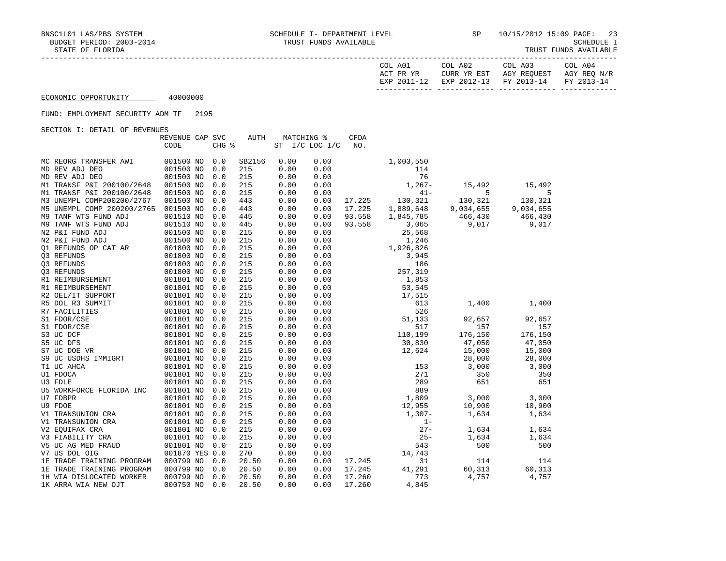|--|

| COL A01<br>ACT PR YR<br>$2011$<br>$-12$<br><b>UYD</b> | COL A02<br>CURR YR EST<br>$2012 - 13$<br>EXP | COL A03<br>AGY REQUEST<br>FY 2013-14 | COL A04<br>AGY REQ N/R<br>$2013 - 14$<br><b>FV</b> |
|-------------------------------------------------------|----------------------------------------------|--------------------------------------|----------------------------------------------------|
|                                                       |                                              |                                      |                                                    |

#### FUND: EMPLOYMENT SECURITY ADM TF 2195

| ORCITOM I: DRIAIN OF KRYBNOBO |                 |       |             |            |                |             |           |           |           |
|-------------------------------|-----------------|-------|-------------|------------|----------------|-------------|-----------|-----------|-----------|
|                               | REVENUE CAP SVC |       | <b>AUTH</b> | MATCHING % |                | <b>CFDA</b> |           |           |           |
|                               | CODE            | CHG % |             |            | ST I/C LOC I/C | NO.         |           |           |           |
| MC REORG TRANSFER AWI         | 001500 NO       | 0.0   | SB2156      | 0.00       | 0.00           |             | 1,003,550 |           |           |
| MD REV ADJ DEO                | 001500 NO       | 0.0   | 215         | 0.00       | 0.00           |             | 114       |           |           |
|                               | 001500 NO       | 0.0   | 215         | 0.00       | 0.00           |             | 76        |           |           |
| MD REV ADJ DEO                |                 |       |             |            |                |             |           |           |           |
| M1 TRANSF P&I 200100/2648     | 001500 NO       | 0.0   | 215         | 0.00       | 0.00           |             | $1,267-$  | 15,492    | 15,492    |
| M1 TRANSF P&I 200100/2648     | 001500 NO       | 0.0   | 215         | 0.00       | 0.00           |             | $41 -$    | 5         | 5         |
| M3 UNEMPL COMP200200/2767     | 001500 NO       | 0.0   | 443         | 0.00       | 0.00           | 17.225      | 130,321   | 130,321   | 130,321   |
| M5 UNEMPL COMP 200200/2765    | 001500 NO       | 0.0   | 443         | 0.00       | 0.00           | 17.225      | 1,889,648 | 9,034,655 | 9,034,655 |
| M9 TANF WTS FUND ADJ          | 001510 NO       | 0.0   | 445         | 0.00       | 0.00           | 93.558      | 1,845,785 | 466,430   | 466,430   |
| M9 TANF WTS FUND ADJ          | 001510 NO       | 0.0   | 445         | 0.00       | 0.00           | 93.558      | 3,065     | 9,017     | 9,017     |
| N2 P&I FUND ADJ               | 001500 NO       | 0.0   | 215         | 0.00       | 0.00           |             | 25,568    |           |           |
| N2 P&I FUND ADJ               | 001500 NO       | 0.0   | 215         | 0.00       | 0.00           |             | 1,246     |           |           |
| 01 REFUNDS OP CAT AR          | 001800 NO       | 0.0   | 215         | 0.00       | 0.00           |             | 1,926,826 |           |           |
| 03 REFUNDS                    | 001800 NO       | 0.0   | 215         | 0.00       | 0.00           |             | 3,945     |           |           |
| Q3 REFUNDS                    | 001800 NO       | 0.0   | 215         | 0.00       | 0.00           |             | 186       |           |           |
| 03 REFUNDS                    | 001800 NO       | 0.0   | 215         | 0.00       | 0.00           |             | 257,319   |           |           |
| R1 REIMBURSEMENT              | 001801 NO       | 0.0   | 215         | 0.00       | 0.00           |             | 1,853     |           |           |
| R1 REIMBURSEMENT              | 001801 NO       | 0.0   | 215         | 0.00       | 0.00           |             | 53,545    |           |           |
| R2 OEL/IT SUPPORT             | 001801 NO       | 0.0   | 215         | 0.00       | 0.00           |             | 17,515    |           |           |
| R5 DOL R3 SUMMIT              | 001801 NO       | 0.0   | 215         | 0.00       | 0.00           |             | 613       | 1,400     | 1,400     |
| R7 FACILITIES                 | 001801 NO       | 0.0   | 215         | 0.00       | 0.00           |             | 526       |           |           |
| S1 FDOR/CSE                   | 001801 NO       | 0.0   | 215         | 0.00       | 0.00           |             | 51,133    | 92,657    | 92,657    |
| S1 FDOR/CSE                   | 001801 NO       | 0.0   | 215         | 0.00       | 0.00           |             | 517       | 157       | 157       |
| S3 UC DCF                     | 001801 NO       | 0.0   | 215         | 0.00       | 0.00           |             | 110,199   | 176,150   | 176,150   |
| S5 UC DFS                     | 001801 NO       | 0.0   | 215         | 0.00       | 0.00           |             | 30,830    | 47,050    | 47,050    |
| S7 UC DOE VR                  | 001801 NO       | 0.0   | 215         | 0.00       | 0.00           |             | 12,624    | 15,000    | 15,000    |
| S9 UC USDHS IMMIGRT           | 001801 NO       | 0.0   | 215         | 0.00       | 0.00           |             |           | 28,000    | 28,000    |
| T1 UC AHCA                    | 001801 NO       | 0.0   | 215         | 0.00       | 0.00           |             | 153       | 3,000     | 3,000     |
| U1 FDOCA                      | 001801 NO       | 0.0   | 215         | 0.00       | 0.00           |             | 271       | 350       | 350       |
| U3 FDLE                       | 001801 NO       | 0.0   | 215         | 0.00       | 0.00           |             | 289       | 651       | 651       |
| U5 WORKFORCE FLORIDA INC      | 001801 NO       | 0.0   | 215         | 0.00       | 0.00           |             | 889       |           |           |
| U7 FDBPR                      | 001801 NO       | 0.0   | 215         | 0.00       | 0.00           |             | 1,809     | 3,000     | 3,000     |
| U9 FDOE                       | 001801 NO       | 0.0   | 215         | 0.00       | 0.00           |             | 12,955    | 10,900    |           |
|                               |                 | 0.0   | 215         |            | 0.00           |             |           |           | 10,900    |
| V1 TRANSUNION CRA             | 001801 NO       |       |             | 0.00       |                |             | $1,307-$  | 1,634     | 1,634     |
| V1 TRANSUNION CRA             | 001801 NO       | 0.0   | 215         | 0.00       | 0.00           |             | $1 -$     |           |           |
| V2 EOUIFAX CRA                | 001801 NO       | 0.0   | 215         | 0.00       | 0.00           |             | $27 -$    | 1,634     | 1,634     |
| V3 FIABILITY CRA              | 001801 NO       | 0.0   | 215         | 0.00       | 0.00           |             | $25 -$    | 1,634     | 1,634     |
| V5 UC AG MED FRAUD            | 001801 NO       | 0.0   | 215         | 0.00       | 0.00           |             | 543       | 500       | 500       |
| V7 US DOL OIG                 | 001870 YES 0.0  |       | 270         | 0.00       | 0.00           |             | 14,743    |           |           |
| 1E TRADE TRAINING PROGRAM     | 000799 NO       | 0.0   | 20.50       | 0.00       | 0.00           | 17.245      | 31        | 114       | 114       |
| 1E TRADE TRAINING PROGRAM     | 000799 NO       | 0.0   | 20.50       | 0.00       | 0.00           | 17.245      | 41,291    | 60,313    | 60,313    |
| 1H WIA DISLOCATED WORKER      | 000799 NO       | 0.0   | 20.50       | 0.00       | 0.00           | 17.260      | 773       | 4,757     | 4,757     |
| 1K ARRA WIA NEW OJT           | 000750 NO       | 0.0   | 20.50       | 0.00       | 0.00           | 17.260      | 4,845     |           |           |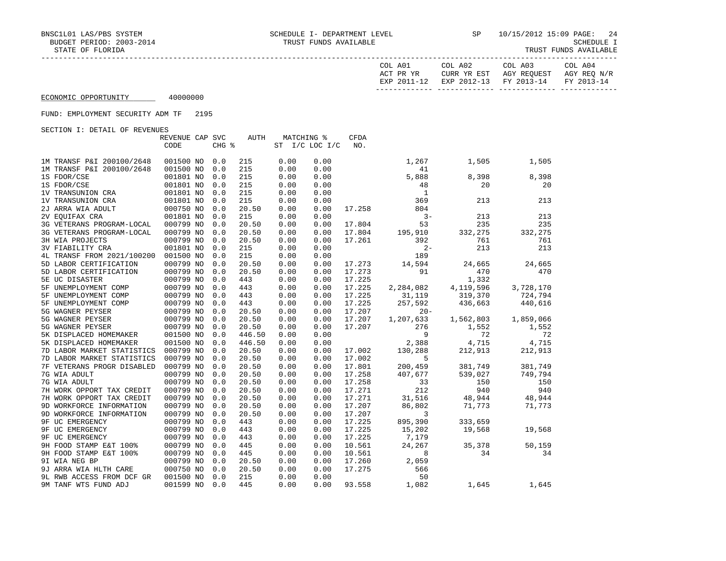SCHEDULE I<br>TRUST FUNDS AVAILABLE

|                                          | COL A01<br>ACT PR YR<br>EXP 2011-12 | COL A02<br>CURR YR EST<br>EXP 2012-13 | COL A03<br>AGY REOUEST<br>FY 2013-14 | COL A04<br>AGY REO N/R<br>FY 2013-14 |
|------------------------------------------|-------------------------------------|---------------------------------------|--------------------------------------|--------------------------------------|
| 40000000<br>ECONOMIC OPPORTUNITY         |                                     |                                       |                                      |                                      |
| 2195<br>FUND: EMPLOYMENT SECURITY ADM TF |                                     |                                       |                                      |                                      |

|                            | REVENUE CAP SVC        |       | AUTH       | MATCHING %   |                | CFDA   |              |           |           |
|----------------------------|------------------------|-------|------------|--------------|----------------|--------|--------------|-----------|-----------|
|                            | CODE                   | CHG % |            |              | ST I/C LOC I/C | NO.    |              |           |           |
|                            |                        |       |            |              |                |        |              |           |           |
| 1M TRANSF P&I 200100/2648  | 001500 NO              | 0.0   | 215        | 0.00         | 0.00           |        | 1,267        | 1,505     | 1,505     |
| 1M TRANSF P&I 200100/2648  | 001500 NO              | 0.0   | 215<br>215 | 0.00<br>0.00 | 0.00           |        | 41           |           |           |
| 1S FDOR/CSE<br>1S FDOR/CSE | 001801 NO<br>001801 NO | 0.0   | 215        | 0.00         | 0.00<br>0.00   |        | 5,888<br>48  | 8,398     | 8,398     |
|                            |                        | 0.0   |            |              |                |        | $\mathbf{1}$ | 20        | 20        |
| 1V TRANSUNION CRA          | 001801 NO              | 0.0   | 215        | 0.00         | 0.00           |        |              |           |           |
| 1V TRANSUNION CRA          | 001801 NO              | 0.0   | 215        | 0.00         | 0.00           |        | 369          | 213       | 213       |
| 2J ARRA WIA ADULT          | 000750 NO              | 0.0   | 20.50      | 0.00         | 0.00           | 17.258 | 804<br>$3 -$ |           |           |
| 2V EQUIFAX CRA             | 001801 NO              | 0.0   | 215        | 0.00         | 0.00           |        |              | 213       | 213       |
| 3G VETERANS PROGRAM-LOCAL  | 000799 NO              | 0.0   | 20.50      | 0.00         | 0.00           | 17.804 | 53           | 235       | 235       |
| 3G VETERANS PROGRAM-LOCAL  | 000799 NO              | 0.0   | 20.50      | 0.00         | 0.00           | 17.804 | 195,910      | 332,275   | 332,275   |
| 3H WIA PROJECTS            | 000799 NO              | 0.0   | 20.50      | 0.00         | 0.00           | 17.261 | 392          | 761       | 761       |
| <b>3V FIABILITY CRA</b>    | 001801 NO              | 0.0   | 215        | 0.00         | 0.00           |        | $2 -$        | 213       | 213       |
| 4L TRANSF FROM 2021/100200 | 001500 NO              | 0.0   | 215        | 0.00         | 0.00           |        | 189          |           |           |
| 5D LABOR CERTIFICATION     | 000799 NO              | 0.0   | 20.50      | 0.00         | 0.00           | 17.273 | 14,594       | 24,665    | 24,665    |
| 5D LABOR CERTIFICATION     | 000799 NO              | 0.0   | 20.50      | 0.00         | 0.00           | 17.273 | 91           | 470       | 470       |
| 5E UC DISASTER             | 000799 NO              | 0.0   | 443        | 0.00         | 0.00           | 17.225 |              | 1,332     |           |
| 5F UNEMPLOYMENT COMP       | 000799 NO              | 0.0   | 443        | 0.00         | 0.00           | 17.225 | 2,284,082    | 4,119,596 | 3,728,170 |
| 5F UNEMPLOYMENT COMP       | 000799 NO              | 0.0   | 443        | 0.00         | 0.00           | 17.225 | 31,119       | 319,370   | 724,794   |
| 5F UNEMPLOYMENT COMP       | 000799 NO              | 0.0   | 443        | 0.00         | 0.00           | 17.225 | 257,592      | 436,663   | 440,616   |
| 5G WAGNER PEYSER           | 000799 NO              | 0.0   | 20.50      | 0.00         | 0.00           | 17.207 | $20 -$       |           |           |
| 5G WAGNER PEYSER           | 000799 NO              | 0.0   | 20.50      | 0.00         | 0.00           | 17.207 | 1,207,633    | 1,562,803 | 1,859,066 |
| 5G WAGNER PEYSER           | 000799 NO              | 0.0   | 20.50      | 0.00         | 0.00           | 17.207 | 276          | 1,552     | 1,552     |
| 5K DISPLACED HOMEMAKER     | 001500 NO              | 0.0   | 446.50     | 0.00         | 0.00           |        | 9            | 72        | 72        |
| 5K DISPLACED HOMEMAKER     | 001500 NO              | 0.0   | 446.50     | 0.00         | 0.00           |        | 2,388        | 4,715     | 4,715     |
| 7D LABOR MARKET STATISTICS | 000799 NO              | 0.0   | 20.50      | 0.00         | 0.00           | 17.002 | 130,288      | 212,913   | 212,913   |
| 7D LABOR MARKET STATISTICS | 000799 NO              | 0.0   | 20.50      | 0.00         | 0.00           | 17.002 | 5            |           |           |
| 7F VETERANS PROGR DISABLED | 000799 NO              | 0.0   | 20.50      | 0.00         | 0.00           | 17.801 | 200,459      | 381,749   | 381,749   |
| 7G WIA ADULT               | 000799 NO              | 0.0   | 20.50      | 0.00         | 0.00           | 17.258 | 407,677      | 539,027   | 749,794   |
| 7G WIA ADULT               | 000799 NO              | 0.0   | 20.50      | 0.00         | 0.00           | 17.258 | 33           | 150       | 150       |
| 7H WORK OPPORT TAX CREDIT  | 000799 NO              | 0.0   | 20.50      | 0.00         | 0.00           | 17.271 | 212          | 940       | 940       |
| 7H WORK OPPORT TAX CREDIT  | 000799 NO              | 0.0   | 20.50      | 0.00         | 0.00           | 17.271 | 31,516       | 48,944    | 48,944    |
| 9D WORKFORCE INFORMATION   | 000799 NO              | 0.0   | 20.50      | 0.00         | 0.00           | 17.207 | 86,802       | 71,773    | 71,773    |
| 9D WORKFORCE INFORMATION   | 000799 NO              | 0.0   | 20.50      | 0.00         | 0.00           | 17.207 | 3            |           |           |
| <b>9F UC EMERGENCY</b>     | 000799 NO              | 0.0   | 443        | 0.00         | 0.00           | 17.225 | 895,390      | 333,659   |           |
| 9F UC EMERGENCY            | 000799 NO              | 0.0   | 443        | 0.00         | 0.00           | 17.225 | 15,202       | 19,568    | 19,568    |
| <b>9F UC EMERGENCY</b>     | 000799 NO              | 0.0   | 443        | 0.00         | 0.00           | 17.225 | 7,179        |           |           |
| 9H FOOD STAMP E&T 100%     | 000799 NO              | 0.0   | 445        | 0.00         | 0.00           | 10.561 | 24,267       | 35,378    | 50,159    |
| 9H FOOD STAMP E&T 100%     | 000799 NO              | 0.0   | 445        | 0.00         | 0.00           | 10.561 | 8            | 34        | 34        |
| 9I WIA NEG BP              | 000799 NO              | 0.0   | 20.50      | 0.00         | 0.00           | 17.260 | 2,059        |           |           |
| 9J ARRA WIA HLTH CARE      | 000750 NO              | 0.0   | 20.50      | 0.00         | 0.00           | 17.275 | 566          |           |           |
| 9L RWB ACCESS FROM DCF GR  | 001500 NO              | 0.0   | 215        | 0.00         | 0.00           |        | 50           |           |           |
| 9M TANF WTS FUND ADJ       | 001599 NO              | 0.0   | 445        | 0.00         | 0.00           | 93.558 | 1,082        | 1,645     | 1,645     |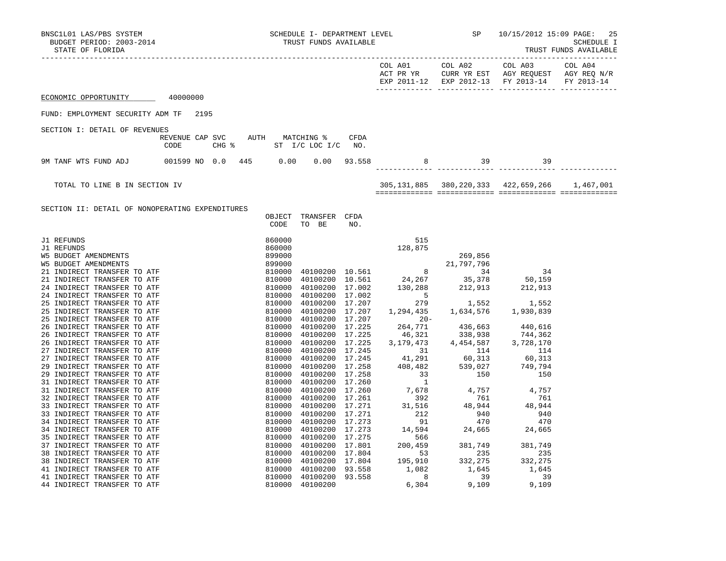| BNSC1L01 LAS/PBS SYSTEM SCHEDULE I- DEPARTMENT LEVEL SP 10/15/2012 15:09 PAGE: 25<br>BUDGET PERIOD: 2003-2014 TRUST FUNDS AVAILABLE<br>TRUST FUNDS AVAILABLE                                                                                                                                                                                                            |      |  |      |                                                                    |  |            |                                                       |  |
|-------------------------------------------------------------------------------------------------------------------------------------------------------------------------------------------------------------------------------------------------------------------------------------------------------------------------------------------------------------------------|------|--|------|--------------------------------------------------------------------|--|------------|-------------------------------------------------------|--|
|                                                                                                                                                                                                                                                                                                                                                                         |      |  |      |                                                                    |  |            | EXP 2011-12 EXP 2012-13 FY 2013-14 FY 2013-14         |  |
| ECONOMIC OPPORTUNITY 40000000                                                                                                                                                                                                                                                                                                                                           |      |  |      |                                                                    |  |            |                                                       |  |
| FUND: EMPLOYMENT SECURITY ADM TF 2195                                                                                                                                                                                                                                                                                                                                   |      |  |      |                                                                    |  |            |                                                       |  |
| SECTION I: DETAIL OF REVENUES                                                                                                                                                                                                                                                                                                                                           |      |  |      |                                                                    |  |            |                                                       |  |
|                                                                                                                                                                                                                                                                                                                                                                         | CODE |  |      | REVENUE CAP SVC AUTH MATCHING % CFDA<br>CHG $*$ ST I/C LOC I/C NO. |  |            |                                                       |  |
| 9M TANF WTS FUND ADJ 001599 NO 0.0 445 0.00 0.00 93.558                                                                                                                                                                                                                                                                                                                 |      |  |      |                                                                    |  | 8 39 39 39 |                                                       |  |
|                                                                                                                                                                                                                                                                                                                                                                         |      |  |      |                                                                    |  |            |                                                       |  |
| TOTAL TO LINE B IN SECTION IV                                                                                                                                                                                                                                                                                                                                           |      |  |      |                                                                    |  |            | 305, 131, 885 380, 220, 333 422, 659, 266 1, 467, 001 |  |
|                                                                                                                                                                                                                                                                                                                                                                         |      |  |      |                                                                    |  |            |                                                       |  |
| SECTION II: DETAIL OF NONOPERATING EXPENDITURES                                                                                                                                                                                                                                                                                                                         |      |  | CODE | OBJECT TRANSFER CFDA<br>TO BE NO.                                  |  |            |                                                       |  |
| $\begin{tabular}{l c c c c} \hline \textbf{3.1 RFTUMDE} & \textbf{0.001} & \textbf{0.01} & \textbf{0.02} & \textbf{0.02} & \textbf{0.03} & \textbf{0.04} & \textbf{0.05} & \textbf{0.06} & \textbf{0.07} & \textbf{0.07} & \textbf{0.07} & \textbf{0.08} & \textbf{0.07} & \textbf{0.08} & \textbf{0.09} & \textbf{0.09} & \textbf{0.09} & \textbf{0.09} & \textbf{0.0$ |      |  |      |                                                                    |  |            |                                                       |  |
|                                                                                                                                                                                                                                                                                                                                                                         |      |  |      |                                                                    |  |            |                                                       |  |
|                                                                                                                                                                                                                                                                                                                                                                         |      |  |      |                                                                    |  |            |                                                       |  |
|                                                                                                                                                                                                                                                                                                                                                                         |      |  |      |                                                                    |  |            |                                                       |  |
|                                                                                                                                                                                                                                                                                                                                                                         |      |  |      |                                                                    |  |            |                                                       |  |
|                                                                                                                                                                                                                                                                                                                                                                         |      |  |      |                                                                    |  |            |                                                       |  |
|                                                                                                                                                                                                                                                                                                                                                                         |      |  |      |                                                                    |  |            |                                                       |  |
|                                                                                                                                                                                                                                                                                                                                                                         |      |  |      |                                                                    |  |            |                                                       |  |
|                                                                                                                                                                                                                                                                                                                                                                         |      |  |      |                                                                    |  |            |                                                       |  |
|                                                                                                                                                                                                                                                                                                                                                                         |      |  |      |                                                                    |  |            |                                                       |  |
|                                                                                                                                                                                                                                                                                                                                                                         |      |  |      |                                                                    |  |            |                                                       |  |
|                                                                                                                                                                                                                                                                                                                                                                         |      |  |      |                                                                    |  |            |                                                       |  |
|                                                                                                                                                                                                                                                                                                                                                                         |      |  |      |                                                                    |  |            |                                                       |  |
|                                                                                                                                                                                                                                                                                                                                                                         |      |  |      |                                                                    |  |            |                                                       |  |
|                                                                                                                                                                                                                                                                                                                                                                         |      |  |      |                                                                    |  |            |                                                       |  |
|                                                                                                                                                                                                                                                                                                                                                                         |      |  |      |                                                                    |  |            |                                                       |  |
|                                                                                                                                                                                                                                                                                                                                                                         |      |  |      |                                                                    |  |            |                                                       |  |
|                                                                                                                                                                                                                                                                                                                                                                         |      |  |      |                                                                    |  |            |                                                       |  |
|                                                                                                                                                                                                                                                                                                                                                                         |      |  |      |                                                                    |  |            |                                                       |  |
|                                                                                                                                                                                                                                                                                                                                                                         |      |  |      |                                                                    |  |            |                                                       |  |
|                                                                                                                                                                                                                                                                                                                                                                         |      |  |      |                                                                    |  |            |                                                       |  |
|                                                                                                                                                                                                                                                                                                                                                                         |      |  |      |                                                                    |  |            |                                                       |  |
|                                                                                                                                                                                                                                                                                                                                                                         |      |  |      |                                                                    |  |            |                                                       |  |
|                                                                                                                                                                                                                                                                                                                                                                         |      |  |      |                                                                    |  |            |                                                       |  |
|                                                                                                                                                                                                                                                                                                                                                                         |      |  |      |                                                                    |  |            |                                                       |  |
|                                                                                                                                                                                                                                                                                                                                                                         |      |  |      |                                                                    |  |            |                                                       |  |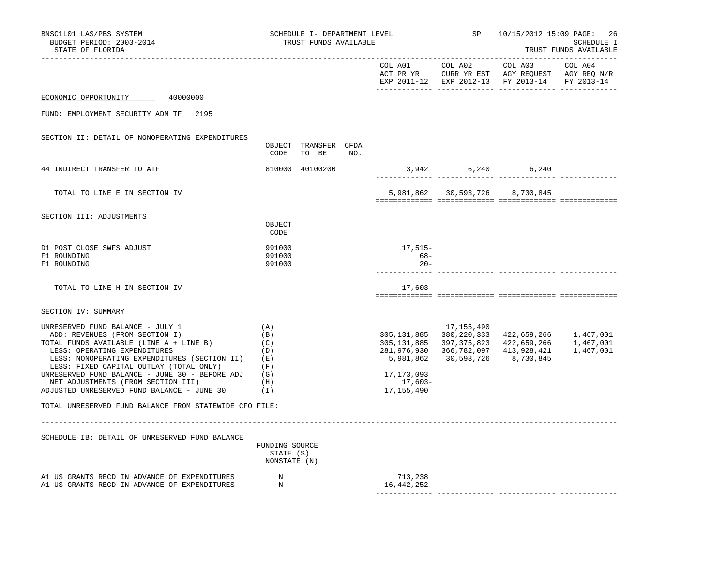| BNSC1L01 LAS/PBS SYSTEM<br>BUDGET PERIOD: 2003-2014<br>STATE OF FLORIDA                                                                                                                                                                                                                                                                                                                                                                            | SCHEDULE I- DEPARTMENT LEVEL<br>TRUST FUNDS AVAILABLE<br>-------------------------- |                               |     |                                                    |                          | SP 10/15/2012 15:09 PAGE:<br>-26<br>SCHEDULE I<br>TRUST FUNDS AVAILABLE                                                                                                                                                            |  |  |
|----------------------------------------------------------------------------------------------------------------------------------------------------------------------------------------------------------------------------------------------------------------------------------------------------------------------------------------------------------------------------------------------------------------------------------------------------|-------------------------------------------------------------------------------------|-------------------------------|-----|----------------------------------------------------|--------------------------|------------------------------------------------------------------------------------------------------------------------------------------------------------------------------------------------------------------------------------|--|--|
|                                                                                                                                                                                                                                                                                                                                                                                                                                                    |                                                                                     |                               |     |                                                    |                          | EXP 2011-12 EXP 2012-13 FY 2013-14 FY 2013-14                                                                                                                                                                                      |  |  |
| 40000000<br>ECONOMIC OPPORTUNITY                                                                                                                                                                                                                                                                                                                                                                                                                   |                                                                                     |                               |     |                                                    |                          |                                                                                                                                                                                                                                    |  |  |
| FUND: EMPLOYMENT SECURITY ADM TF 2195                                                                                                                                                                                                                                                                                                                                                                                                              |                                                                                     |                               |     |                                                    |                          |                                                                                                                                                                                                                                    |  |  |
| SECTION II: DETAIL OF NONOPERATING EXPENDITURES                                                                                                                                                                                                                                                                                                                                                                                                    | CODE                                                                                | OBJECT TRANSFER CFDA<br>TO BE | NO. |                                                    |                          |                                                                                                                                                                                                                                    |  |  |
| 44 INDIRECT TRANSFER TO ATF                                                                                                                                                                                                                                                                                                                                                                                                                        |                                                                                     | 810000 40100200               |     | 3,942 6,240 6,240                                  |                          |                                                                                                                                                                                                                                    |  |  |
| TOTAL TO LINE E IN SECTION IV                                                                                                                                                                                                                                                                                                                                                                                                                      |                                                                                     |                               |     |                                                    |                          | 5,981,862 30,593,726 8,730,845                                                                                                                                                                                                     |  |  |
| SECTION III: ADJUSTMENTS                                                                                                                                                                                                                                                                                                                                                                                                                           | OBJECT<br>CODE                                                                      |                               |     |                                                    |                          |                                                                                                                                                                                                                                    |  |  |
| D1 POST CLOSE SWFS ADJUST<br>F1 ROUNDING<br>F1 ROUNDING                                                                                                                                                                                                                                                                                                                                                                                            | 991000<br>991000<br>991000                                                          |                               |     | 17,515–<br>$68-$<br>$20 -$                         |                          |                                                                                                                                                                                                                                    |  |  |
| TOTAL TO LINE H IN SECTION IV                                                                                                                                                                                                                                                                                                                                                                                                                      |                                                                                     |                               |     | 17,603-                                            |                          |                                                                                                                                                                                                                                    |  |  |
| SECTION IV: SUMMARY                                                                                                                                                                                                                                                                                                                                                                                                                                |                                                                                     |                               |     |                                                    |                          |                                                                                                                                                                                                                                    |  |  |
| UNRESERVED FUND BALANCE - JULY 1<br>ADD: REVENUES (FROM SECTION I)<br>TOTAL FUNDS AVAILABLE (LINE A + LINE B)<br>LESS: OPERATING EXPENDITURES<br>LESS: NONOPERATING EXPENDITURES (SECTION II) (E)<br>LESS: FIXED CAPITAL OUTLAY (TOTAL ONLY)<br>UNRESERVED FUND BALANCE - JUNE 30 - BEFORE ADJ $(G)$<br>NET ADJUSTMENTS (FROM SECTION III)<br>ADJUSTED UNRESERVED FUND BALANCE - JUNE 30<br>TOTAL UNRESERVED FUND BALANCE FROM STATEWIDE CFO FILE: | (A)<br>(B)<br>(C)<br>(D)<br>(F)<br>(H)<br>(1)                                       |                               |     | 5,981,862<br>17, 173, 093<br>17,603-<br>17,155,490 | 17,155,490<br>30,593,726 | 305, 131, 885 380, 220, 333 422, 659, 266 1, 467, 001<br>$\begin{array}{cccc} 305, 131, 885 & 397, 375, 823 & 422, 659, 266 & 1, 467, 001 \\ 281, 976, 930 & 366, 782, 097 & 413, 928, 421 & 1, 467, 001 \end{array}$<br>8,730,845 |  |  |
|                                                                                                                                                                                                                                                                                                                                                                                                                                                    |                                                                                     |                               |     |                                                    |                          |                                                                                                                                                                                                                                    |  |  |
| SCHEDULE IB: DETAIL OF UNRESERVED FUND BALANCE                                                                                                                                                                                                                                                                                                                                                                                                     | FUNDING SOURCE<br>STATE (S)<br>NONSTATE (N)                                         |                               |     |                                                    |                          |                                                                                                                                                                                                                                    |  |  |
| A1 US GRANTS RECD IN ADVANCE OF EXPENDITURES<br>A1 US GRANTS RECD IN ADVANCE OF EXPENDITURES                                                                                                                                                                                                                                                                                                                                                       | N<br>N                                                                              |                               |     | 713,238<br>16,442,252                              |                          | ________________________________                                                                                                                                                                                                   |  |  |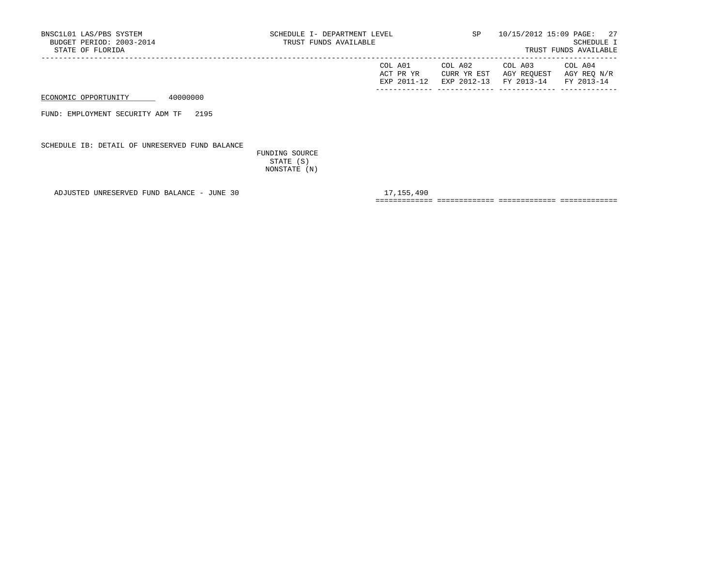| COL A01     | COL A02 | COL A03                           | COL A04     |
|-------------|---------|-----------------------------------|-------------|
| ACT PR YR   |         | CURR YR EST AGY REQUEST           | AGY REO N/R |
| EXP 2011-12 |         | EXP 2012-13 FY 2013-14 FY 2013-14 |             |
|             |         |                                   |             |

FUND: EMPLOYMENT SECURITY ADM TF 2195

SCHEDULE IB: DETAIL OF UNRESERVED FUND BALANCE

 FUNDING SOURCE STATE (S) NONSTATE (N)

ADJUSTED UNRESERVED FUND BALANCE - JUNE 30 17,155,490

============= ============= ============= =============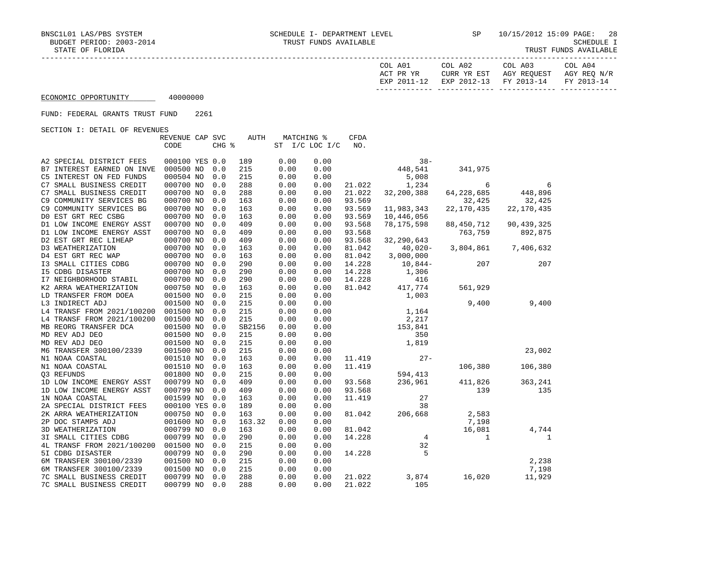SCHEDULE I<br>TRUST FUNDS AVAILABLE

|                                                | COL A01     | COL A02     | COLA03      | COL A04     |
|------------------------------------------------|-------------|-------------|-------------|-------------|
|                                                | ACT PR YR   | CURR YR EST | AGY REOUEST | AGY REO N/R |
|                                                | EXP 2011-12 | EXP 2012-13 | FY 2013-14  | FY 2013-14  |
|                                                |             |             |             |             |
| 100000000<br>_________________________________ |             |             |             |             |

ECONOMIC OPPORTUNITY 40000000

### FUND: FEDERAL GRANTS TRUST FUND 2261

|                            | REVENUE CAP SVC |       | <b>AUTH</b> | <b>MATCHING %</b> |                | <b>CFDA</b> |                |                |                     |
|----------------------------|-----------------|-------|-------------|-------------------|----------------|-------------|----------------|----------------|---------------------|
|                            | CODE            | CHG % |             |                   | ST I/C LOC I/C | NO.         |                |                |                     |
|                            |                 |       |             |                   |                |             |                |                |                     |
| A2 SPECIAL DISTRICT FEES   | 000100 YES 0.0  |       | 189         | 0.00              | 0.00           |             | $38 -$         |                |                     |
| B7 INTEREST EARNED ON INVE | 000500 NO       | 0.0   | 215         | 0.00              | 0.00           |             | 448,541        | 341,975        |                     |
| C5 INTEREST ON FED FUNDS   | 000504 NO       | 0.0   | 215         | 0.00              | 0.00           |             | 5,008          |                |                     |
| C7 SMALL BUSINESS CREDIT   | 000700 NO       | 0.0   | 288         | 0.00              | 0.00           | 21.022      | 1,234          | $\overline{6}$ | 6                   |
| C7 SMALL BUSINESS CREDIT   | 000700 NO       | 0.0   | 288         | 0.00              | 0.00           | 21.022      | 32,200,388     | 64, 228, 685   | 448,896             |
| C9 COMMUNITY SERVICES BG   | 000700 NO       | 0.0   | 163         | 0.00              | 0.00           | 93.569      |                | 32,425         | 32,425              |
| C9 COMMUNITY SERVICES BG   | 000700 NO       | 0.0   | 163         | 0.00              | 0.00           | 93.569      | 11,983,343     | 22,170,435     | 22, 170, 435        |
| DO EST GRT REC CSBG        | 000700 NO       | 0.0   | 163         | 0.00              | 0.00           | 93.569      | 10,446,056     |                |                     |
| D1 LOW INCOME ENERGY ASST  | 000700 NO       | 0.0   | 409         | 0.00              | 0.00           | 93.568      | 78,175,598     | 88,450,712     | 90,439,325          |
| D1 LOW INCOME ENERGY ASST  | 000700 NO       | 0.0   | 409         | 0.00              | 0.00           | 93.568      |                | 763,759        | 892,875             |
| D2 EST GRT REC LIHEAP      | 000700 NO       | 0.0   | 409         | 0.00              | 0.00           | 93.568      | 32,290,643     |                |                     |
| D3 WEATHERIZATION          | 000700 NO       | 0.0   | 163         | 0.00              | 0.00           | 81.042      | 40,020-        |                | 3,804,861 7,406,632 |
| D4 EST GRT REC WAP         | 000700 NO       | 0.0   | 163         | 0.00              | 0.00           | 81.042      | 3,000,000      |                |                     |
| I3 SMALL CITIES CDBG       | 000700 NO       | 0.0   | 290         | 0.00              | 0.00           | 14.228      | $10,844-$      | 207            | 207                 |
| <b>I5 CDBG DISASTER</b>    | 000700 NO       | 0.0   | 290         | 0.00              | 0.00           | 14.228      | 1,306          |                |                     |
| I7 NEIGHBORHOOD STABIL     | 000700 NO       | 0.0   | 290         | 0.00              | 0.00           | 14.228      |                |                |                     |
| K2 ARRA WEATHERIZATION     | 000750 NO       | 0.0   | 163         | 0.00              | 0.00           | 81.042      | 416<br>417,774 | 561,929        |                     |
| LD TRANSFER FROM DOEA      | 001500 NO       | 0.0   | 215         | 0.00              | 0.00           |             | 1,003          |                |                     |
| L3 INDIRECT ADJ            | 001500 NO       | 0.0   | 215         | 0.00              | 0.00           |             |                | 9,400          | 9,400               |
| L4 TRANSF FROM 2021/100200 | 001500 NO       | 0.0   | 215         | 0.00              | 0.00           |             | 1,164          |                |                     |
| L4 TRANSF FROM 2021/100200 | 001500 NO       | 0.0   | 215         | 0.00              | 0.00           |             | 2,217          |                |                     |
| MB REORG TRANSFER DCA      | 001500 NO       | 0.0   | SB2156      | 0.00              | 0.00           |             | 153,841        |                |                     |
| MD REV ADJ DEO             | 001500 NO       | 0.0   | 215         | 0.00              | 0.00           |             | 350            |                |                     |
| MD REV ADJ DEO             | 001500 NO       | 0.0   | 215         | 0.00              | 0.00           |             | 1,819          |                |                     |
| M6 TRANSFER 300100/2339    | 001500 NO       | 0.0   | 215         | 0.00              | 0.00           |             |                |                | 23,002              |
| N1 NOAA COASTAL            | 001510 NO       | 0.0   | 163         | 0.00              | 0.00           |             | 11.419 27-     |                |                     |
| N1 NOAA COASTAL            | 001510 NO       | 0.0   | 163         | 0.00              | 0.00           | 11.419      |                | 106,380        | 106,380             |
| 03 REFUNDS                 | 001800 NO       | 0.0   | 215         | 0.00              | 0.00           |             | 594,413        |                |                     |
| 1D LOW INCOME ENERGY ASST  | 000799 NO       | 0.0   | 409         | 0.00              | 0.00           | 93.568      | 236,961        | 411,826        | 363,241             |
| 1D LOW INCOME ENERGY ASST  | 000799 NO       | 0.0   | 409         | 0.00              | 0.00           | 93.568      |                | 139            | 135                 |
| 1N NOAA COASTAL            | 001599 NO       | 0.0   | 163         | 0.00              | 0.00           | 11.419      | 27             |                |                     |
| 2A SPECIAL DISTRICT FEES   | 000100 YES 0.0  |       | 189         | 0.00              | 0.00           |             | 38             |                |                     |
| 2K ARRA WEATHERIZATION     | 000750 NO       | 0.0   | 163         | 0.00              | 0.00           | 81.042      | 206,668        | 2,583          |                     |
| 2P DOC STAMPS ADJ          | 001600 NO       | 0.0   | 163.32      | 0.00              | 0.00           |             |                | 7,198          |                     |
| 3D WEATHERIZATION          | 000799 NO       | 0.0   | 163         | 0.00              | 0.00           | 81.042      |                | 16,081         | 4,744               |
| 3I SMALL CITIES CDBG       | 000799 NO       | 0.0   | 290         | 0.00              | 0.00           | 14.228      | $\frac{4}{2}$  | 1              | 1                   |
| 4L TRANSF FROM 2021/100200 | 001500 NO       | 0.0   | 215         | 0.00              | 0.00           |             | 32             |                |                     |
| 51 CDBG DISASTER           | 000799 NO       | 0.0   | 290         | 0.00              | 0.00           | 14.228      | $\sim$ 5       |                |                     |
| 6M TRANSFER 300100/2339    | 001500 NO       | 0.0   | 215         | 0.00              | 0.00           |             |                |                | 2,238               |
| 6M TRANSFER 300100/2339    | 001500 NO       | 0.0   | 215         | 0.00              | 0.00           |             |                |                | 7,198               |
| 7C SMALL BUSINESS CREDIT   | 000799 NO       | 0.0   | 288         | 0.00              | 0.00           | 21.022      | 3,874          | 16,020         | 11,929              |
| 7C SMALL BUSINESS CREDIT   | 000799 NO       | 0.0   | 288         | 0.00              | 0.00           | 21.022      | 105            |                |                     |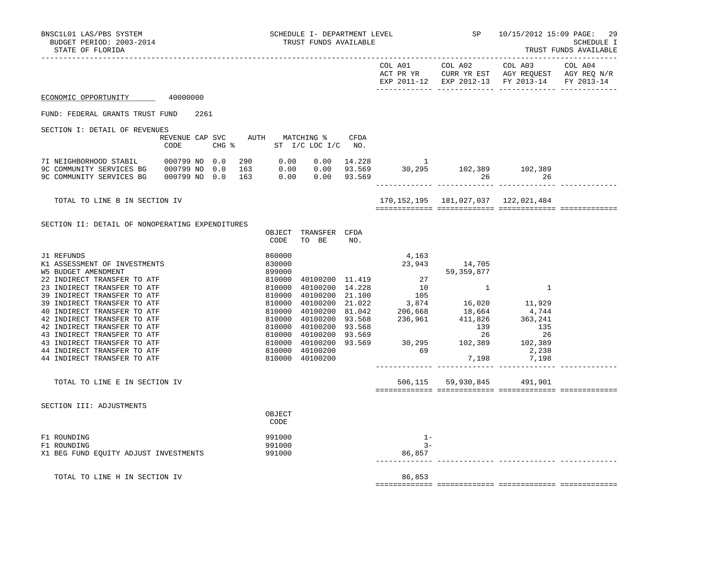| BNSC1L01 LAS/PBS SYSTEM<br>BUDGET PERIOD: 2003-2014<br>STATE OF FLORIDA                                                  | SCHEDULE I- DEPARTMENT LEVEL<br>TRUST FUNDS AVAILABLE                                                                                                                                                                                                                         |      |                 |                            | SP 10/15/2012 15:09 PAGE: 29<br>SCHEDULE I<br>TRUST FUNDS AVAILABLE |  |  |
|--------------------------------------------------------------------------------------------------------------------------|-------------------------------------------------------------------------------------------------------------------------------------------------------------------------------------------------------------------------------------------------------------------------------|------|-----------------|----------------------------|---------------------------------------------------------------------|--|--|
|                                                                                                                          |                                                                                                                                                                                                                                                                               |      |                 |                            | EXP 2011-12 EXP 2012-13 FY 2013-14 FY 2013-14                       |  |  |
| ECONOMIC OPPORTUNITY 40000000                                                                                            |                                                                                                                                                                                                                                                                               |      |                 |                            |                                                                     |  |  |
| FUND: FEDERAL GRANTS TRUST FUND 2261                                                                                     |                                                                                                                                                                                                                                                                               |      |                 |                            |                                                                     |  |  |
| SECTION I: DETAIL OF REVENUES                                                                                            |                                                                                                                                                                                                                                                                               |      |                 |                            |                                                                     |  |  |
| REVENUE CAP SVC AUTH MATCHING %<br>CODE                                                                                  | CHG % ST I/C LOC I/C NO.                                                                                                                                                                                                                                                      | CFDA |                 |                            |                                                                     |  |  |
|                                                                                                                          |                                                                                                                                                                                                                                                                               |      |                 | 26                         |                                                                     |  |  |
| TOTAL TO LINE B IN SECTION IV                                                                                            |                                                                                                                                                                                                                                                                               |      |                 |                            | 170, 152, 195   181, 027, 037   122, 021, 484                       |  |  |
| SECTION II: DETAIL OF NONOPERATING EXPENDITURES                                                                          | OBJECT TRANSFER CFDA<br>TO BE<br>CODE                                                                                                                                                                                                                                         | NO.  |                 |                            |                                                                     |  |  |
| J1 REFUNDS<br>K1 ASSESSMENT OF INVESTMENTS<br><b>W5 BUDGET AMENDMENT</b><br>22 INDIRECT TRANSFER TO ATF                  | 860000<br>830000                                                                                                                                                                                                                                                              |      | 4,163<br>23,943 | 14,705                     |                                                                     |  |  |
| 23 INDIRECT TRANSFER TO ATF<br>39 INDIRECT TRANSFER TO ATF<br>39 INDIRECT TRANSFER TO ATF                                |                                                                                                                                                                                                                                                                               |      |                 |                            |                                                                     |  |  |
| 40 INDIRECT TRANSFER TO ATF<br>42 INDIRECT TRANSFER TO ATF<br>42 INDIRECT TRANSFER TO ATF                                |                                                                                                                                                                                                                                                                               |      |                 |                            |                                                                     |  |  |
| 43 INDIRECT TRANSFER TO ATF<br>43 INDIRECT TRANSFER TO ATF<br>44 INDIRECT TRANSFER TO ATF<br>44 INDIRECT TRANSFER TO ATF | $\begin{array}{cccccc} 83.90000 & 40100200 & 11.419 & 27 & 14,705 \\ 899000 & 40100200 & 14.228 & 10 & 1 & 1 \\ 810000 & 40100200 & 21.100 & 105 & 1 & 1 \\ 810000 & 40100200 & 21.100 & 105 & 16,020 & 11,929 \\ 810000 & 40100200 & 21.022 & 3,874 & 16,020 & 11,929 \\ 81$ |      |                 |                            |                                                                     |  |  |
| TOTAL TO LINE E IN SECTION IV                                                                                            |                                                                                                                                                                                                                                                                               |      |                 | 506,115 59,930,845 491,901 |                                                                     |  |  |
| SECTION III: ADJUSTMENTS                                                                                                 | OBJECT<br>CODE                                                                                                                                                                                                                                                                |      |                 |                            |                                                                     |  |  |
| F1 ROUNDING<br>F1 ROUNDING                                                                                               | 991000<br>991000                                                                                                                                                                                                                                                              |      | $1 -$<br>$3 -$  |                            |                                                                     |  |  |
| X1 BEG FUND EQUITY ADJUST INVESTMENTS                                                                                    | 991000                                                                                                                                                                                                                                                                        |      | 86,857          |                            |                                                                     |  |  |
| TOTAL TO LINE H IN SECTION IV                                                                                            |                                                                                                                                                                                                                                                                               |      | 86,853          |                            |                                                                     |  |  |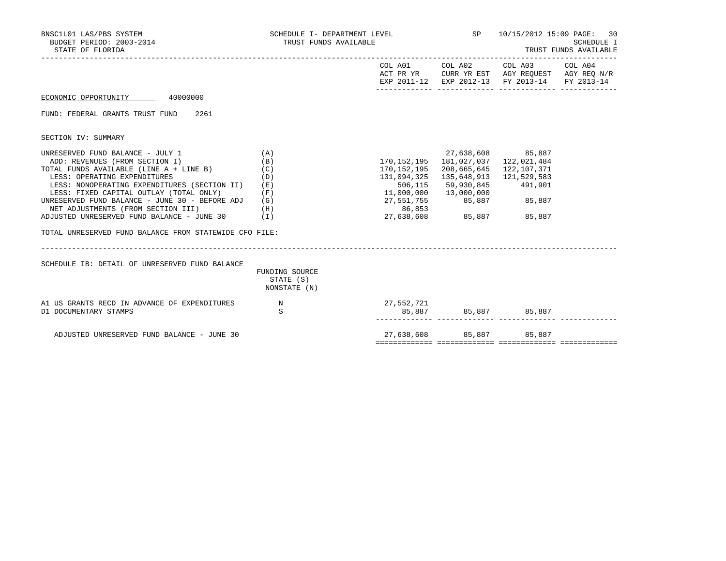| BNSC1L01 LAS/PBS SYSTEM<br>BUDGET PERIOD: 2003-2014<br>STATE OF FLORIDA                                                                                                                                                                                                                                                                                                                                                                  | SCHEDULE I- DEPARTMENT LEVEL<br>TRUST FUNDS AVAILABLE         |                                                                                                                                            | SP 10/15/2012 15:09 PAGE: 30<br>SCHEDULE I<br>TRUST FUNDS AVAILABLE                                          |                                                                                                                                   |  |
|------------------------------------------------------------------------------------------------------------------------------------------------------------------------------------------------------------------------------------------------------------------------------------------------------------------------------------------------------------------------------------------------------------------------------------------|---------------------------------------------------------------|--------------------------------------------------------------------------------------------------------------------------------------------|--------------------------------------------------------------------------------------------------------------|-----------------------------------------------------------------------------------------------------------------------------------|--|
|                                                                                                                                                                                                                                                                                                                                                                                                                                          |                                                               |                                                                                                                                            |                                                                                                              | COL A01 COL A02 COL A03 COL A04<br>ACT PR YR CURR YR EST AGY REQUEST AGY REQ N/R<br>EXP 2011-12 EXP 2012-13 FY 2013-14 FY 2013-14 |  |
| ECONOMIC OPPORTUNITY 40000000                                                                                                                                                                                                                                                                                                                                                                                                            |                                                               |                                                                                                                                            |                                                                                                              |                                                                                                                                   |  |
| FUND: FEDERAL GRANTS TRUST FUND<br>2261                                                                                                                                                                                                                                                                                                                                                                                                  |                                                               |                                                                                                                                            |                                                                                                              |                                                                                                                                   |  |
| SECTION IV: SUMMARY                                                                                                                                                                                                                                                                                                                                                                                                                      |                                                               |                                                                                                                                            |                                                                                                              |                                                                                                                                   |  |
| UNRESERVED FUND BALANCE - JULY 1<br>ADD: REVENUES (FROM SECTION I)<br>TOTAL FUNDS AVAILABLE (LINE A + LINE B)<br>LESS: OPERATING EXPENDITURES<br>LESS: NONOPERATING EXPENDITURES (SECTION II)<br>LESS: FIXED CAPITAL OUTLAY (TOTAL ONLY)<br>UNRESERVED FUND BALANCE - JUNE 30 - BEFORE ADJ<br>NET ADJUSTMENTS (FROM SECTION III)<br>ADJUSTED UNRESERVED FUND BALANCE - JUNE 30<br>TOTAL UNRESERVED FUND BALANCE FROM STATEWIDE CFO FILE: | (A)<br>(B)<br>(C)<br>(D)<br>(E)<br>(F)<br>(G)<br>(H)<br>( I ) | 170, 152, 195    181, 027, 037    122, 021, 484<br>506,115<br>11,000,000<br>27,551,755 85,887 85,887<br>86,853<br>27,638,608 85,887 85,887 | 170, 152, 195 208, 665, 645 122, 107, 371<br>131,094,325 135,648,913 121,529,583<br>59,930,845<br>13,000,000 | 27,638,608 85,887<br>491,901                                                                                                      |  |
| SCHEDULE IB: DETAIL OF UNRESERVED FUND BALANCE                                                                                                                                                                                                                                                                                                                                                                                           | FUNDING SOURCE<br>STATE (S)<br>NONSTATE (N)                   |                                                                                                                                            |                                                                                                              |                                                                                                                                   |  |
| A1 US GRANTS RECD IN ADVANCE OF EXPENDITURES<br>D1 DOCUMENTARY STAMPS                                                                                                                                                                                                                                                                                                                                                                    | N<br>S                                                        |                                                                                                                                            |                                                                                                              |                                                                                                                                   |  |
| ADJUSTED UNRESERVED FUND BALANCE - JUNE 30                                                                                                                                                                                                                                                                                                                                                                                               |                                                               |                                                                                                                                            | 27,638,608 85,887 85,887                                                                                     |                                                                                                                                   |  |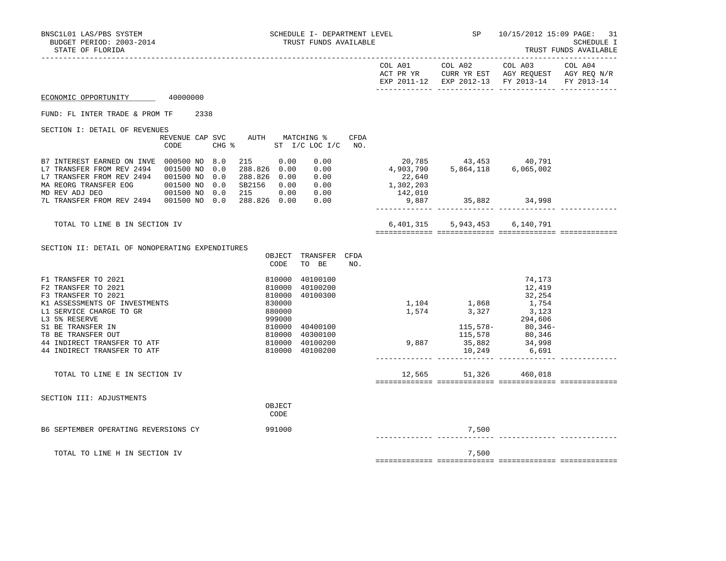| BNSC1L01 LAS/PBS SYSTEM<br>BUDGET PERIOD: 2003-2014<br>STATE OF FLORIDA                                                                                                                                                                                 |                                         | SCHEDULE I- DEPARTMENT LEVEL<br>TRUST FUNDS AVAILABLE                                                                                                                       |                                                                                         |                                         | $SP$ 10/15/2012 15:09 PAGE: 31                                                                                                    | SCHEDULE I<br>TRUST FUNDS AVAILABLE |
|---------------------------------------------------------------------------------------------------------------------------------------------------------------------------------------------------------------------------------------------------------|-----------------------------------------|-----------------------------------------------------------------------------------------------------------------------------------------------------------------------------|-----------------------------------------------------------------------------------------|-----------------------------------------|-----------------------------------------------------------------------------------------------------------------------------------|-------------------------------------|
|                                                                                                                                                                                                                                                         |                                         |                                                                                                                                                                             |                                                                                         |                                         | COL A01 COL A02 COL A03 COL A04<br>ACT PR YR CURR YR EST AGY REQUEST AGY REQ N/R<br>EXP 2011-12 EXP 2012-13 FY 2013-14 FY 2013-14 |                                     |
| ECONOMIC OPPORTUNITY 40000000                                                                                                                                                                                                                           |                                         |                                                                                                                                                                             |                                                                                         |                                         |                                                                                                                                   |                                     |
| FUND: FL INTER TRADE & PROM TF                                                                                                                                                                                                                          | 2338                                    |                                                                                                                                                                             |                                                                                         |                                         |                                                                                                                                   |                                     |
| SECTION I: DETAIL OF REVENUES                                                                                                                                                                                                                           | REVENUE CAP SVC AUTH MATCHING %<br>CODE | CHG $\frac{1}{2}$ ST I/C LOC I/C NO.                                                                                                                                        | CFDA                                                                                    |                                         |                                                                                                                                   |                                     |
| B7 INTEREST EARNED ON INVE 000500 NO 8.0<br>L7 TRANSFER FROM REV 2494  001500 NO 0.0<br>L7 TRANSFER FROM REV 2494 001500 NO 0.0                                                                                                                         |                                         | 215 0.00<br>0.00<br>0.00<br>288.826 0.00<br>288.826 0.00<br>0.00<br>SB2156  0.00  0.00<br>215  0.00  0.00                                                                   | 20,785 43,453 40,791<br>4,903,790 5,864,118 6,065,002<br>22,640<br>1,302,203<br>142,010 |                                         |                                                                                                                                   |                                     |
| 7L TRANSFER FROM REV 2494  001500 NO 0.0                                                                                                                                                                                                                |                                         | 288.826 0.00<br>0.00                                                                                                                                                        | 9,887                                                                                   |                                         | 35,882 34,998                                                                                                                     |                                     |
| TOTAL TO LINE B IN SECTION IV                                                                                                                                                                                                                           |                                         |                                                                                                                                                                             |                                                                                         | 6,401,315 5,943,453 6,140,791           |                                                                                                                                   |                                     |
| SECTION II: DETAIL OF NONOPERATING EXPENDITURES                                                                                                                                                                                                         |                                         | OBJECT TRANSFER CFDA<br>CODE<br>TO BE                                                                                                                                       | NO.                                                                                     |                                         |                                                                                                                                   |                                     |
| F1 TRANSFER TO 2021<br>F2 TRANSFER TO 2021<br>F3 TRANSFER TO 2021<br>K1 ASSESSMENTS OF INVESTMENTS<br>L1 SERVICE CHARGE TO GR<br>L3 5% RESERVE<br>S1 BE TRANSFER IN<br>T8 BE TRANSFER OUT<br>44 INDIRECT TRANSFER TO ATF<br>44 INDIRECT TRANSFER TO ATF |                                         | 810000<br>40100100<br>40100200<br>810000<br>810000<br>40100300<br>830000<br>880000<br>999000<br>810000<br>40400100<br>810000 40300100<br>810000 40100200<br>810000 40100200 | 9,887                                                                                   | $1,104$<br>$1,574$<br>$3,327$<br>10,249 | 74,173<br>12,419<br>32,254<br>1,754<br>3,123<br>$294,606$<br>$115,578$ -<br>$115,578$<br>$35,882$<br>$34,998$<br>6,691            |                                     |
| TOTAL TO LINE E IN SECTION IV                                                                                                                                                                                                                           |                                         |                                                                                                                                                                             |                                                                                         | 12,565 51,326 460,018                   |                                                                                                                                   |                                     |
| SECTION III: ADJUSTMENTS                                                                                                                                                                                                                                |                                         | OBJECT<br>CODE                                                                                                                                                              |                                                                                         |                                         |                                                                                                                                   |                                     |
| B6 SEPTEMBER OPERATING REVERSIONS CY                                                                                                                                                                                                                    |                                         | 991000                                                                                                                                                                      |                                                                                         | 7,500                                   |                                                                                                                                   |                                     |
| TOTAL TO LINE H IN SECTION IV                                                                                                                                                                                                                           |                                         |                                                                                                                                                                             |                                                                                         | 7,500                                   |                                                                                                                                   |                                     |

============= ============= ============= =============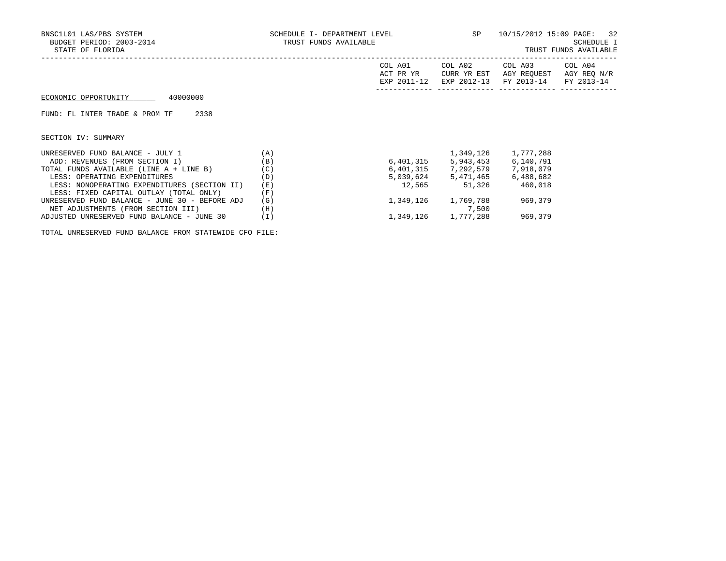| BNSC1L01 LAS/PBS SYSTEM<br>BUDGET PERIOD: 2003-2014<br>STATE OF FLORIDA |     | SCHEDULE I- DEPARTMENT LEVEL<br>TRUST FUNDS AVAILABLE |                                       |                                      | 10/15/2012 15:09 PAGE: 32<br>SCHEDULE I<br>TRUST FUNDS AVAILABLE |
|-------------------------------------------------------------------------|-----|-------------------------------------------------------|---------------------------------------|--------------------------------------|------------------------------------------------------------------|
|                                                                         |     | COL A01<br>ACT PR YR<br>EXP 2011-12                   | COL A02<br>CURR YR EST<br>EXP 2012-13 | COL A03<br>AGY REOUEST<br>FY 2013-14 | COL A04<br>AGY REQ N/R<br>FY 2013-14                             |
| 40000000<br>ECONOMIC OPPORTUNITY                                        |     |                                                       |                                       |                                      |                                                                  |
| 2338<br>FUND: FL INTER TRADE & PROM TF                                  |     |                                                       |                                       |                                      |                                                                  |
| SECTION IV: SUMMARY                                                     |     |                                                       |                                       |                                      |                                                                  |
| UNRESERVED FUND BALANCE - JULY 1                                        | (A) |                                                       | 1,349,126                             | 1,777,288                            |                                                                  |
| ADD: REVENUES (FROM SECTION I)                                          | (B) |                                                       | 6,401,315 5,943,453                   | 6,140,791                            |                                                                  |
| TOTAL FUNDS AVAILABLE (LINE A + LINE B)                                 | (C) |                                                       | 6,401,315 7,292,579 7,918,079         |                                      |                                                                  |
| LESS: OPERATING EXPENDITURES                                            | (D) |                                                       | 5,039,624 5,471,465                   | 6,488,682                            |                                                                  |
| LESS: NONOPERATING EXPENDITURES (SECTION II)                            | (E) | 12,565                                                | 51,326                                | 460,018                              |                                                                  |
| LESS: FIXED CAPITAL OUTLAY (TOTAL ONLY)                                 | (F) |                                                       |                                       |                                      |                                                                  |
| UNRESERVED FUND BALANCE - JUNE 30 - BEFORE ADJ                          | (G) |                                                       | 1,349,126 1,769,788                   | 969,379                              |                                                                  |

NET ADJUSTMENTS (FROM SECTION III) (H) 7,500

ADJUSTED UNRESERVED FUND BALANCE - JUNE 30 (I)  $1,349,126$   $1,777,288$  969,379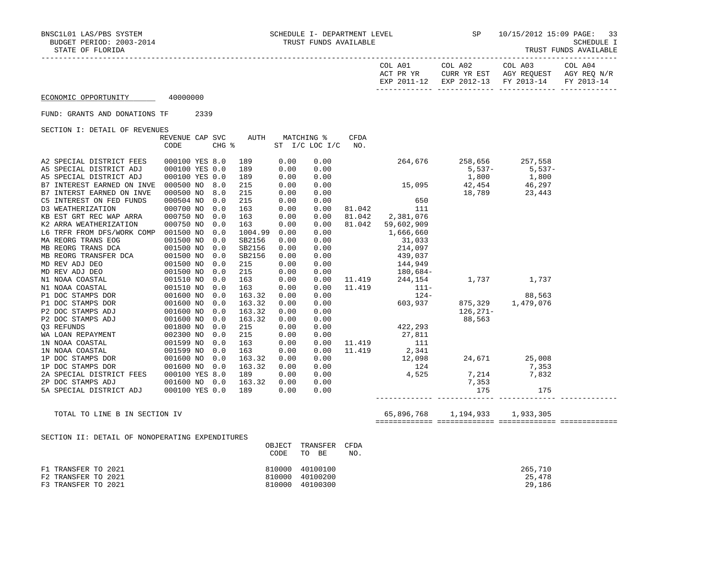|--|

|                                                                                                                                                                                                                                                      |                 |      |     |                     |      |                |      |                                                                                                                                         | COL A01 COL A02<br>ACT PR YR CURR YR EST AGY REQUEST AGY REQ N/R | COL A03               | COL A04    |
|------------------------------------------------------------------------------------------------------------------------------------------------------------------------------------------------------------------------------------------------------|-----------------|------|-----|---------------------|------|----------------|------|-----------------------------------------------------------------------------------------------------------------------------------------|------------------------------------------------------------------|-----------------------|------------|
|                                                                                                                                                                                                                                                      |                 |      |     |                     |      |                |      |                                                                                                                                         | EXP 2011-12 EXP 2012-13 FY 2013-14                               |                       | FY 2013-14 |
| ECONOMIC OPPORTUNITY 40000000                                                                                                                                                                                                                        |                 |      |     |                     |      |                |      |                                                                                                                                         |                                                                  |                       |            |
| FUND: GRANTS AND DONATIONS TF                                                                                                                                                                                                                        |                 | 2339 |     |                     |      |                |      |                                                                                                                                         |                                                                  |                       |            |
| SECTION I: DETAIL OF REVENUES                                                                                                                                                                                                                        |                 |      |     |                     |      |                |      |                                                                                                                                         |                                                                  |                       |            |
|                                                                                                                                                                                                                                                      | REVENUE CAP SVC |      |     | AUTH                |      | MATCHING %     | CFDA |                                                                                                                                         |                                                                  |                       |            |
|                                                                                                                                                                                                                                                      | CODE            |      |     | $CHG$ $\frac{1}{6}$ |      | ST I/C LOC I/C | NO.  |                                                                                                                                         |                                                                  |                       |            |
| A2 SPECIAL DISTRICT FEES                                                                                                                                                                                                                             | 000100 YES 8.0  |      |     | 189                 | 0.00 | 0.00           |      |                                                                                                                                         | 264,676 258,656 257,558<br>5,537- 5,537<br>1,800 1,800           |                       |            |
| A5 SPECIAL DISTRICT ADJ                                                                                                                                                                                                                              | 000100 YES 0.0  |      |     | 189                 | 0.00 | 0.00           |      |                                                                                                                                         |                                                                  | 5,537-<br>1,800 1,800 |            |
| A5 SPECIAL DISTRICT ADJ                                                                                                                                                                                                                              | 000100 YES 0.0  |      |     | 189                 | 0.00 | 0.00           |      |                                                                                                                                         |                                                                  |                       |            |
| B7 INTEREST EARNED ON INVE                                                                                                                                                                                                                           | 000500 NO       |      | 8.0 | 215                 | 0.00 | 0.00           |      | 15,095 42,454 46,297                                                                                                                    |                                                                  |                       |            |
| B7 INTERST EARNED ON INVE                                                                                                                                                                                                                            | 000500 NO       |      | 8.0 | 215                 | 0.00 | 0.00           |      | $\begin{array}{c} 650 \\ -740 \end{array}$                                                                                              | 18,789                                                           | 23,443                |            |
| C5 INTEREST ON FED FUNDS                                                                                                                                                                                                                             | 000504 NO       |      | 0.0 | 215                 | 0.00 | 0.00           |      |                                                                                                                                         |                                                                  |                       |            |
| D3 WEATHERIZATION                                                                                                                                                                                                                                    | 000700 NO       |      | 0.0 | 163                 | 0.00 | 0.00           |      | 81.042 111                                                                                                                              |                                                                  |                       |            |
| KB EST GRT REC WAP ARRA                                                                                                                                                                                                                              | 000750 NO       |      | 0.0 | 163                 | 0.00 | 0.00           |      | 81.042 2,381,076                                                                                                                        |                                                                  |                       |            |
| K2 ARRA WEATHERIZATION                                                                                                                                                                                                                               | 000750 NO       |      | 0.0 | 163                 | 0.00 | 0.00           |      | 81.042 59,602,909                                                                                                                       |                                                                  |                       |            |
| L6 TRFR FROM DFS/WORK COMP 001500 NO                                                                                                                                                                                                                 |                 |      | 0.0 | 1004.99             | 0.00 | 0.00           |      | 1,666,660                                                                                                                               |                                                                  |                       |            |
| MA REORG TRANS EOG                                                                                                                                                                                                                                   | 001500 NO       |      | 0.0 | SB2156              | 0.00 | 0.00           |      | $31,033$<br>$214,097$<br>$439,037$                                                                                                      |                                                                  |                       |            |
|                                                                                                                                                                                                                                                      | 001500 NO       |      | 0.0 | SB2156              | 0.00 | 0.00           |      |                                                                                                                                         |                                                                  |                       |            |
| MA REORG TRANS DOA<br>MB REORG TRANS DOA<br>MB REORG TRANSFER DOA<br>MD REV ADJ DEO<br>MD REV ADJ DEO<br>N1 NOAA COASTAL<br>N1 NOAA COASTAL<br>P1 DOC STAMPS DOR<br>P2 DOC STAMPS DOR<br>P2 DOC STAMPS DOR<br>P2 DOC STAMPS ADJ<br>P2 DOC STAMPS ADJ | 001500 NO       |      | 0.0 | SB2156              | 0.00 | 0.00           |      |                                                                                                                                         |                                                                  |                       |            |
|                                                                                                                                                                                                                                                      | 001500 NO       |      | 0.0 | 215                 | 0.00 | 0.00           |      | 144,949                                                                                                                                 |                                                                  |                       |            |
|                                                                                                                                                                                                                                                      | 001500 NO       |      | 0.0 | 215                 | 0.00 | 0.00           |      | $\begin{array}{cccc} & & 180,684-\\ 11.419 & & 244,154 & & 1,737 & & 1,737\\ 11.419 & & & 111-\\ &&&&& 124-\\ &&&&& 124-\\ \end{array}$ |                                                                  |                       |            |
|                                                                                                                                                                                                                                                      | 001510 NO       |      | 0.0 | 163                 | 0.00 | 0.00           |      |                                                                                                                                         |                                                                  |                       |            |
|                                                                                                                                                                                                                                                      | 001510 NO       |      | 0.0 | 163                 | 0.00 | 0.00           |      |                                                                                                                                         |                                                                  |                       |            |
|                                                                                                                                                                                                                                                      | 001600 NO       |      | 0.0 | 163.32              | 0.00 | 0.00           |      |                                                                                                                                         |                                                                  |                       |            |
|                                                                                                                                                                                                                                                      | 001600 NO       |      | 0.0 | 163.32              | 0.00 | 0.00           |      |                                                                                                                                         |                                                                  |                       |            |
|                                                                                                                                                                                                                                                      | 001600 NO       |      | 0.0 | 163.32              | 0.00 | 0.00           |      |                                                                                                                                         |                                                                  |                       |            |
| P2 DOC STAMPS ADJ                                                                                                                                                                                                                                    | 001600 NO       |      | 0.0 | 163.32              | 0.00 | 0.00           |      |                                                                                                                                         |                                                                  |                       |            |
| Q3 REFUNDS<br>WA LOAN REPAYMENT                                                                                                                                                                                                                      | 001800 NO       |      | 0.0 | 215                 | 0.00 | 0.00           |      |                                                                                                                                         |                                                                  |                       |            |
|                                                                                                                                                                                                                                                      | 002300 NO       |      | 0.0 | 215                 | 0.00 | 0.00           |      |                                                                                                                                         |                                                                  |                       |            |
| 1N NOAA COASTAL                                                                                                                                                                                                                                      | 001599 NO       |      | 0.0 | 163                 | 0.00 | 0.00           |      | 11.419 111                                                                                                                              |                                                                  |                       |            |
| 1N NOAA COASTAL                                                                                                                                                                                                                                      | 001599 NO       |      | 0.0 | 163                 | 0.00 | 0.00           |      |                                                                                                                                         |                                                                  |                       |            |
| 1P DOC STAMPS DOR                                                                                                                                                                                                                                    | 001600 NO       |      | 0.0 | 163.32              | 0.00 | 0.00           |      |                                                                                                                                         |                                                                  |                       |            |
| 1P DOC STAMPS DOR                                                                                                                                                                                                                                    | 001600 NO       |      | 0.0 | 163.32              | 0.00 | 0.00           |      |                                                                                                                                         |                                                                  |                       |            |
| 2A SPECIAL DISTRICT FEES                                                                                                                                                                                                                             | 000100 YES 8.0  |      |     | 189                 | 0.00 | 0.00           |      |                                                                                                                                         |                                                                  |                       |            |
| 2P DOC STAMPS ADJ                                                                                                                                                                                                                                    | 001600 NO       |      | 0.0 | 163.32              | 0.00 | 0.00           |      |                                                                                                                                         |                                                                  |                       |            |
| 5A SPECIAL DISTRICT ADJ                                                                                                                                                                                                                              | 000100 YES 0.0  |      |     | 189                 | 0.00 | 0.00           |      | $124$<br>$4,525$<br>$7,214$<br>$7,353$<br>$7,353$<br>$7,353$<br>$7,353$                                                                 |                                                                  |                       |            |
|                                                                                                                                                                                                                                                      |                 |      |     |                     |      |                |      |                                                                                                                                         |                                                                  |                       |            |

 TOTAL TO LINE B IN SECTION IV 65,896,768 1,194,933 1,933,305 ============= ============= ============= =============

SECTION II: DETAIL OF NONOPERATING EXPENDITURES

|                     | OBJECT | TRANSFER<br>CFDA |         |
|---------------------|--------|------------------|---------|
|                     | CODE   | BE<br>TO<br>NO.  |         |
| F1 TRANSFER TO 2021 |        | 810000 40100100  | 265,710 |
| F2 TRANSFER TO 2021 |        | 810000 40100200  | 25,478  |
| F3 TRANSFER TO 2021 |        | 810000 40100300  | 29,186  |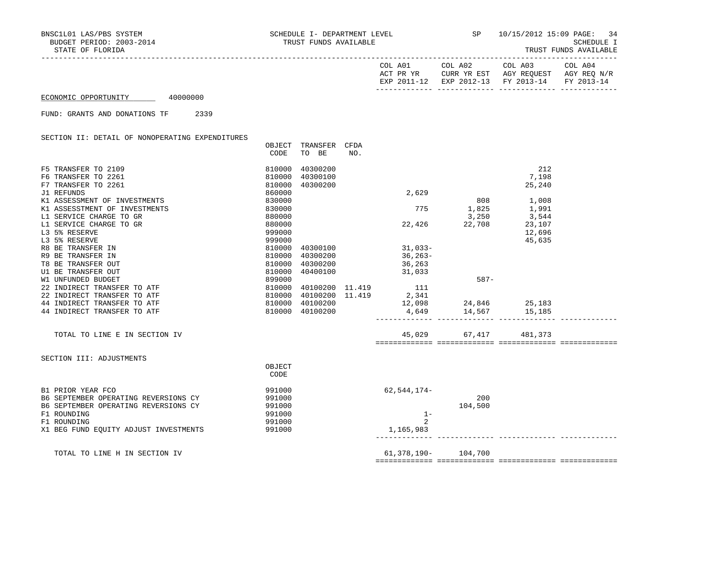|                      |          | COL A01<br>ACT PR YR<br>EXP 2011-12 | COL A02<br>EXP 2012-13 FY 2013-14 | COL A03<br>CURR YR EST AGY REOUEST | COL A04<br>AGY REO N/R<br>FY 2013-14 |
|----------------------|----------|-------------------------------------|-----------------------------------|------------------------------------|--------------------------------------|
| ECONOMIC OPPORTUNITY | 40000000 |                                     |                                   |                                    |                                      |

### FUND: GRANTS AND DONATIONS TF 2339

SECTION II: DETAIL OF NONOPERATING EXPENDITURES

|                                       | OBJECT           | TRANSFER | CFDA |                             |                            |        |  |
|---------------------------------------|------------------|----------|------|-----------------------------|----------------------------|--------|--|
|                                       | CODE             | TO BE    | NO.  |                             |                            |        |  |
| F5 TRANSFER TO 2109                   | 810000           | 40300200 |      |                             |                            | 212    |  |
| F6 TRANSFER TO 2261                   | 810000           | 40300100 |      |                             |                            | 7,198  |  |
| F7 TRANSFER TO 2261                   | 810000           | 40300200 |      |                             |                            | 25,240 |  |
| J1 REFUNDS                            | 860000           |          |      | 2,629                       |                            |        |  |
| K1 ASSESSMENT OF INVESTMENTS          | 830000           |          |      |                             | 808                        | 1,008  |  |
| K1 ASSESSTMENT OF INVESTMENTS         | 830000           |          |      | 775                         | 1,825                      | 1,991  |  |
| L1 SERVICE CHARGE TO GR               | 880000           |          |      |                             | 3,250                      | 3,544  |  |
| L1 SERVICE CHARGE TO GR               | 880000           |          |      | 22,426                      | 22,708                     | 23,107 |  |
| L3 5% RESERVE                         | 999000           |          |      |                             |                            | 12,696 |  |
| L3 5% RESERVE                         | 999000           |          |      |                             |                            | 45,635 |  |
| R8 BE TRANSFER IN                     | 810000           | 40300100 |      | $31,033-$                   |                            |        |  |
| R9 BE TRANSFER IN                     | 810000           | 40300200 |      | $36, 263-$                  |                            |        |  |
| T8 BE TRANSFER OUT                    | 810000           | 40300200 |      | 36,263                      |                            |        |  |
| U1 BE TRANSFER OUT                    | 810000           | 40400100 |      | 31,033                      |                            |        |  |
| W1 UNFUNDED BUDGET                    | 899000           |          |      |                             | $587-$                     |        |  |
| 22 INDIRECT TRANSFER TO ATF           | 810000           |          |      | 40100200 11.419 111         |                            |        |  |
| 22 INDIRECT TRANSFER TO ATF           | 810000           |          |      | $40100200$ $11.419$ $2,341$ |                            |        |  |
| 44 INDIRECT TRANSFER TO ATF           | 810000           | 40100200 |      |                             | $12,098$ $24,846$ $25,183$ |        |  |
| 44 INDIRECT TRANSFER TO ATF           | 810000           | 40100200 |      |                             | 4,649 14,567 15,185        |        |  |
|                                       |                  |          |      |                             |                            |        |  |
| TOTAL TO LINE E IN SECTION IV         |                  |          |      |                             | 45,029 67,417 481,373      |        |  |
|                                       |                  |          |      |                             |                            |        |  |
| SECTION III: ADJUSTMENTS              |                  |          |      |                             |                            |        |  |
|                                       | OBJECT<br>CODE   |          |      |                             |                            |        |  |
| B1 PRIOR YEAR FCO                     | 991000           |          |      |                             |                            |        |  |
|                                       |                  |          |      | 62,544,174-                 | 200                        |        |  |
| B6 SEPTEMBER OPERATING REVERSIONS CY  | 991000           |          |      |                             |                            |        |  |
| B6 SEPTEMBER OPERATING REVERSIONS CY  | 991000           |          |      |                             | 104,500                    |        |  |
| F1 ROUNDING<br>F1 ROUNDING            | 991000<br>991000 |          |      | $1 -$<br>$\overline{2}$     |                            |        |  |
| X1 BEG FUND EQUITY ADJUST INVESTMENTS | 991000           |          |      | 1,165,983                   |                            |        |  |
|                                       |                  |          |      |                             |                            |        |  |
| TOTAL TO LINE H IN SECTION IV         |                  |          |      | 61,378,190- 104,700         |                            |        |  |
|                                       |                  |          |      |                             |                            |        |  |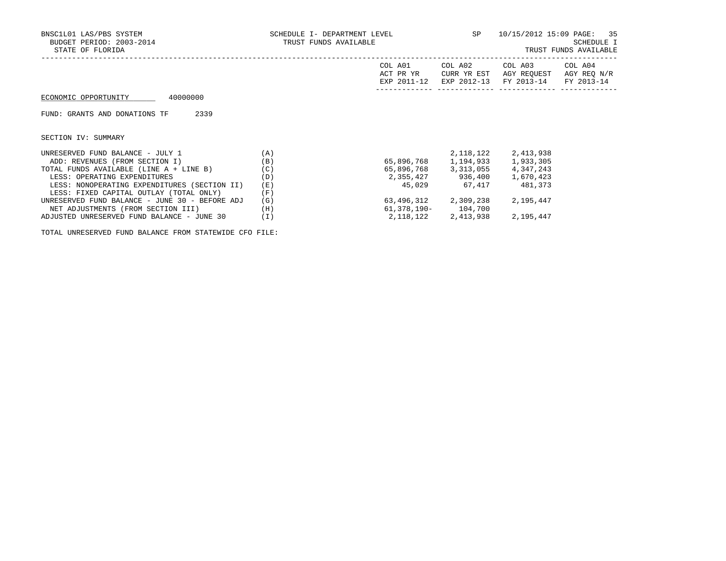| BNSC1L01 LAS/PBS SYSTEM<br>BUDGET PERIOD: 2003-2014<br>STATE OF FLORIDA |     | SCHEDULE I- DEPARTMENT LEVEL<br>TRUST FUNDS AVAILABLE |                             |                                                                         | SP and the set of the set of the set of the set of the set of the set of the set of the set of the set of the set of the set of the set of the set of the set of the set of the set of the set of the set of the set of the se<br>10/15/2012 15:09 PAGE: 35<br>SCHEDULE I<br>TRUST FUNDS AVAILABLE |  |  |
|-------------------------------------------------------------------------|-----|-------------------------------------------------------|-----------------------------|-------------------------------------------------------------------------|----------------------------------------------------------------------------------------------------------------------------------------------------------------------------------------------------------------------------------------------------------------------------------------------------|--|--|
|                                                                         |     | COL A01<br>ACT PR YR                                  | COL A02<br>CURR YR EST      | COL A03<br>AGY REOUEST<br>EXP 2011-12 EXP 2012-13 FY 2013-14 FY 2013-14 | COL A04<br>AGY REQ N/R                                                                                                                                                                                                                                                                             |  |  |
| 40000000<br>ECONOMIC OPPORTUNITY                                        |     |                                                       |                             |                                                                         |                                                                                                                                                                                                                                                                                                    |  |  |
| 2339<br>FUND: GRANTS AND DONATIONS TF                                   |     |                                                       |                             |                                                                         |                                                                                                                                                                                                                                                                                                    |  |  |
| SECTION IV: SUMMARY                                                     |     |                                                       |                             |                                                                         |                                                                                                                                                                                                                                                                                                    |  |  |
| UNRESERVED FUND BALANCE - JULY 1                                        | (A) |                                                       |                             | 2, 118, 122 2, 413, 938                                                 |                                                                                                                                                                                                                                                                                                    |  |  |
| ADD: REVENUES (FROM SECTION I)                                          | (B) |                                                       |                             | 65,896,768 1,194,933 1,933,305                                          |                                                                                                                                                                                                                                                                                                    |  |  |
| TOTAL FUNDS AVAILABLE (LINE A + LINE B)                                 | (C) |                                                       |                             | 65,896,768 3,313,055 4,347,243                                          |                                                                                                                                                                                                                                                                                                    |  |  |
| LESS: OPERATING EXPENDITURES                                            | (D) |                                                       | 2,355,427 936,400 1,670,423 |                                                                         |                                                                                                                                                                                                                                                                                                    |  |  |
| LESS: NONOPERATING EXPENDITURES (SECTION II)                            | (E) |                                                       | 45,029 67,417               | 481,373                                                                 |                                                                                                                                                                                                                                                                                                    |  |  |
| LESS: FIXED CAPITAL OUTLAY (TOTAL ONLY)                                 | (F) |                                                       |                             |                                                                         |                                                                                                                                                                                                                                                                                                    |  |  |
| UNRESERVED FUND BALANCE - JUNE 30 - BEFORE ADJ                          | (G) |                                                       | 63,496,312 2,309,238        | 2,195,447                                                               |                                                                                                                                                                                                                                                                                                    |  |  |
| NET ADJUSTMENTS (FROM SECTION III)                                      | (H) | 61,378,190-                                           | 104,700                     |                                                                         |                                                                                                                                                                                                                                                                                                    |  |  |

ADJUSTED UNRESERVED FUND BALANCE - JUNE 30 (I) 2,118,122 2,413,938 2,195,447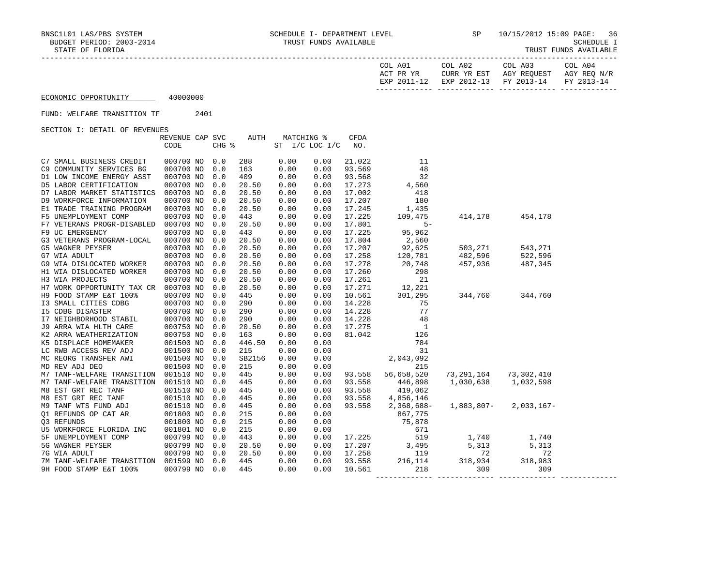| COL A01   | COL A02                      | COL A03                  | COL A04                  |
|-----------|------------------------------|--------------------------|--------------------------|
| ACT PR YR | YR EST<br>CURR               | REOUEST<br>AGY           | AGY REO N/R              |
| FYD       | $2012 - 12$<br>EXP<br>$\sim$ | $2013 - 14$<br><b>DV</b> | $2013 - 14$<br><b>DV</b> |
|           |                              |                          |                          |

FUND: WELFARE TRANSITION TF 2401

|                                                                           | REVENUE CAP SVC |       | AUTH   | MATCHING %     |      | <b>CFDA</b> |                                                                                                                                                                                                                                                                                                                                                                                                                |                                                                                            |                   |  |
|---------------------------------------------------------------------------|-----------------|-------|--------|----------------|------|-------------|----------------------------------------------------------------------------------------------------------------------------------------------------------------------------------------------------------------------------------------------------------------------------------------------------------------------------------------------------------------------------------------------------------------|--------------------------------------------------------------------------------------------|-------------------|--|
|                                                                           | CODE            | CHG % |        | ST I/C LOC I/C |      | NO.         |                                                                                                                                                                                                                                                                                                                                                                                                                |                                                                                            |                   |  |
|                                                                           |                 |       |        |                |      |             |                                                                                                                                                                                                                                                                                                                                                                                                                |                                                                                            |                   |  |
| C7 SMALL BUSINESS CREDIT                                                  | 000700 NO       | 0.0   | 288    | 0.00           | 0.00 | 21.022      | -11                                                                                                                                                                                                                                                                                                                                                                                                            |                                                                                            |                   |  |
| C9 COMMUNITY SERVICES BG                                                  | 000700 NO       | 0.0   | 163    | 0.00           | 0.00 | 93.569      | 48                                                                                                                                                                                                                                                                                                                                                                                                             |                                                                                            |                   |  |
| D1 LOW INCOME ENERGY ASST                                                 | 000700 NO       | 0.0   | 409    | 0.00           | 0.00 | 93.568      | 32                                                                                                                                                                                                                                                                                                                                                                                                             |                                                                                            |                   |  |
| D5 LABOR CERTIFICATION                                                    | 000700 NO       | 0.0   | 20.50  | 0.00           | 0.00 | 17.273      | 4,560                                                                                                                                                                                                                                                                                                                                                                                                          |                                                                                            |                   |  |
| D7 LABOR MARKET STATISTICS                                                | 000700 NO       | 0.0   | 20.50  | 0.00           | 0.00 | 17.002      | 418                                                                                                                                                                                                                                                                                                                                                                                                            |                                                                                            |                   |  |
| D9 WORKFORCE INFORMATION                                                  | 000700 NO       | 0.0   | 20.50  | 0.00           | 0.00 | 17.207      | 180                                                                                                                                                                                                                                                                                                                                                                                                            |                                                                                            |                   |  |
| E1 TRADE TRAINING PROGRAM                                                 | 000700 NO       | 0.0   | 20.50  | 0.00           | 0.00 | 17.245      | 1,435                                                                                                                                                                                                                                                                                                                                                                                                          |                                                                                            |                   |  |
| F5 UNEMPLOYMENT COMP                                                      | 000700 NO       | 0.0   | 443    | 0.00           | 0.00 | 17.225      | 109,475                                                                                                                                                                                                                                                                                                                                                                                                        |                                                                                            | 414, 178 454, 178 |  |
| F7 VETERANS PROGR-DISABLED 000700 NO                                      |                 | 0.0   | 20.50  | 0.00           | 0.00 | 17.801      | $5 -$                                                                                                                                                                                                                                                                                                                                                                                                          |                                                                                            |                   |  |
| F9 UC EMERGENCY                                                           | 000700 NO       | 0.0   | 443    | 0.00           | 0.00 | 17.225      | 95,962                                                                                                                                                                                                                                                                                                                                                                                                         |                                                                                            |                   |  |
| G3 VETERANS PROGRAM-LOCAL                                                 | 000700 NO       | 0.0   | 20.50  | 0.00           | 0.00 | 17.804      | 2,560                                                                                                                                                                                                                                                                                                                                                                                                          |                                                                                            |                   |  |
| G5 WAGNER PEYSER                                                          | 000700 NO       | 0.0   | 20.50  | 0.00           | 0.00 | 17.207      | 92,625<br>120,781                                                                                                                                                                                                                                                                                                                                                                                              | 503,271              543,271<br>482,596             522,596<br>457,936             487,345 |                   |  |
| G7 WIA ADULT                                                              | 000700 NO       | 0.0   | 20.50  | 0.00           | 0.00 | 17.258      |                                                                                                                                                                                                                                                                                                                                                                                                                |                                                                                            |                   |  |
| G9 WIA DISLOCATED WORKER                                                  | 000700 NO       | 0.0   | 20.50  | 0.00           | 0.00 | 17.278      | 20,748                                                                                                                                                                                                                                                                                                                                                                                                         |                                                                                            |                   |  |
| H1 WIA DISLOCATED WORKER                                                  | 000700 NO       | 0.0   | 20.50  | 0.00           | 0.00 | 17.260      | 298                                                                                                                                                                                                                                                                                                                                                                                                            |                                                                                            |                   |  |
| H3 WIA PROJECTS                                                           | 000700 NO       | 0.0   | 20.50  | 0.00           | 0.00 | 17.261      | 21                                                                                                                                                                                                                                                                                                                                                                                                             |                                                                                            |                   |  |
| H7 WORK OPPORTUNITY TAX CR 000700 NO                                      |                 | 0.0   | 20.50  | 0.00           | 0.00 | 17.271      | 12,221                                                                                                                                                                                                                                                                                                                                                                                                         |                                                                                            |                   |  |
| H9 FOOD STAMP E&T 100%                                                    | 000700 NO       | 0.0   | 445    | 0.00           | 0.00 | 10.561      | 301,295                                                                                                                                                                                                                                                                                                                                                                                                        | 344,760 344,760                                                                            |                   |  |
| I3 SMALL CITIES CDBG                                                      | 000700 NO       | 0.0   | 290    | 0.00           | 0.00 | 14.228      | 75                                                                                                                                                                                                                                                                                                                                                                                                             |                                                                                            |                   |  |
| <b>I5 CDBG DISASTER</b>                                                   | 000700 NO       | 0.0   | 290    | 0.00           | 0.00 | 14.228      | 77                                                                                                                                                                                                                                                                                                                                                                                                             |                                                                                            |                   |  |
| I7 NEIGHBORHOOD STABIL<br>J9 ARRA WIA HLTH CARE<br>K2 ARRA WEATHERIZATION | 000700 NO       | 0.0   | 290    | 0.00           | 0.00 | 14.228      | 48                                                                                                                                                                                                                                                                                                                                                                                                             |                                                                                            |                   |  |
|                                                                           | 000750 NO       | 0.0   | 20.50  | 0.00           | 0.00 | 17.275      |                                                                                                                                                                                                                                                                                                                                                                                                                |                                                                                            |                   |  |
| K2 ARRA WEATHERIZATION                                                    | 000750 NO       | 0.0   | 163    | 0.00           | 0.00 | 81.042      | $\begin{array}{c}1\\126\end{array}$                                                                                                                                                                                                                                                                                                                                                                            |                                                                                            |                   |  |
| K5 DISPLACE HOMEMAKER                                                     | 001500 NO       | 0.0   | 446.50 | 0.00           | 0.00 |             |                                                                                                                                                                                                                                                                                                                                                                                                                |                                                                                            |                   |  |
| LC RWB ACCESS REV ADJ                                                     | 001500 NO       | 0.0   | 215    | 0.00           | 0.00 |             | $\begin{array}{r} 784 \\ 31 \\ 2,043,092 \\ 215 \end{array}$                                                                                                                                                                                                                                                                                                                                                   |                                                                                            |                   |  |
| MC REORG TRANSFER AWI                                                     | 001500 NO       | 0.0   | SB2156 | 0.00           | 0.00 |             |                                                                                                                                                                                                                                                                                                                                                                                                                |                                                                                            |                   |  |
| MD REV ADJ DEO                                                            | 001500 NO       | 0.0   | 215    | 0.00           | 0.00 |             |                                                                                                                                                                                                                                                                                                                                                                                                                |                                                                                            |                   |  |
| M7 TANF-WELFARE TRANSITION                                                | 001510 NO       | 0.0   | 445    | 0.00           | 0.00 | 93.558      | 56,658,520                                                                                                                                                                                                                                                                                                                                                                                                     | 73, 291, 164 73, 302, 410                                                                  |                   |  |
| M7 TANF-WELFARE TRANSITION 001510 NO                                      |                 | 0.0   | 445    | 0.00           | 0.00 | 93.558      |                                                                                                                                                                                                                                                                                                                                                                                                                | 1,030,638 1,032,598                                                                        |                   |  |
| M8 EST GRT REC TANF                                                       | 001510 NO       | 0.0   | 445    | 0.00           | 0.00 | 93.558      | 446,898<br>419,062<br>419,062                                                                                                                                                                                                                                                                                                                                                                                  |                                                                                            |                   |  |
| M8 EST GRT REC TANF                                                       | 001510 NO       | 0.0   | 445    | 0.00           | 0.00 | 93.558      | 4,856,146                                                                                                                                                                                                                                                                                                                                                                                                      |                                                                                            |                   |  |
| M9 TANF WTS FUND ADJ                                                      | 001510 NO       | 0.0   | 445    | 0.00           | 0.00 | 93.558      | 2,368,688-                                                                                                                                                                                                                                                                                                                                                                                                     | $1,883,807 - 2,033,167 -$                                                                  |                   |  |
| Q1 REFUNDS OP CAT AR                                                      | 001800 NO       | 0.0   | 215    | 0.00           | 0.00 |             | 867,775                                                                                                                                                                                                                                                                                                                                                                                                        |                                                                                            |                   |  |
| 03 REFUNDS                                                                | 001800 NO       | 0.0   | 215    | 0.00           | 0.00 |             | 75,878                                                                                                                                                                                                                                                                                                                                                                                                         |                                                                                            |                   |  |
| U5 WORKFORCE FLORIDA INC                                                  | 001801 NO       | 0.0   | 215    | 0.00           | 0.00 |             |                                                                                                                                                                                                                                                                                                                                                                                                                |                                                                                            |                   |  |
| 5F UNEMPLOYMENT COMP                                                      | 000799 NO       | 0.0   | 443    | 0.00           | 0.00 |             | $\begin{array}{@{}c@{\hspace{1em}}c@{\hspace{1em}}c@{\hspace{1em}}c@{\hspace{1em}}c@{\hspace{1em}}c@{\hspace{1em}}c@{\hspace{1em}}c@{\hspace{1em}}c@{\hspace{1em}}c@{\hspace{1em}}c@{\hspace{1em}}c@{\hspace{1em}}c@{\hspace{1em}}c@{\hspace{1em}}c@{\hspace{1em}}c@{\hspace{1em}}c@{\hspace{1em}}c@{\hspace{1em}}c@{\hspace{1em}}c@{\hspace{1em}}c@{\hspace{1em}}c@{\hspace{1em}}c@{\hspace{1em}}c@{\hspace{$ | 1,740 1,740                                                                                |                   |  |
| 5G WAGNER PEYSER                                                          | 000799 NO       | 0.0   | 20.50  | 0.00           | 0.00 |             |                                                                                                                                                                                                                                                                                                                                                                                                                | 5,313                                                                                      | 5,313             |  |
| 7G WIA ADULT                                                              | 000799 NO       | 0.0   | 20.50  | 0.00           | 0.00 |             |                                                                                                                                                                                                                                                                                                                                                                                                                |                                                                                            | 72                |  |
| 7M TANF-WELFARE TRANSITION 001599 NO                                      |                 | 0.0   | 445    | 0.00           | 0.00 |             |                                                                                                                                                                                                                                                                                                                                                                                                                |                                                                                            | 318,983           |  |
| 9H FOOD STAMP E&T 100%                                                    | 000799 NO 0.0   |       | 445    | 0.00           | 0.00 |             | 17.258 119 72<br>93.558 216,114 318,934<br>10.561 218 309                                                                                                                                                                                                                                                                                                                                                      |                                                                                            | 309               |  |
|                                                                           |                 |       |        |                |      |             |                                                                                                                                                                                                                                                                                                                                                                                                                |                                                                                            |                   |  |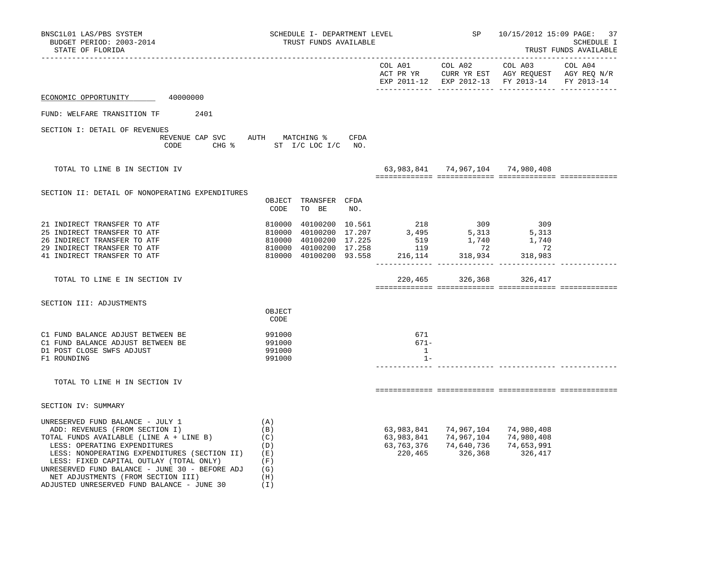| BNSC1L01 LAS/PBS SYSTEM<br>BUDGET PERIOD: 2003-2014<br>STATE OF FLORIDA                                                                                                                                                                                                                                                                                                                  | SCHEDULE I- DEPARTMENT LEVEL<br>TRUST FUNDS AVAILABLE                                                                                                                                                                                                                       |                                        |                                                                                                                                           | SP 10/15/2012 15:09 PAGE: 37                  | SCHEDULE I<br>TRUST FUNDS AVAILABLE |
|------------------------------------------------------------------------------------------------------------------------------------------------------------------------------------------------------------------------------------------------------------------------------------------------------------------------------------------------------------------------------------------|-----------------------------------------------------------------------------------------------------------------------------------------------------------------------------------------------------------------------------------------------------------------------------|----------------------------------------|-------------------------------------------------------------------------------------------------------------------------------------------|-----------------------------------------------|-------------------------------------|
|                                                                                                                                                                                                                                                                                                                                                                                          |                                                                                                                                                                                                                                                                             |                                        |                                                                                                                                           | EXP 2011-12 EXP 2012-13 FY 2013-14 FY 2013-14 |                                     |
| ECONOMIC OPPORTUNITY 40000000                                                                                                                                                                                                                                                                                                                                                            |                                                                                                                                                                                                                                                                             |                                        |                                                                                                                                           |                                               |                                     |
| FUND: WELFARE TRANSITION TF 2401                                                                                                                                                                                                                                                                                                                                                         |                                                                                                                                                                                                                                                                             |                                        |                                                                                                                                           |                                               |                                     |
| SECTION I: DETAIL OF REVENUES<br>CODE                                                                                                                                                                                                                                                                                                                                                    | REVENUE CAP SVC AUTH MATCHING % CFDA<br>CHG % ST I/C LOC I/C NO.                                                                                                                                                                                                            |                                        |                                                                                                                                           |                                               |                                     |
|                                                                                                                                                                                                                                                                                                                                                                                          |                                                                                                                                                                                                                                                                             |                                        |                                                                                                                                           |                                               |                                     |
| TOTAL TO LINE B IN SECTION IV                                                                                                                                                                                                                                                                                                                                                            |                                                                                                                                                                                                                                                                             |                                        |                                                                                                                                           | 63,983,841 74,967,104 74,980,408              |                                     |
| SECTION II: DETAIL OF NONOPERATING EXPENDITURES                                                                                                                                                                                                                                                                                                                                          | OBJECT TRANSFER CFDA<br>CODE<br>TO BE<br>NO.                                                                                                                                                                                                                                |                                        |                                                                                                                                           |                                               |                                     |
| 21 INDIRECT TRANSFER TO ATF<br>25 INDIRECT TRANSFER TO ATF<br>26 INDIRECT TRANSFER TO ATF<br>29 INDIRECT TRANSFER TO ATF<br>41 INDIRECT TRANSFER TO ATF                                                                                                                                                                                                                                  | $\begin{array}{cccccc} 810000 & 40100200 & 10.561 & 218 & 309 & 309 \\ 810000 & 40100200 & 17.207 & 3,495 & 5,313 & 5,313 \\ 810000 & 40100200 & 17.225 & 519 & 1,740 & 1,740 \\ 810000 & 40100200 & 17.258 & 119 & 72 & 72 \\ 810000 & 40100200 & 93.558 & 216,114 & 318,$ |                                        |                                                                                                                                           |                                               |                                     |
| TOTAL TO LINE E IN SECTION IV                                                                                                                                                                                                                                                                                                                                                            |                                                                                                                                                                                                                                                                             |                                        | 220,465 326,368 326,417                                                                                                                   |                                               |                                     |
| SECTION III: ADJUSTMENTS                                                                                                                                                                                                                                                                                                                                                                 | OBJECT<br>CODE                                                                                                                                                                                                                                                              |                                        |                                                                                                                                           |                                               |                                     |
| C1 FUND BALANCE ADJUST BETWEEN BE<br>C1 FUND BALANCE ADJUST BETWEEN BE<br>D1 POST CLOSE SWFS ADJUST<br>F1 ROUNDING                                                                                                                                                                                                                                                                       | 991000<br>991000<br>991000<br>991000                                                                                                                                                                                                                                        | 671<br>671-<br>$\overline{1}$<br>$1 -$ |                                                                                                                                           |                                               |                                     |
| TOTAL TO LINE H IN SECTION IV                                                                                                                                                                                                                                                                                                                                                            |                                                                                                                                                                                                                                                                             |                                        |                                                                                                                                           |                                               |                                     |
| SECTION IV: SUMMARY                                                                                                                                                                                                                                                                                                                                                                      |                                                                                                                                                                                                                                                                             |                                        |                                                                                                                                           |                                               |                                     |
| UNRESERVED FUND BALANCE - JULY 1<br>ADD: REVENUES (FROM SECTION I)<br>TOTAL FUNDS AVAILABLE (LINE A + LINE B)<br>LESS: OPERATING EXPENDITURES<br>LESS: NONOPERATING EXPENDITURES (SECTION II) (E)<br>LESS: FIXED CAPITAL OUTLAY (TOTAL ONLY)<br>UNRESERVED FUND BALANCE - JUNE 30 - BEFORE ADJ $(G)$<br>NET ADJUSTMENTS (FROM SECTION III)<br>ADJUSTED UNRESERVED FUND BALANCE - JUNE 30 | (A)<br>(B)<br>(C)<br>(D)<br>(F)<br>(H)<br>(I)                                                                                                                                                                                                                               |                                        | 63,983,841 74,967,104 74,980,408<br>63,983,841 74,967,104 74,980,408<br>63, 763, 376 74, 640, 736 74, 653, 991<br>220,465 326,368 326,417 |                                               |                                     |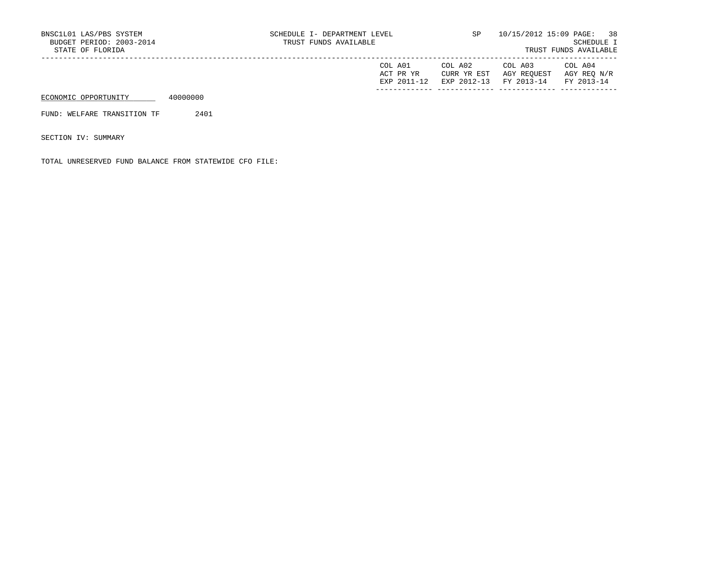| COL A01     | COL A02 | COL A03                           | COL A04     |
|-------------|---------|-----------------------------------|-------------|
| ACT PR YR   |         | CURR YR EST AGY REQUEST           | AGY REO N/R |
| EXP 2011-12 |         | EXP 2012-13 FY 2013-14 FY 2013-14 |             |
|             |         |                                   |             |

FUND: WELFARE TRANSITION TF 2401

SECTION IV: SUMMARY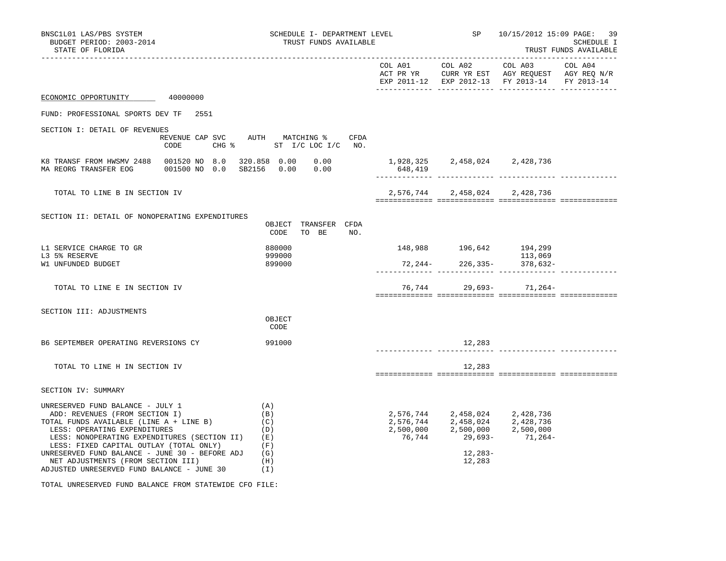| BNSC1L01 LAS/PBS SYSTEM<br>BUDGET PERIOD: 2003-2014<br>STATE OF FLORIDA                                                                                                                                                                                                                                                                                                                  |  | SCHEDULE I- DEPARTMENT LEVEL<br>TRUST FUNDS AVAILABLE                    |                                          | SP 10/15/2012 15:09 PAGE: 39                       | SCHEDULE I<br>TRUST FUNDS AVAILABLE                               |  |
|------------------------------------------------------------------------------------------------------------------------------------------------------------------------------------------------------------------------------------------------------------------------------------------------------------------------------------------------------------------------------------------|--|--------------------------------------------------------------------------|------------------------------------------|----------------------------------------------------|-------------------------------------------------------------------|--|
|                                                                                                                                                                                                                                                                                                                                                                                          |  |                                                                          |                                          |                                                    | EXP 2011-12 EXP 2012-13 FY 2013-14 FY 2013-14                     |  |
| ECONOMIC OPPORTUNITY 40000000                                                                                                                                                                                                                                                                                                                                                            |  |                                                                          |                                          |                                                    |                                                                   |  |
| FUND: PROFESSIONAL SPORTS DEV TF 2551                                                                                                                                                                                                                                                                                                                                                    |  |                                                                          |                                          |                                                    |                                                                   |  |
| SECTION I: DETAIL OF REVENUES                                                                                                                                                                                                                                                                                                                                                            |  | REVENUE CAP SVC AUTH MATCHING $\$$ CFDA<br>CODE CHG % ST I/C LOC I/C NO. |                                          |                                                    |                                                                   |  |
| K8 TRANSF FROM HWSMV 2488 001520 NO 8.0 320.858 0.00 0.00<br>MA REORG TRANSFER EOG 001500 NO 0.0 SB2156 0.00 0.00                                                                                                                                                                                                                                                                        |  |                                                                          | 1,928,325 2,458,024 2,428,736<br>648,419 |                                                    |                                                                   |  |
| TOTAL TO LINE B IN SECTION IV                                                                                                                                                                                                                                                                                                                                                            |  |                                                                          |                                          | 2,576,744 2,458,024 2,428,736                      |                                                                   |  |
| SECTION II: DETAIL OF NONOPERATING EXPENDITURES                                                                                                                                                                                                                                                                                                                                          |  | OBJECT TRANSFER CFDA<br>TO BE NO.<br>CODE                                |                                          |                                                    |                                                                   |  |
| L1 SERVICE CHARGE TO GR<br>L3 5% RESERVE<br>W1 UNFUNDED BUDGET                                                                                                                                                                                                                                                                                                                           |  | 880000<br>999000<br>899000                                               |                                          | 148,988 196,642 194,299                            | 113,069                                                           |  |
| TOTAL TO LINE E IN SECTION IV                                                                                                                                                                                                                                                                                                                                                            |  |                                                                          |                                          |                                                    | 76,744 29,693- 71,264-                                            |  |
| SECTION III: ADJUSTMENTS                                                                                                                                                                                                                                                                                                                                                                 |  | OBJECT<br>CODE                                                           |                                          |                                                    |                                                                   |  |
| B6 SEPTEMBER OPERATING REVERSIONS CY                                                                                                                                                                                                                                                                                                                                                     |  | 991000                                                                   |                                          | 12,283                                             |                                                                   |  |
| TOTAL TO LINE H IN SECTION IV                                                                                                                                                                                                                                                                                                                                                            |  |                                                                          |                                          | 12,283                                             |                                                                   |  |
| SECTION IV: SUMMARY                                                                                                                                                                                                                                                                                                                                                                      |  |                                                                          |                                          |                                                    |                                                                   |  |
| UNRESERVED FUND BALANCE - JULY 1<br>ADD: REVENUES (FROM SECTION I)<br>TOTAL FUNDS AVAILABLE (LINE A + LINE B)<br>LESS: OPERATING EXPENDITURES<br>LESS: NONOPERATING EXPENDITURES (SECTION II) (E)<br>LESS: FIXED CAPITAL OUTLAY (TOTAL ONLY)<br>UNRESERVED FUND BALANCE - JUNE 30 - BEFORE ADJ $(G)$<br>NET ADJUSTMENTS (FROM SECTION III)<br>ADJUSTED UNRESERVED FUND BALANCE - JUNE 30 |  | (A)<br>(B)<br>(C)<br>(D)<br>(F)<br>(H)<br>(1)                            |                                          | 2,576,744 2,458,024 2,428,736<br>12,283-<br>12,283 | 2,576,744<br>2,500,000<br>76,744<br>29,693-<br>71,264-<br>29,693- |  |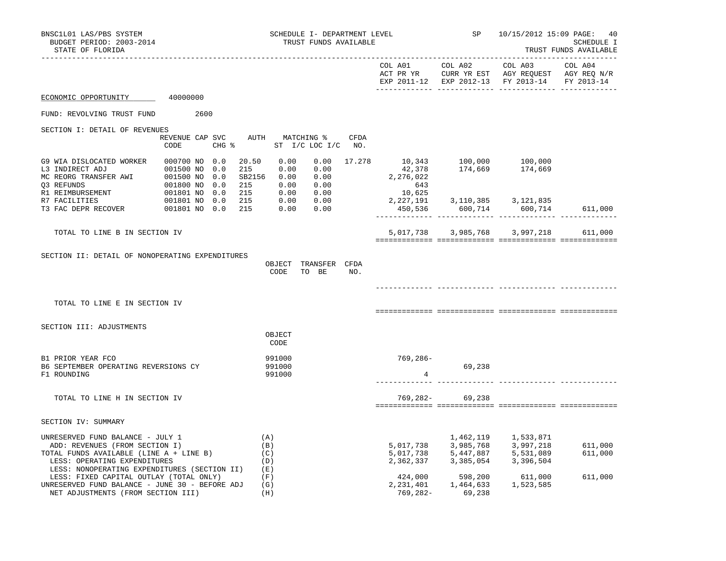| BNSC1L01 LAS/PBS SYSTEM<br>BUDGET PERIOD: 2003-2014<br>STATE OF FLORIDA                                                                                                         |                                              |                                                                                       | SCHEDULE I- DEPARTMENT LEVEL<br>TRUST FUNDS AVAILABLE      |                                                      | SP                 | 10/15/2012 15:09 PAGE: 40                                                                                                                                                    | <b>SCHEDULE I</b><br>TRUST FUNDS AVAILABLE |
|---------------------------------------------------------------------------------------------------------------------------------------------------------------------------------|----------------------------------------------|---------------------------------------------------------------------------------------|------------------------------------------------------------|------------------------------------------------------|--------------------|------------------------------------------------------------------------------------------------------------------------------------------------------------------------------|--------------------------------------------|
|                                                                                                                                                                                 |                                              |                                                                                       |                                                            | COL A01                                              | COL A02            | COL A03<br>ACT PR YR $\,$ CURR YR EST $\,$ AGY REQUEST $\,$ AGY REQ N/R $\,$<br>EXP 2011-12 EXP 2012-13 FY 2013-14                                                           | COL A04<br>FY 2013-14                      |
| ECONOMIC OPPORTUNITY 40000000                                                                                                                                                   |                                              |                                                                                       |                                                            |                                                      |                    |                                                                                                                                                                              |                                            |
| FUND: REVOLVING TRUST FUND                                                                                                                                                      | 2600                                         |                                                                                       |                                                            |                                                      |                    |                                                                                                                                                                              |                                            |
| SECTION I: DETAIL OF REVENUES                                                                                                                                                   |                                              |                                                                                       |                                                            |                                                      |                    |                                                                                                                                                                              |                                            |
|                                                                                                                                                                                 | REVENUE CAP SVC<br>CODE                      | AUTH MATCHING %<br>CHG % ST I/C LOC I/C NO.                                           | <b>CFDA</b>                                                |                                                      |                    |                                                                                                                                                                              |                                            |
| RI REIMBURSEMENT<br>R7 FACILITIES 001801 NO 0.0                                                                                                                                 | 000700 NO 0.0<br>0.0<br>0.0<br>001800 NO 0.0 | 20.50<br>0.00<br>0.00<br>215<br>SB2156 0.00<br>215<br>0.00<br>215<br>0.00<br>215 0.00 | 0.00<br>17.278<br>0.00<br>0.00<br>0.00<br>$0.00$<br>$0.00$ | 2, 276, 022<br>643<br>10, 625<br>10,625<br>2,227,191 |                    | 10,343 100,000 100,000<br>42,378 174,669 174,669                                                                                                                             |                                            |
| R7 FACILITIES<br>T3 FAC DEPR RECOVER                                                                                                                                            | 001801 NO 0.0<br>001801 NO 0.0               | 215<br>0.00                                                                           | 0.00                                                       |                                                      |                    | 3, 110, 385 3, 121, 835<br>450,536 600,714 600,714                                                                                                                           | 611,000                                    |
| TOTAL TO LINE B IN SECTION IV                                                                                                                                                   |                                              |                                                                                       |                                                            |                                                      |                    | 5,017,738 3,985,768 3,997,218                                                                                                                                                | 611,000                                    |
| SECTION II: DETAIL OF NONOPERATING EXPENDITURES                                                                                                                                 |                                              | CODE                                                                                  | OBJECT TRANSFER CFDA<br>TO BE<br>NO.                       |                                                      |                    |                                                                                                                                                                              |                                            |
| TOTAL TO LINE E IN SECTION IV                                                                                                                                                   |                                              |                                                                                       |                                                            |                                                      |                    |                                                                                                                                                                              |                                            |
| SECTION III: ADJUSTMENTS                                                                                                                                                        |                                              | OBJECT<br>CODE                                                                        |                                                            |                                                      |                    |                                                                                                                                                                              |                                            |
| B1 PRIOR YEAR FCO<br>B6 SEPTEMBER OPERATING REVERSIONS CY<br>F1 ROUNDING                                                                                                        |                                              | 991000<br>991000<br>991000                                                            |                                                            | 769,286-<br>4                                        | 69,238             |                                                                                                                                                                              |                                            |
| TOTAL TO LINE H IN SECTION IV                                                                                                                                                   |                                              |                                                                                       |                                                            |                                                      | 769, 282 - 69, 238 |                                                                                                                                                                              |                                            |
| SECTION IV: SUMMARY                                                                                                                                                             |                                              |                                                                                       |                                                            |                                                      |                    |                                                                                                                                                                              |                                            |
| UNRESERVED FUND BALANCE - JULY 1<br>ADD: REVENUES (FROM SECTION I)<br>TOTAL FUNDS AVAILABLE (LINE A + LINE B)<br>LESS: OPERATING EXPENDITURES                                   |                                              | (A)<br>(B)<br>(C)<br>(D)                                                              |                                                            |                                                      |                    | 1,462,119 1,533,871<br>$5,017,738 \qquad \quad 3,985,768 \qquad \quad 3,997,218 \\ 5,017,738 \qquad \quad 5,447,887 \qquad \quad 5,531,089$<br>2,362,337 3,385,054 3,396,504 | 611,000<br>611,000                         |
| LESS: NONOPERATING EXPENDITURES (SECTION II)<br>LESS: FIXED CAPITAL OUTLAY (TOTAL ONLY)<br>UNRESERVED FUND BALANCE - JUNE 30 - BEFORE ADJ<br>NET ADJUSTMENTS (FROM SECTION III) |                                              | (E)<br>(F)<br>(G)<br>(H)                                                              |                                                            | 769,282-                                             | 69,238             | $\begin{array}{cccc} 424\,, 000 & \quad & 598\,, 200 & \quad & 611\,, 000 \\ 2\,, 231\,, 401 & \quad & 1\,, 464\,, 633 & \quad & 1\,, 523\,, 585 \end{array}$                | 611,000                                    |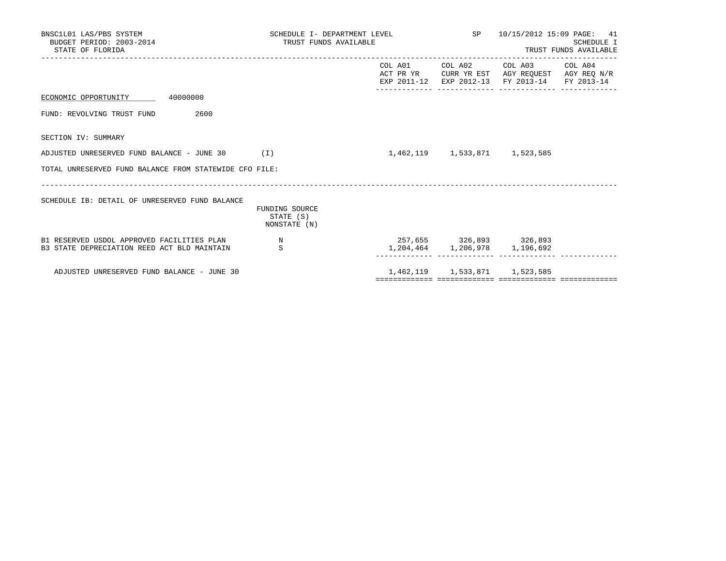| BNSC1L01 LAS/PBS SYSTEM<br>BUDGET PERIOD: 2003-2014<br>STATE OF FLORIDA                   | SCHEDULE I- DEPARTMENT LEVEL<br>TRUST FUNDS AVAILABLE |                         |                               | SP 10/15/2012 15:09 PAGE: 41<br><b>SCHEDULE I</b><br>TRUST FUNDS AVAILABLE                                                        |  |  |
|-------------------------------------------------------------------------------------------|-------------------------------------------------------|-------------------------|-------------------------------|-----------------------------------------------------------------------------------------------------------------------------------|--|--|
|                                                                                           |                                                       |                         |                               | COL A01 COL A02 COL A03 COL A04<br>ACT PR YR CURR YR EST AGY REQUEST AGY REQ N/R<br>EXP 2011-12 EXP 2012-13 FY 2013-14 FY 2013-14 |  |  |
| ECONOMIC OPPORTUNITY 40000000                                                             |                                                       |                         |                               |                                                                                                                                   |  |  |
| 2600<br>FUND: REVOLVING TRUST FUND                                                        |                                                       |                         |                               |                                                                                                                                   |  |  |
| SECTION IV: SUMMARY                                                                       |                                                       |                         |                               |                                                                                                                                   |  |  |
| ADJUSTED UNRESERVED FUND BALANCE - JUNE 30 $(1)$                                          |                                                       |                         | 1,462,119 1,533,871 1,523,585 |                                                                                                                                   |  |  |
| TOTAL UNRESERVED FUND BALANCE FROM STATEWIDE CFO FILE:                                    |                                                       |                         |                               |                                                                                                                                   |  |  |
| SCHEDULE IB: DETAIL OF UNRESERVED FUND BALANCE                                            | FUNDING SOURCE<br>STATE (S)<br>NONSTATE (N)           |                         |                               |                                                                                                                                   |  |  |
| B1 RESERVED USDOL APPROVED FACILITIES PLAN<br>B3 STATE DEPRECIATION REED ACT BLD MAINTAIN | N<br>S                                                | 257,655 326,893 326,893 |                               | 1,204,464 1,206,978 1,196,692                                                                                                     |  |  |
| ADJUSTED UNRESERVED FUND BALANCE - JUNE 30                                                |                                                       |                         | 1,462,119 1,533,871 1,523,585 |                                                                                                                                   |  |  |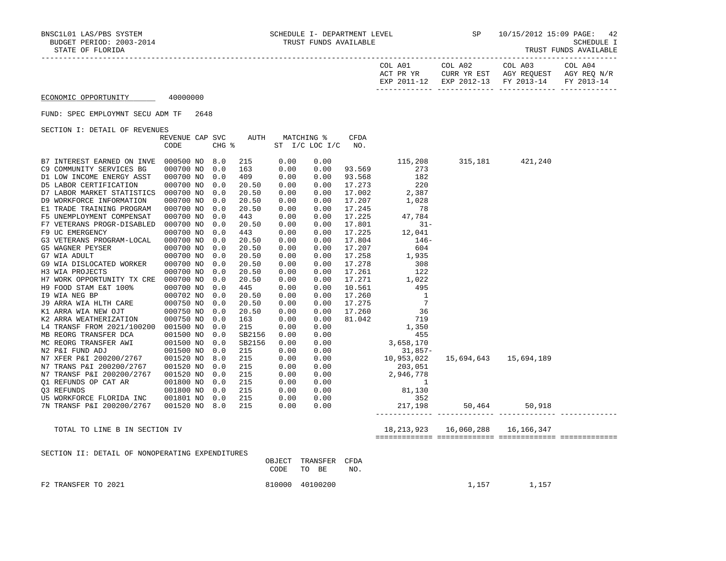| TRUST FUNDS AVAILABLE |
|-----------------------|
|-----------------------|

| COL A01<br>ACT PR YR | COL A02<br>CURR YR EST            | COL A03<br>AGY REOUEST | COL A04<br>AGY REO N/R |
|----------------------|-----------------------------------|------------------------|------------------------|
| EXP 2011-12          | EXP 2012-13 FY 2013-14 FY 2013-14 |                        |                        |

#### FUND: SPEC EMPLOYMNT SECU ADM TF 2648

SECTION I: DETAIL OF REVENUES

| ORCITON I: DRIAIN OF KRYENORD | REVENUE CAP SVC |       | AUTH   |      | MATCHING %     | CFDA   |                                                 |                       |                 |  |
|-------------------------------|-----------------|-------|--------|------|----------------|--------|-------------------------------------------------|-----------------------|-----------------|--|
|                               | CODE            | CHG % |        |      | ST I/C LOC I/C | NO.    |                                                 |                       |                 |  |
| B7 INTEREST EARNED ON INVE    | 000500 NO 8.0   |       | 215    | 0.00 | 0.00           |        | 115,208                                         |                       | 315,181 421,240 |  |
| C9 COMMUNITY SERVICES BG      | 000700 NO       | 0.0   | 163    | 0.00 | 0.00           | 93.569 | 273                                             |                       |                 |  |
| D1 LOW INCOME ENERGY ASST     | 000700 NO       | 0.0   | 409    | 0.00 | 0.00           | 93.568 | 182                                             |                       |                 |  |
| D5 LABOR CERTIFICATION        | 000700 NO       | 0.0   | 20.50  | 0.00 | 0.00           | 17.273 | 220                                             |                       |                 |  |
| D7 LABOR MARKET STATISTICS    | 000700 NO       | 0.0   | 20.50  | 0.00 | 0.00           | 17.002 | 2,387                                           |                       |                 |  |
| D9 WORKFORCE INFORMATION      | 000700 NO       | 0.0   | 20.50  | 0.00 | 0.00           | 17.207 | 1,028                                           |                       |                 |  |
| E1 TRADE TRAINING PROGRAM     | 000700 NO       | 0.0   | 20.50  | 0.00 | 0.00           | 17.245 | 78                                              |                       |                 |  |
| F5 UNEMPLOYMENT COMPENSAT     | 000700 NO       | 0.0   | 443    | 0.00 | 0.00           | 17.225 | 47,784                                          |                       |                 |  |
| F7 VETERANS PROGR-DISABLED    | 000700 NO       | 0.0   | 20.50  | 0.00 | 0.00           | 17.801 | $31 -$                                          |                       |                 |  |
| F9 UC EMERGENCY               | 000700 NO       | 0.0   | 443    | 0.00 | 0.00           | 17.225 | 12,041                                          |                       |                 |  |
| G3 VETERANS PROGRAM-LOCAL     | 000700 NO       | 0.0   | 20.50  | 0.00 | 0.00           | 17.804 | $146 -$                                         |                       |                 |  |
| G5 WAGNER PEYSER              | 000700 NO       | 0.0   | 20.50  | 0.00 | 0.00           | 17.207 | 604                                             |                       |                 |  |
| G7 WIA ADULT                  | 000700 NO       | 0.0   | 20.50  | 0.00 | 0.00           | 17.258 | 1,935                                           |                       |                 |  |
| G9 WIA DISLOCATED WORKER      | 000700 NO       | 0.0   | 20.50  | 0.00 | 0.00           | 17.278 | 308                                             |                       |                 |  |
| H3 WIA PROJECTS               | 000700 NO       | 0.0   | 20.50  | 0.00 | 0.00           | 17.261 | 122                                             |                       |                 |  |
| H7 WORK OPPORTUNITY TX CRE    | 000700 NO       | 0.0   | 20.50  | 0.00 | 0.00           | 17.271 | 1,022                                           |                       |                 |  |
| H9 FOOD STAM E&T 100%         | 000700 NO       | 0.0   | 445    | 0.00 | 0.00           | 10.561 | 495                                             |                       |                 |  |
| 19 WIA NEG BP                 | 000702 NO       | 0.0   | 20.50  | 0.00 | 0.00           | 17.260 | $\overline{\phantom{0}}$                        |                       |                 |  |
| J9 ARRA WIA HLTH CARE         | 000750 NO       | 0.0   | 20.50  | 0.00 | 0.00           | 17.275 | 7                                               |                       |                 |  |
| K1 ARRA WIA NEW OJT           | 000750 NO       | 0.0   | 20.50  | 0.00 | 0.00           | 17.260 | 36                                              |                       |                 |  |
| K2 ARRA WEATHERIZATION        | 000750 NO       | 0.0   | 163    | 0.00 | 0.00           | 81.042 | 719                                             |                       |                 |  |
| L4 TRANSF FROM 2021/100200    | 001500 NO       | 0.0   | 215    | 0.00 | 0.00           |        | 1,350                                           |                       |                 |  |
| MB REORG TRANSFER DCA         | 001500 NO       | 0.0   | SB2156 | 0.00 | 0.00           |        | 455                                             |                       |                 |  |
| MC REORG TRANSFER AWI         | 001500 NO       | 0.0   | SB2156 | 0.00 | 0.00           |        |                                                 |                       |                 |  |
| N2 P&I FUND ADJ               | 001500 NO       | 0.0   | 215    | 0.00 | 0.00           |        | 3,658,170<br>31,857-<br>10,953,022<br>$31,857-$ |                       |                 |  |
| N7 XFER P&I 200200/2767       | 001520 NO       | 8.0   | 215    | 0.00 | 0.00           |        |                                                 | 15,694,643 15,694,189 |                 |  |
| N7 TRANS P&I 200200/2767      | 001520 NO       | 0.0   | 215    | 0.00 | 0.00           |        | 203,051                                         |                       |                 |  |
| N7 TRANSF P&I 200200/2767     | 001520 NO       | 0.0   | 215    | 0.00 | 0.00           |        | 205,051<br>2,946,778<br>1                       |                       |                 |  |
| O1 REFUNDS OP CAT AR          | 001800 NO       | 0.0   | 215    | 0.00 | 0.00           |        |                                                 |                       |                 |  |
| 03 REFUNDS                    | 001800 NO       | 0.0   | 215    | 0.00 | 0.00           |        | 81,130                                          |                       |                 |  |
| U5 WORKFORCE FLORIDA INC      | 001801 NO       | 0.0   | 215    | 0.00 | 0.00           |        | 352                                             |                       |                 |  |
| 7N TRANSF P&I 200200/2767     | 001520 NO       | 8.0   | 215    | 0.00 | 0.00           |        | 217,198                                         | 50,464                | 50,918          |  |
|                               |                 |       |        |      |                |        | _________________________________               |                       |                 |  |
|                               |                 |       |        |      |                |        |                                                 |                       |                 |  |

TOTAL TO LINE B IN SECTION IV 18,213,923 16,060,288 16,166,347

============= ============= ============= =============

|  |  | SECTION II: DETAIL OF NONOPERATING EXPENDITURES |  |
|--|--|-------------------------------------------------|--|
|  |  |                                                 |  |

|                     | OBJECT TRANSFER CFDA<br>CODE TO BE | NO. |       |       |
|---------------------|------------------------------------|-----|-------|-------|
| F2 TRANSFER TO 2021 | 810000 40100200                    |     | 1,157 | 1,157 |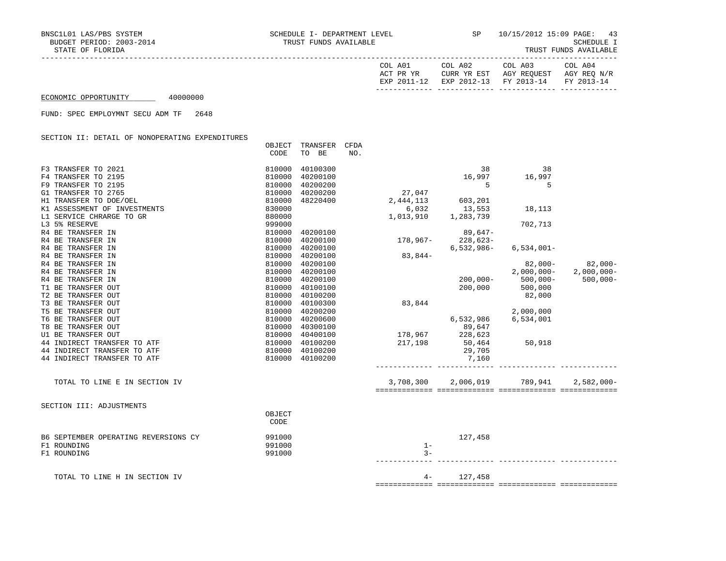| COL A01<br>PR YR<br>ACT    | COL A02<br>VD<br>EST<br>CURR | COL A03<br>AGY REOUEST | COL A04<br>AGY REO N/R   |
|----------------------------|------------------------------|------------------------|--------------------------|
| 2011<br>$\sqrt{10}$<br>FYD | $2012 - 13$<br>EXP           | $2013 - 14$<br>ਸ਼ਾ     | $2013 - 14$<br><b>DV</b> |
|                            |                              |                        |                          |

FUND: SPEC EMPLOYMNT SECU ADM TF 2648

SECTION II: DETAIL OF NONOPERATING EXPENDITURES

|                                      | OBJECT         | TRANSFER | CFDA |           |             |              |               |
|--------------------------------------|----------------|----------|------|-----------|-------------|--------------|---------------|
|                                      | CODE           | TO BE    | NO.  |           |             |              |               |
| F3 TRANSFER TO 2021                  | 810000         | 40100300 |      |           | 38          | 38           |               |
| F4 TRANSFER TO 2195                  | 810000         | 40200100 |      |           | 16,997      | 16,997       |               |
| F9 TRANSFER TO 2195                  | 810000         | 40200200 |      |           | 5           | 5            |               |
| G1 TRANSFER TO 2765                  | 810000         | 40200200 |      | 27,047    |             |              |               |
| H1 TRANSFER TO DOE/OEL               | 810000         | 48220400 |      | 2,444,113 | 603,201     |              |               |
| K1 ASSESSMENT OF INVESTMENTS         | 830000         |          |      | 6,032     | 13,553      | 18,113       |               |
| L1 SERVICE CHRARGE TO GR             | 880000         |          |      | 1,013,910 | 1,283,739   |              |               |
| L3 5% RESERVE                        | 999000         |          |      |           |             | 702,713      |               |
| R4 BE TRANSFER IN                    | 810000         | 40200100 |      |           | $89,647-$   |              |               |
| R4 BE TRANSFER IN                    | 810000         | 40200100 |      | 178,967-  | 228,623-    |              |               |
| R4 BE TRANSFER IN                    | 810000         | 40200100 |      |           | 6,532,986-  | $6,534,001-$ |               |
| R4 BE TRANSFER IN                    | 810000         | 40200100 |      | $83,844-$ |             |              |               |
| R4 BE TRANSFER IN                    | 810000         | 40200100 |      |           |             | $82,000-$    | $82,000 -$    |
| R4 BE TRANSFER IN                    | 810000         | 40200100 |      |           |             | $2,000,000-$ | $2,000,000-$  |
| R4 BE TRANSFER IN                    | 810000         | 40200100 |      |           | $200,000 -$ | $500,000 -$  | $500,000 -$   |
| T1 BE TRANSFER OUT                   | 810000         | 40100100 |      |           | 200,000     | 500,000      |               |
| T2 BE TRANSFER OUT                   | 810000         | 40100200 |      |           |             | 82,000       |               |
| T3 BE TRANSFER OUT                   | 810000         | 40100300 |      | 83,844    |             |              |               |
| T5 BE TRANSFER OUT                   | 810000         | 40200200 |      |           |             | 2,000,000    |               |
| T6 BE TRANSFER OUT                   | 810000         | 40200600 |      |           | 6,532,986   | 6,534,001    |               |
| T8 BE TRANSFER OUT                   | 810000         | 40300100 |      |           | 89,647      |              |               |
| U1 BE TRANSFER OUT                   | 810000         | 40400100 |      | 178,967   | 228,623     |              |               |
| 44 INDIRECT TRANSFER TO ATF          | 810000         | 40100200 |      | 217,198   | 50,464      | 50,918       |               |
| 44 INDIRECT TRANSFER TO ATF          | 810000         | 40100200 |      |           | 29,705      |              |               |
| 44 INDIRECT TRANSFER TO ATF          | 810000         | 40100200 |      |           | 7,160       |              |               |
| TOTAL TO LINE E IN SECTION IV        |                |          |      | 3,708,300 | 2,006,019   | 789,941      | $2,582,000 -$ |
|                                      |                |          |      |           |             |              |               |
| SECTION III: ADJUSTMENTS             |                |          |      |           |             |              |               |
|                                      | OBJECT<br>CODE |          |      |           |             |              |               |
| B6 SEPTEMBER OPERATING REVERSIONS CY | 991000         |          |      |           | 127,458     |              |               |
| F1 ROUNDING                          | 991000         |          |      | $1 -$     |             |              |               |
| F1 ROUNDING                          | 991000         |          |      | $3 -$     |             |              |               |
| TOTAL TO LINE H IN SECTION IV        |                |          |      | $4-$      | 127,458     |              |               |
|                                      |                |          |      |           |             |              |               |

============= ============= ============= =============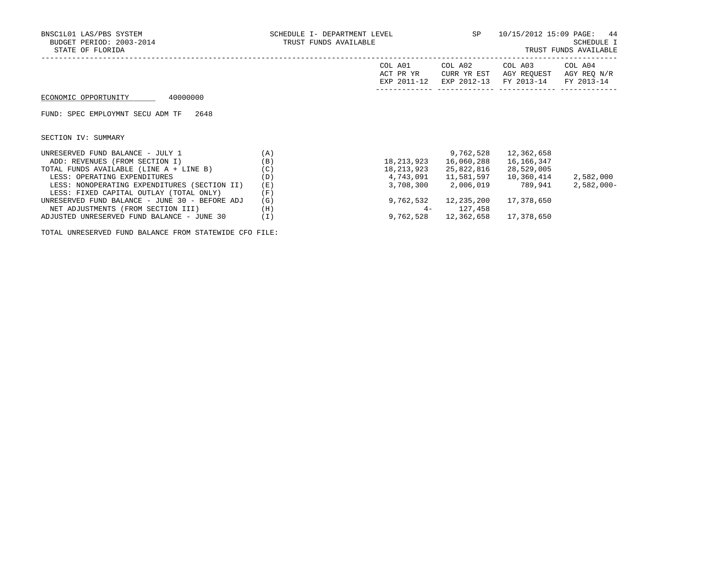| BNSC1L01 LAS/PBS SYSTEM<br>BUDGET PERIOD: 2003-2014<br>STATE OF FLORIDA | SCHEDULE I- DEPARTMENT LEVEL<br>TRUST FUNDS AVAILABLE |                                     | SP                                    | 10/15/2012 15:09 PAGE: 44<br>SCHEDULE I<br>TRUST FUNDS AVAILABLE |                                      |  |
|-------------------------------------------------------------------------|-------------------------------------------------------|-------------------------------------|---------------------------------------|------------------------------------------------------------------|--------------------------------------|--|
|                                                                         |                                                       | COL A01<br>ACT PR YR<br>EXP 2011-12 | COL A02<br>CURR YR EST<br>EXP 2012-13 | COL A03<br>AGY REOUEST<br>FY 2013-14                             | COL A04<br>AGY REO N/R<br>FY 2013-14 |  |
| 40000000<br>ECONOMIC OPPORTUNITY                                        |                                                       |                                     |                                       |                                                                  |                                      |  |
| FUND: SPEC EMPLOYMNT SECU ADM TF<br>2648                                |                                                       |                                     |                                       |                                                                  |                                      |  |
| SECTION IV: SUMMARY                                                     |                                                       |                                     |                                       |                                                                  |                                      |  |
| UNRESERVED FUND BALANCE - JULY 1                                        | (A)                                                   |                                     | 9,762,528                             | 12,362,658                                                       |                                      |  |
| ADD: REVENUES (FROM SECTION I)                                          | (B)                                                   | 18,213,923                          | 16,060,288                            | 16,166,347                                                       |                                      |  |
| TOTAL FUNDS AVAILABLE (LINE A + LINE B)                                 | (C)                                                   | 18,213,923                          | 25,822,816                            | 28,529,005                                                       |                                      |  |
| LESS: OPERATING EXPENDITURES                                            | (D)                                                   | 4,743,091                           | 11,581,597                            | 10,360,414                                                       | 2,582,000                            |  |
| LESS: NONOPERATING EXPENDITURES (SECTION II)                            | (E)                                                   | 3,708,300                           | 2,006,019                             | 789,941                                                          | $2,582,000-$                         |  |
| LESS: FIXED CAPITAL OUTLAY (TOTAL ONLY)                                 | (F)                                                   |                                     |                                       |                                                                  |                                      |  |
| UNRESERVED FUND BALANCE - JUNE 30 - BEFORE ADJ                          | (G)                                                   | 9,762,532                           | 12,235,200                            | 17,378,650                                                       |                                      |  |

NET ADJUSTMENTS (FROM SECTION III) (H) 4- 127,458

ADJUSTED UNRESERVED FUND BALANCE - JUNE 30 (I) 9,762,528 12,362,658 17,378,650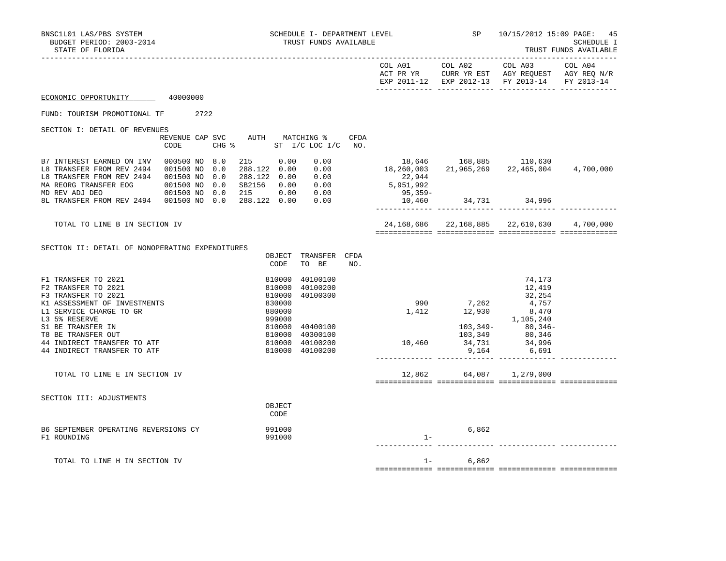| BNSC1L01 LAS/PBS SYSTEM<br>BUDGET PERIOD: 2003-2014<br>STATE OF FLORIDA                                                                                                                                                                                                               | SCHEDULE I- DEPARTMENT LEVEL<br>TRUST FUNDS AVAILABLE               |                                                                                                           | SP                                                                                                           | 10/15/2012 15:09 PAGE:                                                                                            | 45<br>SCHEDULE I<br>TRUST FUNDS AVAILABLE<br>_________________ |
|---------------------------------------------------------------------------------------------------------------------------------------------------------------------------------------------------------------------------------------------------------------------------------------|---------------------------------------------------------------------|-----------------------------------------------------------------------------------------------------------|--------------------------------------------------------------------------------------------------------------|-------------------------------------------------------------------------------------------------------------------|----------------------------------------------------------------|
|                                                                                                                                                                                                                                                                                       |                                                                     |                                                                                                           | COL A01 COL A02                                                                                              | COL A03 COL A04<br>ACT PR YR CURR YR EST AGY REQUEST AGY REQ N/R<br>EXP 2011-12 EXP 2012-13 FY 2013-14 FY 2013-14 |                                                                |
| 40000000<br>ECONOMIC OPPORTUNITY                                                                                                                                                                                                                                                      |                                                                     |                                                                                                           |                                                                                                              |                                                                                                                   |                                                                |
| FUND: TOURISM PROMOTIONAL TF 2722                                                                                                                                                                                                                                                     |                                                                     |                                                                                                           |                                                                                                              |                                                                                                                   |                                                                |
| SECTION I: DETAIL OF REVENUES<br>CODE                                                                                                                                                                                                                                                 | REVENUE CAP SVC AUTH MATCHING %<br>CFDA<br>CHG % ST I/C LOC I/C NO. |                                                                                                           |                                                                                                              |                                                                                                                   |                                                                |
| B7 INTEREST EARNED ON INV 000500 NO 8.0<br>18 TRANSFER FROM REV 2494 001500 NO 0.0 288.122 0.00 0.00<br>18 TRANSFER FROM REV 2494 001500 NO 0.0 288.122 0.00 0.00<br>18 TRANSFER FROM REV 2494 001500 NO 0.0 288.122 0.00 0.00<br>19 ND REV ADJ DEO 001500 NO 0.0 215 0.00 0.00<br>8L | 215 0.00<br>0.00                                                    | $18,646$ $168,885$ $110,630$<br>$18,260,003$ $21,965,269$ $22,465,004$ $4,700,000$<br>22,944<br>5,951,992 |                                                                                                              |                                                                                                                   |                                                                |
|                                                                                                                                                                                                                                                                                       |                                                                     | $95,359-$                                                                                                 | $10,460$ $34,731$ $34,996$                                                                                   |                                                                                                                   |                                                                |
| TOTAL TO LINE B IN SECTION IV                                                                                                                                                                                                                                                         |                                                                     |                                                                                                           |                                                                                                              | 24, 168, 686 22, 168, 885 22, 610, 630 4, 700, 000                                                                |                                                                |
| SECTION II: DETAIL OF NONOPERATING EXPENDITURES                                                                                                                                                                                                                                       | OBJECT TRANSFER CFDA<br>CODE<br>TO BE<br>NO.                        |                                                                                                           |                                                                                                              |                                                                                                                   |                                                                |
| F1 TRANSFER TO 2021<br>F2 TRANSFER TO 2021<br>F3 TRANSFER TO 2021                                                                                                                                                                                                                     | 810000<br>40100100<br>810000<br>40100200<br>40100300<br>810000      |                                                                                                           |                                                                                                              | 74,173<br>12,419<br>32,254                                                                                        |                                                                |
| K1 ASSESSMENT OF INVESTMENTS<br>L1 SERVICE CHARGE TO GR<br>L3 5% RESERVE<br>S1 BE TRANSFER IN                                                                                                                                                                                         | 830000<br>880000<br>999000<br>810000<br>40400100                    | 1,412                                                                                                     | $\begin{array}{cccc} 990 & & 7,262 & & 4,757 \\ 1,412 & & 12,930 & & 8,470 \\ & & & & 1,105,240 \end{array}$ |                                                                                                                   |                                                                |
| T8 BE TRANSFER OUT<br>44 INDIRECT TRANSFER TO ATF<br>44 INDIRECT TRANSFER TO ATF                                                                                                                                                                                                      | 810000<br>40300100<br>810000<br>40100200<br>810000 40100200         | $103,349 - 80,346 - 103,349$<br>103,349 80,346<br>10,460 34,731 34,996                                    | 9,164                                                                                                        | 6,691                                                                                                             |                                                                |
| TOTAL TO LINE E IN SECTION IV                                                                                                                                                                                                                                                         |                                                                     |                                                                                                           | 12,862 64,087 1,279,000                                                                                      |                                                                                                                   |                                                                |
| SECTION III: ADJUSTMENTS                                                                                                                                                                                                                                                              | OBJECT<br>CODE                                                      |                                                                                                           |                                                                                                              |                                                                                                                   |                                                                |
| B6 SEPTEMBER OPERATING REVERSIONS CY<br>F1 ROUNDING                                                                                                                                                                                                                                   | 991000<br>991000                                                    | $1 -$                                                                                                     | 6,862                                                                                                        |                                                                                                                   |                                                                |
| TOTAL TO LINE H IN SECTION IV                                                                                                                                                                                                                                                         |                                                                     |                                                                                                           | $1 - 6,862$                                                                                                  |                                                                                                                   |                                                                |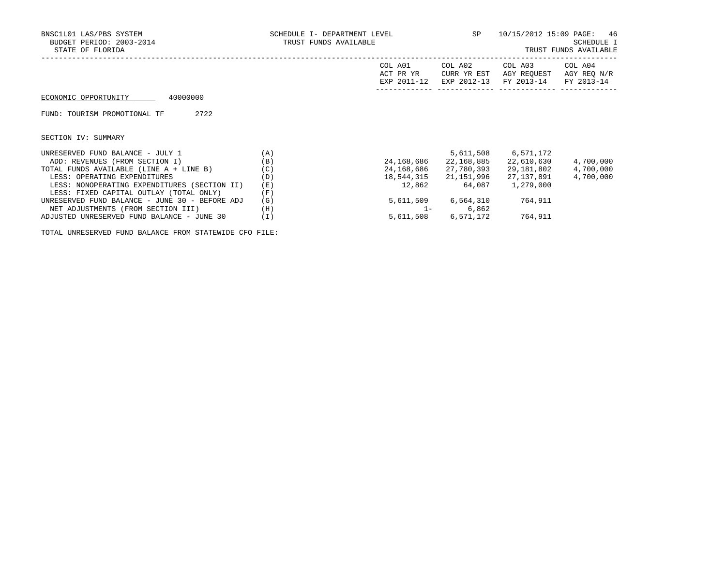| BNSC1L01 LAS/PBS SYSTEM<br>BUDGET PERIOD: 2003-2014<br>STATE OF FLORIDA | SCHEDULE I- DEPARTMENT LEVEL<br>TRUST FUNDS AVAILABLE |                                     | <b>SP</b>                             | 10/15/2012 15:09 PAGE:<br>-46<br>SCHEDULE I<br>TRUST FUNDS AVAILABLE |                                      |  |  |
|-------------------------------------------------------------------------|-------------------------------------------------------|-------------------------------------|---------------------------------------|----------------------------------------------------------------------|--------------------------------------|--|--|
|                                                                         |                                                       | COL A01<br>ACT PR YR<br>EXP 2011-12 | COL A02<br>CURR YR EST<br>EXP 2012-13 | COL A03<br>AGY REOUEST<br>FY 2013-14                                 | COL A04<br>AGY REO N/R<br>FY 2013-14 |  |  |
| 40000000<br>ECONOMIC OPPORTUNITY                                        |                                                       |                                     |                                       |                                                                      |                                      |  |  |
| 2722<br>FUND: TOURISM PROMOTIONAL TF                                    |                                                       |                                     |                                       |                                                                      |                                      |  |  |
| SECTION IV: SUMMARY                                                     |                                                       |                                     |                                       |                                                                      |                                      |  |  |
| UNRESERVED FUND BALANCE - JULY 1                                        | (A)                                                   |                                     | 5,611,508                             | 6,571,172                                                            |                                      |  |  |
| ADD: REVENUES (FROM SECTION I)                                          | (B)                                                   | 24,168,686                          | 22,168,885                            | 22,610,630                                                           | 4,700,000                            |  |  |
| TOTAL FUNDS AVAILABLE (LINE A + LINE B)                                 | (C)                                                   | 24,168,686                          | 27,780,393                            | 29,181,802                                                           | 4,700,000                            |  |  |
| LESS: OPERATING EXPENDITURES                                            | (D)                                                   | 18,544,315                          | 21,151,996                            | 27,137,891                                                           | 4,700,000                            |  |  |
| LESS: NONOPERATING EXPENDITURES (SECTION II)                            | (E)                                                   | 12,862                              | 64,087                                | 1,279,000                                                            |                                      |  |  |
| LESS: FIXED CAPITAL OUTLAY (TOTAL ONLY)                                 | (F)                                                   |                                     |                                       |                                                                      |                                      |  |  |
| UNRESERVED FUND BALANCE - JUNE 30 - BEFORE ADJ                          | (G)                                                   |                                     | 5,611,509 6,564,310                   | 764,911                                                              |                                      |  |  |
| NET ADJUSTMENTS (FROM SECTION III)                                      | (H)                                                   | $1 -$                               | 6,862                                 |                                                                      |                                      |  |  |

ADJUSTED UNRESERVED FUND BALANCE - JUNE 30 (I) 5,611,508 6,571,172 764,911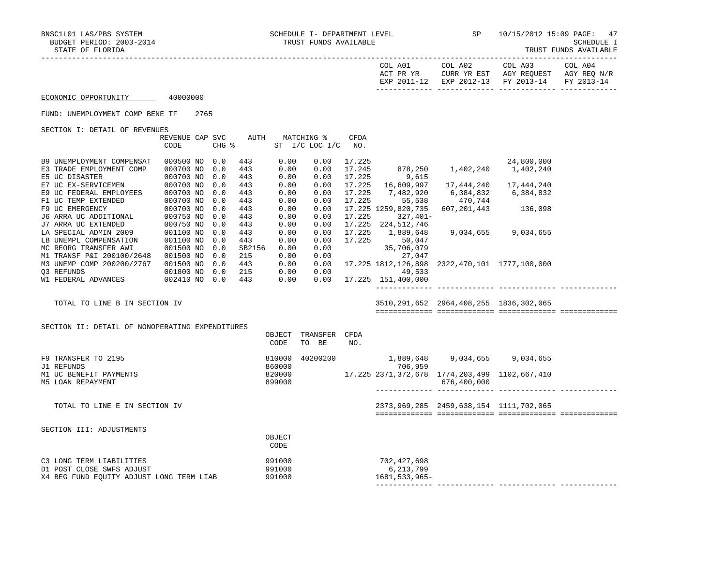------------- ------------- ------------- -------------

TRUST FUNDS AVAILABLE

|                                                                                                              |      |  |                     |             |                                 |      |                                        |                                                                                                   |                                                                                                | TROPT LOMDS HATTHOUR |
|--------------------------------------------------------------------------------------------------------------|------|--|---------------------|-------------|---------------------------------|------|----------------------------------------|---------------------------------------------------------------------------------------------------|------------------------------------------------------------------------------------------------|----------------------|
|                                                                                                              |      |  |                     |             |                                 |      |                                        |                                                                                                   | ACT PR YR CURR YR EST AGY REQUEST AGY REQ N/R<br>EXP 2011-12 EXP 2012-13 FY 2013-14 FY 2013-14 |                      |
| ECONOMIC OPPORTUNITY 40000000                                                                                |      |  |                     |             |                                 |      |                                        |                                                                                                   |                                                                                                |                      |
| FUND: UNEMPLOYMENT COMP BENE TF 2765                                                                         |      |  |                     |             |                                 |      |                                        |                                                                                                   |                                                                                                |                      |
| SECTION I: DETAIL OF REVENUES                                                                                |      |  |                     |             |                                 |      |                                        |                                                                                                   |                                                                                                |                      |
|                                                                                                              |      |  |                     |             | REVENUE CAP SVC AUTH MATCHING % | CFDA |                                        |                                                                                                   |                                                                                                |                      |
|                                                                                                              | CODE |  | $CHG$ $\frac{1}{6}$ |             | ST I/C LOC I/C NO.              |      |                                        |                                                                                                   |                                                                                                |                      |
| B9 UNEMPLOYMENT COMPENSAT 000500 NO 0.0                                                                      |      |  | 443                 | 0.00        | 0.00                            |      |                                        |                                                                                                   |                                                                                                |                      |
| E3 TRADE EMPLOYMENT COMP 000700 NO 0.0                                                                       |      |  | 443                 | 0.00        | 0.00                            |      |                                        | $\begin{array}{cccc} 17.225 & 24,800,000 \\ 17.245 & 878,250 & 1,402,240 & 1,402,240 \end{array}$ |                                                                                                |                      |
|                                                                                                              |      |  | 443                 | 0.00        | 0.00                            |      | 17.225 9,615                           |                                                                                                   |                                                                                                |                      |
|                                                                                                              |      |  | 443                 | 0.00        | 0.00                            |      |                                        | 17.225  16,609,997  17,444,240  17,444,240                                                        |                                                                                                |                      |
|                                                                                                              |      |  | 443                 | 0.00        | 0.00                            |      |                                        | 17.225 7,482,920 6,384,832 6,384,832                                                              |                                                                                                |                      |
|                                                                                                              |      |  | 443                 | 0.00        | 0.00                            |      |                                        | 17.225 55,538 470,744                                                                             |                                                                                                |                      |
|                                                                                                              |      |  | 443                 | 0.00        | 0.00                            |      | 17.225 1259,820,735                    |                                                                                                   | $607, 201, 443$ 136,098                                                                        |                      |
|                                                                                                              |      |  | 443                 | 0.00        | 0.00                            |      | 17.225 327,401-                        |                                                                                                   |                                                                                                |                      |
|                                                                                                              |      |  | 443                 | 0.00        | 0.00                            |      | 17.225 224,512,746                     |                                                                                                   |                                                                                                |                      |
|                                                                                                              |      |  | 443                 | 0.00        | 0.00                            |      | 17.225 1,889,648                       |                                                                                                   | $9,034,655$ $9,034,655$                                                                        |                      |
|                                                                                                              |      |  | 443                 | 0.00        | 0.00                            |      | 17.225 50,047                          |                                                                                                   |                                                                                                |                      |
|                                                                                                              |      |  |                     | SB2156 0.00 |                                 |      | $0.00$ $35,706,079$<br>$0.00$ $27,047$ |                                                                                                   |                                                                                                |                      |
|                                                                                                              |      |  | 215                 | 0.00        |                                 |      |                                        |                                                                                                   |                                                                                                |                      |
|                                                                                                              |      |  |                     |             |                                 |      |                                        | $0.00$ 17.225 1812, 126, 898 2322, 470, 101 1777, 100, 000                                        |                                                                                                |                      |
|                                                                                                              |      |  |                     |             |                                 |      | $0.00$ 49,533                          |                                                                                                   |                                                                                                |                      |
| 23 REFUNDS<br>23 REFUNDS<br>215 0.00<br>215 0.00<br>215 0.00<br>215 0.00<br>215 0.00<br>215 0.00<br>215 0.00 |      |  |                     |             |                                 |      | $0.00$ 17.225 151,400,000              |                                                                                                   |                                                                                                |                      |
|                                                                                                              |      |  |                     |             |                                 |      |                                        |                                                                                                   |                                                                                                |                      |
| TOTAL TO LINE B IN SECTION IV                                                                                |      |  |                     |             |                                 |      |                                        | 3510, 291, 652 2964, 408, 255 1836, 302, 065                                                      |                                                                                                |                      |
|                                                                                                              |      |  |                     |             |                                 |      |                                        |                                                                                                   |                                                                                                |                      |
| SECTION II: DETAIL OF NONOPERATING EXPENDITURES                                                              |      |  |                     |             | OBJECT TRANSFER CFDA            |      |                                        |                                                                                                   |                                                                                                |                      |
|                                                                                                              |      |  |                     | CODE        | TO BE                           | NO.  |                                        |                                                                                                   |                                                                                                |                      |
|                                                                                                              |      |  |                     |             |                                 |      |                                        |                                                                                                   |                                                                                                |                      |
| F9 TRANSFER TO 2195                                                                                          |      |  |                     |             |                                 |      |                                        | 1,889,648 9,034,655 9,034,655                                                                     |                                                                                                |                      |
| J1 REFUNDS                                                                                                   |      |  |                     | 860000      | 810000 40200200<br>860000       |      | 706,959                                |                                                                                                   |                                                                                                |                      |
| M1 UC BENEFIT PAYMENTS                                                                                       |      |  |                     |             | 820000                          |      |                                        | 17.225 2371,372,678 1774,203,499 1102,667,410                                                     |                                                                                                |                      |
| M5 LOAN REPAYMENT                                                                                            |      |  |                     | 899000      |                                 |      |                                        | 676,400,000                                                                                       |                                                                                                |                      |
|                                                                                                              |      |  |                     |             |                                 |      |                                        |                                                                                                   |                                                                                                |                      |
| TOTAL TO LINE E IN SECTION IV                                                                                |      |  |                     |             |                                 |      |                                        | 2373,969,285 2459,638,154 1111,702,065                                                            |                                                                                                |                      |
|                                                                                                              |      |  |                     |             |                                 |      |                                        |                                                                                                   |                                                                                                |                      |
| SECTION III: ADJUSTMENTS                                                                                     |      |  |                     |             |                                 |      |                                        |                                                                                                   |                                                                                                |                      |
|                                                                                                              |      |  |                     | OBJECT      |                                 |      |                                        |                                                                                                   |                                                                                                |                      |
|                                                                                                              |      |  |                     | CODE        |                                 |      |                                        |                                                                                                   |                                                                                                |                      |
| C3 LONG TERM LIABILITIES                                                                                     |      |  |                     | 991000      |                                 |      | 702,427,698                            |                                                                                                   |                                                                                                |                      |
| D1 POST CLOSE SWFS ADJUST                                                                                    |      |  |                     | 991000      |                                 |      | 6,213,799                              |                                                                                                   |                                                                                                |                      |
| X4 BEG FUND EQUITY ADJUST LONG TERM LIAB                                                                     |      |  |                     | 991000      |                                 |      | 1681, 533, 965-                        |                                                                                                   |                                                                                                |                      |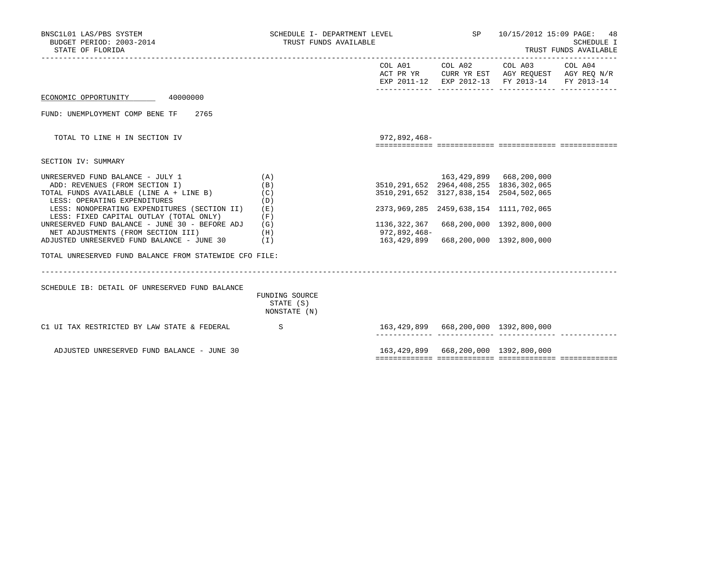| BNSC1L01 LAS/PBS SYSTEM<br>BUDGET PERIOD: 2003-2014<br>STATE OF FLORIDA                                                                                                                                                                                                                                                                                                                                                                  | SCHEDULE I- DEPARTMENT LEVEL<br>TRUST FUNDS AVAILABLE       |                                                                              | SP                                                                                                                                                              | 10/15/2012 15:09 PAGE: 48<br><b>SCHEDULE I</b><br>TRUST FUNDS AVAILABLE                                                           |  |  |
|------------------------------------------------------------------------------------------------------------------------------------------------------------------------------------------------------------------------------------------------------------------------------------------------------------------------------------------------------------------------------------------------------------------------------------------|-------------------------------------------------------------|------------------------------------------------------------------------------|-----------------------------------------------------------------------------------------------------------------------------------------------------------------|-----------------------------------------------------------------------------------------------------------------------------------|--|--|
|                                                                                                                                                                                                                                                                                                                                                                                                                                          |                                                             |                                                                              |                                                                                                                                                                 | COL A01 COL A02 COL A03 COL A04<br>ACT PR YR CURR YR EST AGY REQUEST AGY REQ N/R<br>EXP 2011-12 EXP 2012-13 FY 2013-14 FY 2013-14 |  |  |
| ECONOMIC OPPORTUNITY 40000000                                                                                                                                                                                                                                                                                                                                                                                                            |                                                             |                                                                              |                                                                                                                                                                 |                                                                                                                                   |  |  |
| FUND: UNEMPLOYMENT COMP BENE TF<br>2765                                                                                                                                                                                                                                                                                                                                                                                                  |                                                             |                                                                              |                                                                                                                                                                 |                                                                                                                                   |  |  |
| TOTAL TO LINE H IN SECTION IV                                                                                                                                                                                                                                                                                                                                                                                                            |                                                             | 972,892,468-                                                                 |                                                                                                                                                                 |                                                                                                                                   |  |  |
| SECTION IV: SUMMARY                                                                                                                                                                                                                                                                                                                                                                                                                      |                                                             |                                                                              |                                                                                                                                                                 |                                                                                                                                   |  |  |
| UNRESERVED FUND BALANCE - JULY 1<br>ADD: REVENUES (FROM SECTION I)<br>TOTAL FUNDS AVAILABLE (LINE A + LINE B)<br>LESS: OPERATING EXPENDITURES<br>LESS: NONOPERATING EXPENDITURES (SECTION II)<br>LESS: FIXED CAPITAL OUTLAY (TOTAL ONLY)<br>UNRESERVED FUND BALANCE - JUNE 30 - BEFORE ADJ<br>NET ADJUSTMENTS (FROM SECTION III)<br>ADJUSTED UNRESERVED FUND BALANCE - JUNE 30<br>TOTAL UNRESERVED FUND BALANCE FROM STATEWIDE CFO FILE: | (A)<br>(B)<br>(C)<br>(D)<br>(E)<br>(F)<br>(G)<br>(H)<br>(I) | 3510, 291, 652 2964, 408, 255 1836, 302, 065<br>1136,322,367<br>972,892,468- | 163,429,899 668,200,000<br>3510, 291, 652 3127, 838, 154 2504, 502, 065<br>2373, 969, 285 2459, 638, 154 1111, 702, 065<br>163,429,899 668,200,000 1392,800,000 | 668,200,000 1392,800,000                                                                                                          |  |  |
| SCHEDULE IB: DETAIL OF UNRESERVED FUND BALANCE                                                                                                                                                                                                                                                                                                                                                                                           | FUNDING SOURCE<br>STATE (S)<br>NONSTATE (N)                 |                                                                              |                                                                                                                                                                 |                                                                                                                                   |  |  |
| C1 UI TAX RESTRICTED BY LAW STATE & FEDERAL                                                                                                                                                                                                                                                                                                                                                                                              | $\mathbf S$                                                 | 163,429,899 668,200,000 1392,800,000                                         |                                                                                                                                                                 |                                                                                                                                   |  |  |
| ADJUSTED UNRESERVED FUND BALANCE - JUNE 30                                                                                                                                                                                                                                                                                                                                                                                               |                                                             |                                                                              | 163, 429, 899 668, 200, 000 1392, 800, 000                                                                                                                      |                                                                                                                                   |  |  |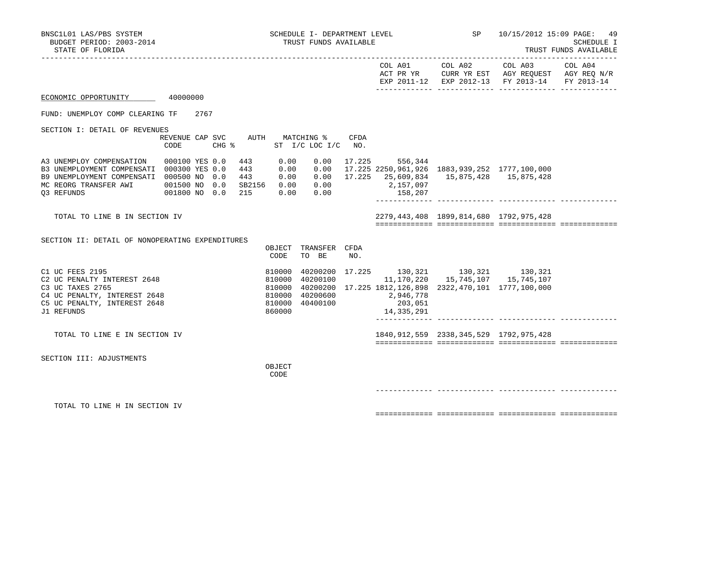|                                                                                                                                                                        |                                     |  |                   |                                                          |                                                       |      |                                               |                                                                                                                                                                                               | COL A01 COL A02 COL A03 COL A04<br>ACT PR YR CURR YR EST AGY REQUEST AGY REQ N/R EXP 2011-12 EXP 2012-13 FY 2013-14 FY 2013-14 |  |
|------------------------------------------------------------------------------------------------------------------------------------------------------------------------|-------------------------------------|--|-------------------|----------------------------------------------------------|-------------------------------------------------------|------|-----------------------------------------------|-----------------------------------------------------------------------------------------------------------------------------------------------------------------------------------------------|--------------------------------------------------------------------------------------------------------------------------------|--|
| ECONOMIC OPPORTUNITY 40000000                                                                                                                                          |                                     |  |                   |                                                          |                                                       |      |                                               |                                                                                                                                                                                               |                                                                                                                                |  |
| FUND: UNEMPLOY COMP CLEARING TF 2767                                                                                                                                   |                                     |  |                   |                                                          |                                                       |      |                                               |                                                                                                                                                                                               |                                                                                                                                |  |
| SECTION I: DETAIL OF REVENUES                                                                                                                                          | CODE                                |  | $CHG$ $\approx$   |                                                          | REVENUE CAP SVC AUTH MATCHING %<br>ST I/C LOC I/C NO. | CFDA |                                               |                                                                                                                                                                                               |                                                                                                                                |  |
| A3 UNEMPLOY COMPENSATION<br>B3 UNEMPLOYMENT COMPENSATI 000300 YES 0.0<br>B9 UNEMPLOYMENT COMPENSATI 000500 NO 0.0<br>MC REORG TRANSFER AWI 001500 NO 0.0<br>03 REFUNDS | 000100 YES 0.0<br>001800 NO 0.0 215 |  | 443<br>443<br>443 | 0.00                                                     | SB2156  0.00  0.00<br>0.00 0.00                       |      | $0.00$ 17.225 556,344<br>2,157,097<br>158,207 | $0.00$ $0.00$ $17.225$ $2250,961,926$ $1883,939,252$ $1777,100,000$<br>$0.00$ $0.00$ $17.225$ $25.609.834$ $15.875.428$ $15.875.428$                                                          |                                                                                                                                |  |
| TOTAL TO LINE B IN SECTION IV                                                                                                                                          |                                     |  |                   |                                                          |                                                       |      |                                               | 2279, 443, 408 1899, 814, 680 1792, 975, 428                                                                                                                                                  |                                                                                                                                |  |
| SECTION II: DETAIL OF NONOPERATING EXPENDITURES                                                                                                                        |                                     |  |                   | CODE                                                     | OBJECT TRANSFER CFDA<br>TO BE                         | NO.  |                                               |                                                                                                                                                                                               |                                                                                                                                |  |
| C1 UC FEES 2195<br>C2 UC PENALTY INTEREST 2648<br>C3 UC TAXES 2765<br>C4 UC PENALTY, INTEREST 2648<br>C5 UC PENALTY, INTEREST 2648<br>J1 REFUNDS                       |                                     |  |                   | 810000<br>810000<br>810000<br>810000<br>810000<br>860000 | 40200100<br>40200600<br>40400100                      |      | 2,946,778<br>203,051<br>14,335,291            | $\begin{array}{cccc} 40200200& 17.225& 130,321& 130,321& 130,321 \\ 40200100& 11,170,220& 15,745,107& 15,745,107 \end{array}$<br>40200200 17.225 1812, 126, 898 2322, 470, 101 1777, 100, 000 |                                                                                                                                |  |
| TOTAL TO LINE E IN SECTION IV                                                                                                                                          |                                     |  |                   |                                                          |                                                       |      |                                               | 1840, 912, 559 2338, 345, 529 1792, 975, 428                                                                                                                                                  |                                                                                                                                |  |
| SECTION III: ADJUSTMENTS                                                                                                                                               |                                     |  |                   | OBJECT<br>CODE                                           |                                                       |      |                                               |                                                                                                                                                                                               |                                                                                                                                |  |
| TOTAL TO LINE H IN SECTION IV                                                                                                                                          |                                     |  |                   |                                                          |                                                       |      |                                               |                                                                                                                                                                                               |                                                                                                                                |  |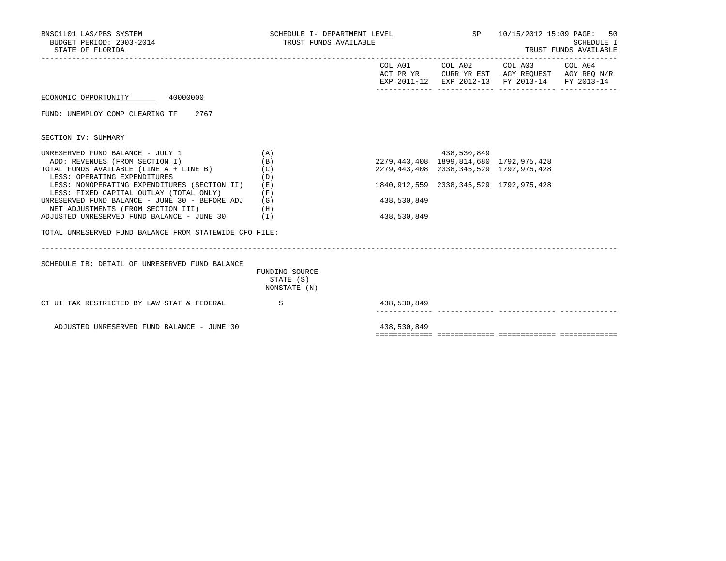| BNSC1L01 LAS/PBS SYSTEM<br>BUDGET PERIOD: 2003-2014<br>STATE OF FLORIDA | SCHEDULE I- DEPARTMENT LEVEL<br>TRUST FUNDS AVAILABLE |             |                                              | SP 10/15/2012 15:09 PAGE: 50<br>SCHEDULE I<br>TRUST FUNDS AVAILABLE                                               |  |  |  |
|-------------------------------------------------------------------------|-------------------------------------------------------|-------------|----------------------------------------------|-------------------------------------------------------------------------------------------------------------------|--|--|--|
|                                                                         |                                                       |             | COL A01 COL A02                              | COL A03 COL A04<br>ACT PR YR CURR YR EST AGY REQUEST AGY REQ N/R<br>EXP 2011-12 EXP 2012-13 FY 2013-14 FY 2013-14 |  |  |  |
| ECONOMIC OPPORTUNITY 40000000                                           |                                                       |             |                                              |                                                                                                                   |  |  |  |
| FUND: UNEMPLOY COMP CLEARING TF 2767                                    |                                                       |             |                                              |                                                                                                                   |  |  |  |
| SECTION IV: SUMMARY                                                     |                                                       |             |                                              |                                                                                                                   |  |  |  |
| UNRESERVED FUND BALANCE - JULY 1                                        | (A)                                                   |             | 438,530,849                                  |                                                                                                                   |  |  |  |
| ADD: REVENUES (FROM SECTION I)                                          | (B)                                                   |             | 2279, 443, 408 1899, 814, 680 1792, 975, 428 |                                                                                                                   |  |  |  |
| TOTAL FUNDS AVAILABLE (LINE A + LINE B)                                 | (C)                                                   |             | 2279, 443, 408 2338, 345, 529 1792, 975, 428 |                                                                                                                   |  |  |  |
| LESS: OPERATING EXPENDITURES                                            | (D)                                                   |             |                                              |                                                                                                                   |  |  |  |
| LESS: NONOPERATING EXPENDITURES (SECTION II)                            | (E)                                                   |             | 1840, 912, 559 2338, 345, 529 1792, 975, 428 |                                                                                                                   |  |  |  |
| LESS: FIXED CAPITAL OUTLAY (TOTAL ONLY)                                 | (F)                                                   |             |                                              |                                                                                                                   |  |  |  |
| UNRESERVED FUND BALANCE - JUNE 30 - BEFORE ADJ                          | (G)                                                   | 438,530,849 |                                              |                                                                                                                   |  |  |  |
| NET ADJUSTMENTS (FROM SECTION III)                                      | (H)                                                   |             |                                              |                                                                                                                   |  |  |  |
| ADJUSTED UNRESERVED FUND BALANCE - JUNE 30                              | (I)                                                   | 438,530,849 |                                              |                                                                                                                   |  |  |  |
| TOTAL UNRESERVED FUND BALANCE FROM STATEWIDE CFO FILE:                  |                                                       |             |                                              |                                                                                                                   |  |  |  |
| SCHEDULE IB: DETAIL OF UNRESERVED FUND BALANCE                          |                                                       |             |                                              |                                                                                                                   |  |  |  |
|                                                                         | FUNDING SOURCE<br>STATE (S)<br>NONSTATE (N)           |             |                                              |                                                                                                                   |  |  |  |
| C1 UI TAX RESTRICTED BY LAW STAT & FEDERAL                              | S                                                     | 438,530,849 |                                              |                                                                                                                   |  |  |  |
| ADJUSTED UNRESERVED FUND BALANCE - JUNE 30                              |                                                       | 438,530,849 |                                              |                                                                                                                   |  |  |  |

============= ============= ============= =============